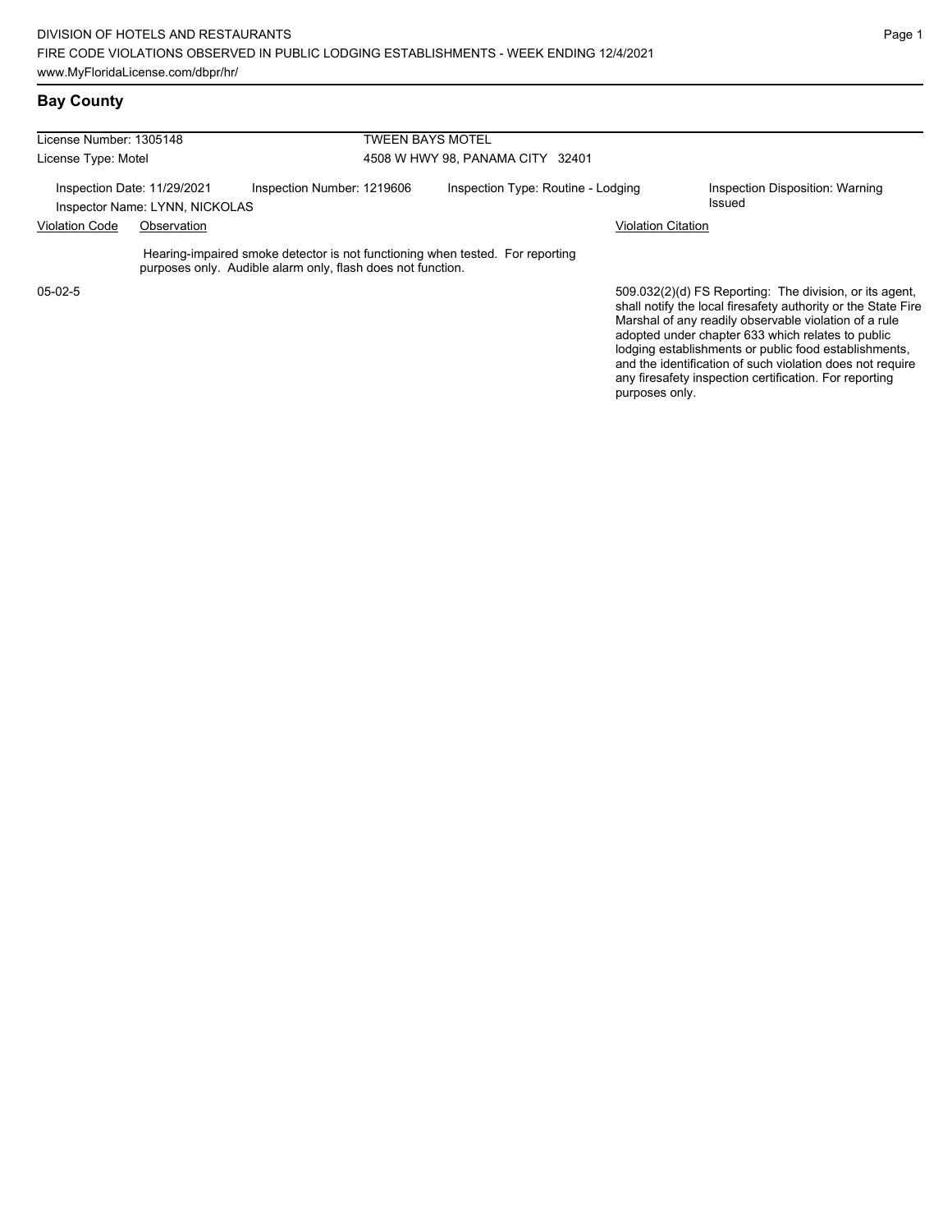### **Bay County**

| License Number: 1305148                                       |  | <b>TWEEN BAYS MOTEL</b>                                                                                                                      |                                    |                                                                                                                                                                                                                                                                                                 |  |  |  |
|---------------------------------------------------------------|--|----------------------------------------------------------------------------------------------------------------------------------------------|------------------------------------|-------------------------------------------------------------------------------------------------------------------------------------------------------------------------------------------------------------------------------------------------------------------------------------------------|--|--|--|
| License Type: Motel                                           |  |                                                                                                                                              | 4508 W HWY 98, PANAMA CITY 32401   |                                                                                                                                                                                                                                                                                                 |  |  |  |
| Inspection Date: 11/29/2021<br>Inspector Name: LYNN, NICKOLAS |  | Inspection Number: 1219606                                                                                                                   | Inspection Type: Routine - Lodging | Inspection Disposition: Warning<br>Issued                                                                                                                                                                                                                                                       |  |  |  |
| <b>Violation Code</b><br>Observation                          |  |                                                                                                                                              | <b>Violation Citation</b>          |                                                                                                                                                                                                                                                                                                 |  |  |  |
|                                                               |  | Hearing-impaired smoke detector is not functioning when tested. For reporting<br>purposes only. Audible alarm only, flash does not function. |                                    |                                                                                                                                                                                                                                                                                                 |  |  |  |
| $05-02-5$                                                     |  |                                                                                                                                              |                                    | 509.032(2)(d) FS Reporting: The division, or its agent,<br>shall notify the local firesafety authority or the State Fire<br>Marshal of any readily observable violation of a rule<br>adopted under chapter 633 which relates to public<br>lodging establishments or public food establishments, |  |  |  |

Page 1

and the identification of such violation does not require any firesafety inspection certification. For reporting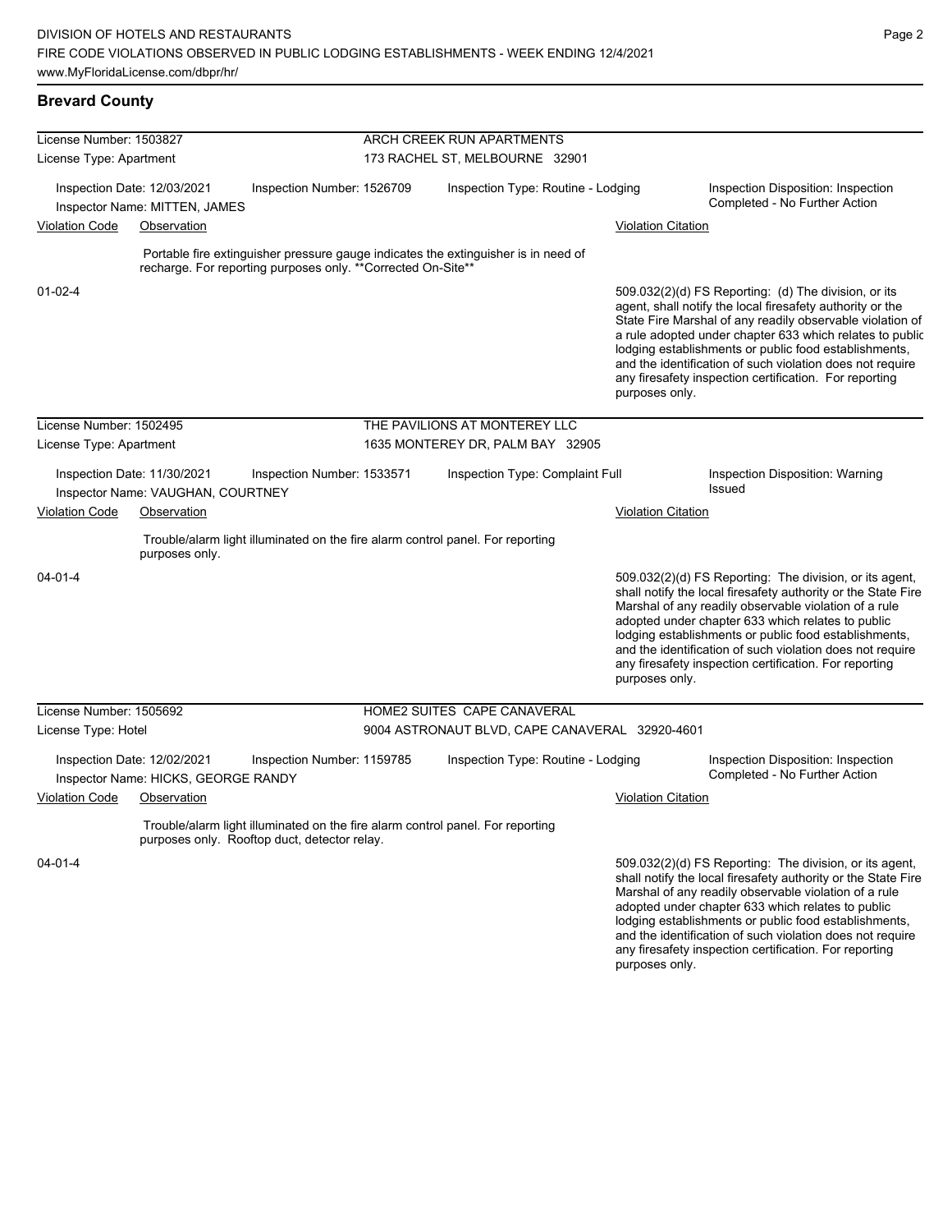#### **Brevard County**

| License Number: 1503827                                                   |                                                                    |                                                               | ARCH CREEK RUN APARTMENTS        |                                                                                    |                           |                                                                                                                                                                                                                                                                                                                                                                                                                            |  |  |
|---------------------------------------------------------------------------|--------------------------------------------------------------------|---------------------------------------------------------------|----------------------------------|------------------------------------------------------------------------------------|---------------------------|----------------------------------------------------------------------------------------------------------------------------------------------------------------------------------------------------------------------------------------------------------------------------------------------------------------------------------------------------------------------------------------------------------------------------|--|--|
| License Type: Apartment                                                   |                                                                    |                                                               | 173 RACHEL ST, MELBOURNE 32901   |                                                                                    |                           |                                                                                                                                                                                                                                                                                                                                                                                                                            |  |  |
|                                                                           | Inspection Date: 12/03/2021<br>Inspector Name: MITTEN, JAMES       | Inspection Number: 1526709                                    |                                  | Inspection Type: Routine - Lodging                                                 |                           | Inspection Disposition: Inspection<br>Completed - No Further Action                                                                                                                                                                                                                                                                                                                                                        |  |  |
| <b>Violation Code</b>                                                     | Observation                                                        |                                                               |                                  |                                                                                    | <b>Violation Citation</b> |                                                                                                                                                                                                                                                                                                                                                                                                                            |  |  |
|                                                                           |                                                                    | recharge. For reporting purposes only. ** Corrected On-Site** |                                  | Portable fire extinguisher pressure gauge indicates the extinguisher is in need of |                           |                                                                                                                                                                                                                                                                                                                                                                                                                            |  |  |
| $01 - 02 - 4$                                                             |                                                                    |                                                               |                                  |                                                                                    | purposes only.            | 509.032(2)(d) FS Reporting: (d) The division, or its<br>agent, shall notify the local firesafety authority or the<br>State Fire Marshal of any readily observable violation of<br>a rule adopted under chapter 633 which relates to public<br>lodging establishments or public food establishments,<br>and the identification of such violation does not require<br>any firesafety inspection certification. For reporting |  |  |
| License Number: 1502495                                                   |                                                                    |                                                               |                                  | THE PAVILIONS AT MONTEREY LLC                                                      |                           |                                                                                                                                                                                                                                                                                                                                                                                                                            |  |  |
| License Type: Apartment                                                   |                                                                    |                                                               | 1635 MONTEREY DR, PALM BAY 32905 |                                                                                    |                           |                                                                                                                                                                                                                                                                                                                                                                                                                            |  |  |
|                                                                           | Inspection Date: 11/30/2021                                        | Inspection Number: 1533571                                    |                                  | Inspection Type: Complaint Full                                                    |                           | Inspection Disposition: Warning<br>Issued                                                                                                                                                                                                                                                                                                                                                                                  |  |  |
| Inspector Name: VAUGHAN, COURTNEY<br><b>Violation Code</b><br>Observation |                                                                    |                                                               |                                  | <b>Violation Citation</b>                                                          |                           |                                                                                                                                                                                                                                                                                                                                                                                                                            |  |  |
|                                                                           | purposes only.                                                     |                                                               |                                  | Trouble/alarm light illuminated on the fire alarm control panel. For reporting     |                           |                                                                                                                                                                                                                                                                                                                                                                                                                            |  |  |
| 04-01-4                                                                   |                                                                    |                                                               |                                  |                                                                                    | purposes only.            | 509.032(2)(d) FS Reporting: The division, or its agent,<br>shall notify the local firesafety authority or the State Fire<br>Marshal of any readily observable violation of a rule<br>adopted under chapter 633 which relates to public<br>lodging establishments or public food establishments,<br>and the identification of such violation does not require<br>any firesafety inspection certification. For reporting     |  |  |
| License Number: 1505692                                                   |                                                                    |                                                               |                                  | HOME2 SUITES CAPE CANAVERAL                                                        |                           |                                                                                                                                                                                                                                                                                                                                                                                                                            |  |  |
| License Type: Hotel                                                       |                                                                    |                                                               |                                  | 9004 ASTRONAUT BLVD, CAPE CANAVERAL 32920-4601                                     |                           |                                                                                                                                                                                                                                                                                                                                                                                                                            |  |  |
|                                                                           | Inspection Date: 12/02/2021<br>Inspector Name: HICKS, GEORGE RANDY | Inspection Number: 1159785                                    |                                  | Inspection Type: Routine - Lodging                                                 |                           | Inspection Disposition: Inspection<br>Completed - No Further Action                                                                                                                                                                                                                                                                                                                                                        |  |  |
| <b>Violation Code</b>                                                     | Observation                                                        |                                                               |                                  |                                                                                    | <b>Violation Citation</b> |                                                                                                                                                                                                                                                                                                                                                                                                                            |  |  |
|                                                                           |                                                                    | purposes only. Rooftop duct, detector relay.                  |                                  | Trouble/alarm light illuminated on the fire alarm control panel. For reporting     |                           |                                                                                                                                                                                                                                                                                                                                                                                                                            |  |  |
| $04 - 01 - 4$                                                             |                                                                    |                                                               |                                  |                                                                                    |                           | 509.032(2)(d) FS Reporting: The division, or its agent,<br>shall notify the local firesafety authority or the State Fire<br>Marshal of any readily observable violation of a rule<br>adopted under chapter 633 which relates to public<br>lodging establishments or public food establishments,                                                                                                                            |  |  |

and the identification of such violation does not require any firesafety inspection certification. For reporting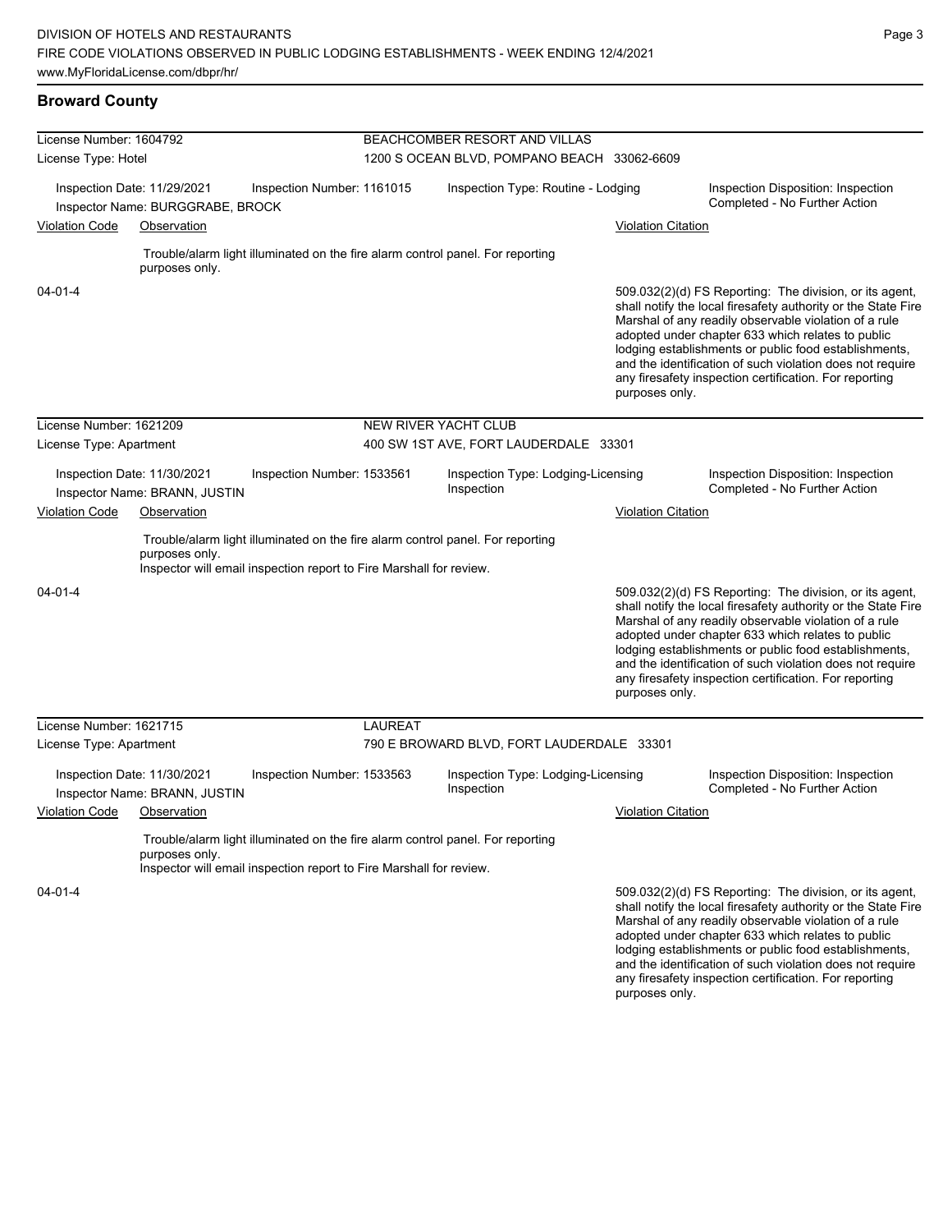#### **Broward County**

| License Number: 1604792 |                                                                 |                                                                     | BEACHCOMBER RESORT AND VILLAS               |                                                                                |                           |                                                                                                                                                                                                                                                                                                                                                                                                                        |  |  |
|-------------------------|-----------------------------------------------------------------|---------------------------------------------------------------------|---------------------------------------------|--------------------------------------------------------------------------------|---------------------------|------------------------------------------------------------------------------------------------------------------------------------------------------------------------------------------------------------------------------------------------------------------------------------------------------------------------------------------------------------------------------------------------------------------------|--|--|
| License Type: Hotel     |                                                                 |                                                                     | 1200 S OCEAN BLVD, POMPANO BEACH 33062-6609 |                                                                                |                           |                                                                                                                                                                                                                                                                                                                                                                                                                        |  |  |
|                         | Inspection Date: 11/29/2021<br>Inspector Name: BURGGRABE, BROCK | Inspection Number: 1161015                                          |                                             | Inspection Type: Routine - Lodging                                             |                           | Inspection Disposition: Inspection<br>Completed - No Further Action                                                                                                                                                                                                                                                                                                                                                    |  |  |
| <b>Violation Code</b>   | Observation                                                     |                                                                     |                                             |                                                                                | <b>Violation Citation</b> |                                                                                                                                                                                                                                                                                                                                                                                                                        |  |  |
|                         | purposes only.                                                  |                                                                     |                                             | Trouble/alarm light illuminated on the fire alarm control panel. For reporting |                           |                                                                                                                                                                                                                                                                                                                                                                                                                        |  |  |
| $04 - 01 - 4$           |                                                                 |                                                                     |                                             |                                                                                | purposes only.            | 509.032(2)(d) FS Reporting: The division, or its agent,<br>shall notify the local firesafety authority or the State Fire<br>Marshal of any readily observable violation of a rule<br>adopted under chapter 633 which relates to public<br>lodging establishments or public food establishments,<br>and the identification of such violation does not require<br>any firesafety inspection certification. For reporting |  |  |
| License Number: 1621209 |                                                                 |                                                                     | <b>NEW RIVER YACHT CLUB</b>                 |                                                                                |                           |                                                                                                                                                                                                                                                                                                                                                                                                                        |  |  |
| License Type: Apartment |                                                                 |                                                                     |                                             | 400 SW 1ST AVE, FORT LAUDERDALE 33301                                          |                           |                                                                                                                                                                                                                                                                                                                                                                                                                        |  |  |
|                         | Inspection Date: 11/30/2021<br>Inspector Name: BRANN, JUSTIN    | Inspection Number: 1533561                                          |                                             | Inspection Type: Lodging-Licensing<br>Inspection                               |                           | Inspection Disposition: Inspection<br>Completed - No Further Action                                                                                                                                                                                                                                                                                                                                                    |  |  |
| <b>Violation Code</b>   | Observation                                                     |                                                                     |                                             |                                                                                | <b>Violation Citation</b> |                                                                                                                                                                                                                                                                                                                                                                                                                        |  |  |
|                         | purposes only.                                                  | Inspector will email inspection report to Fire Marshall for review. |                                             | Trouble/alarm light illuminated on the fire alarm control panel. For reporting |                           |                                                                                                                                                                                                                                                                                                                                                                                                                        |  |  |
| $04 - 01 - 4$           |                                                                 |                                                                     |                                             |                                                                                | purposes only.            | 509.032(2)(d) FS Reporting: The division, or its agent,<br>shall notify the local firesafety authority or the State Fire<br>Marshal of any readily observable violation of a rule<br>adopted under chapter 633 which relates to public<br>lodging establishments or public food establishments,<br>and the identification of such violation does not require<br>any firesafety inspection certification. For reporting |  |  |
| License Number: 1621715 |                                                                 |                                                                     | <b>LAUREAT</b>                              |                                                                                |                           |                                                                                                                                                                                                                                                                                                                                                                                                                        |  |  |
| License Type: Apartment |                                                                 |                                                                     |                                             | 790 E BROWARD BLVD, FORT LAUDERDALE 33301                                      |                           |                                                                                                                                                                                                                                                                                                                                                                                                                        |  |  |
|                         | Inspection Date: 11/30/2021<br>Inspector Name: BRANN, JUSTIN    | Inspection Number: 1533563                                          |                                             | Inspection Type: Lodging-Licensing<br>Inspection                               |                           | Inspection Disposition: Inspection<br>Completed - No Further Action                                                                                                                                                                                                                                                                                                                                                    |  |  |
| <b>Violation Code</b>   | Observation                                                     |                                                                     |                                             |                                                                                | <b>Violation Citation</b> |                                                                                                                                                                                                                                                                                                                                                                                                                        |  |  |
|                         | purposes only.                                                  | Inspector will email inspection report to Fire Marshall for review. |                                             | Trouble/alarm light illuminated on the fire alarm control panel. For reporting |                           |                                                                                                                                                                                                                                                                                                                                                                                                                        |  |  |
| $04 - 01 - 4$           |                                                                 |                                                                     |                                             |                                                                                |                           | 509.032(2)(d) FS Reporting: The division, or its agent,<br>shall notify the local firesafety authority or the State Fire<br>Marshal of any readily observable violation of a rule<br>adopted under chapter 633 which relates to public<br>lodging establishments or public food establishments,                                                                                                                        |  |  |

and the identification of such violation does not require any firesafety inspection certification. For reporting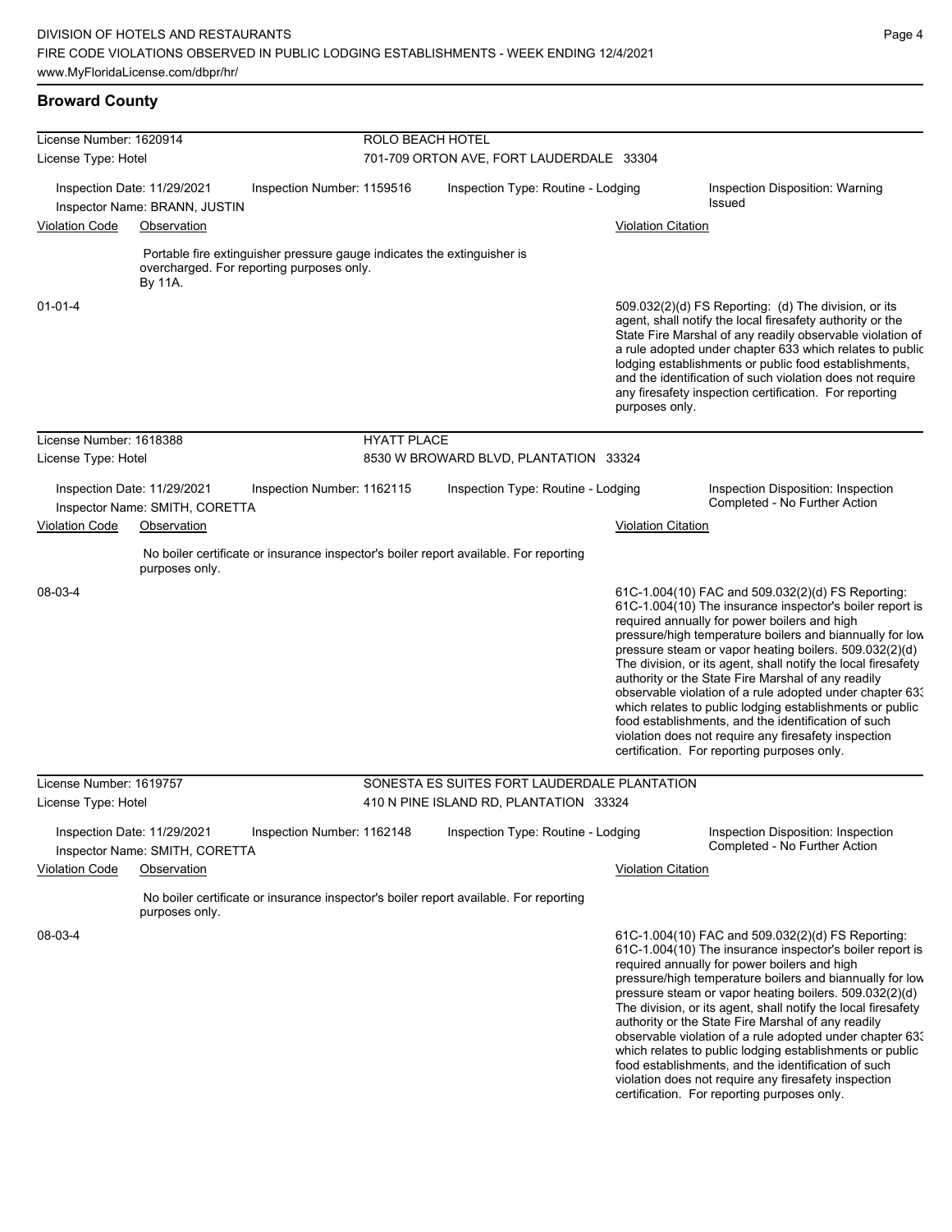### **Broward County**

| License Number: 1620914 |                                                               | <b>ROLO BEACH HOTEL</b>                                                 |                    |                                                                                       |                           |                                                                                                                                                                                                                                                                                                                                                                                                                                                                                                                                                                                                                                                                                                  |  |  |
|-------------------------|---------------------------------------------------------------|-------------------------------------------------------------------------|--------------------|---------------------------------------------------------------------------------------|---------------------------|--------------------------------------------------------------------------------------------------------------------------------------------------------------------------------------------------------------------------------------------------------------------------------------------------------------------------------------------------------------------------------------------------------------------------------------------------------------------------------------------------------------------------------------------------------------------------------------------------------------------------------------------------------------------------------------------------|--|--|
| License Type: Hotel     |                                                               |                                                                         |                    | 701-709 ORTON AVE, FORT LAUDERDALE 33304                                              |                           |                                                                                                                                                                                                                                                                                                                                                                                                                                                                                                                                                                                                                                                                                                  |  |  |
|                         | Inspection Date: 11/29/2021<br>Inspector Name: BRANN, JUSTIN  | Inspection Number: 1159516                                              |                    | Inspection Type: Routine - Lodging                                                    |                           | Inspection Disposition: Warning<br>Issued                                                                                                                                                                                                                                                                                                                                                                                                                                                                                                                                                                                                                                                        |  |  |
| <b>Violation Code</b>   | Observation                                                   |                                                                         |                    |                                                                                       | <b>Violation Citation</b> |                                                                                                                                                                                                                                                                                                                                                                                                                                                                                                                                                                                                                                                                                                  |  |  |
|                         |                                                               | Portable fire extinguisher pressure gauge indicates the extinguisher is |                    |                                                                                       |                           |                                                                                                                                                                                                                                                                                                                                                                                                                                                                                                                                                                                                                                                                                                  |  |  |
|                         | By 11A.                                                       | overcharged. For reporting purposes only.                               |                    |                                                                                       |                           |                                                                                                                                                                                                                                                                                                                                                                                                                                                                                                                                                                                                                                                                                                  |  |  |
| $01 - 01 - 4$           |                                                               |                                                                         |                    |                                                                                       | purposes only.            | 509.032(2)(d) FS Reporting: (d) The division, or its<br>agent, shall notify the local firesafety authority or the<br>State Fire Marshal of any readily observable violation of<br>a rule adopted under chapter 633 which relates to public<br>lodging establishments or public food establishments,<br>and the identification of such violation does not require<br>any firesafety inspection certification. For reporting                                                                                                                                                                                                                                                                       |  |  |
| License Number: 1618388 |                                                               |                                                                         | <b>HYATT PLACE</b> |                                                                                       |                           |                                                                                                                                                                                                                                                                                                                                                                                                                                                                                                                                                                                                                                                                                                  |  |  |
| License Type: Hotel     |                                                               |                                                                         |                    | 8530 W BROWARD BLVD, PLANTATION 33324                                                 |                           |                                                                                                                                                                                                                                                                                                                                                                                                                                                                                                                                                                                                                                                                                                  |  |  |
|                         | Inspection Date: 11/29/2021<br>Inspector Name: SMITH, CORETTA | Inspection Number: 1162115                                              |                    | Inspection Type: Routine - Lodging                                                    |                           | Inspection Disposition: Inspection<br>Completed - No Further Action                                                                                                                                                                                                                                                                                                                                                                                                                                                                                                                                                                                                                              |  |  |
| <b>Violation Code</b>   | Observation                                                   |                                                                         |                    |                                                                                       | <b>Violation Citation</b> |                                                                                                                                                                                                                                                                                                                                                                                                                                                                                                                                                                                                                                                                                                  |  |  |
|                         | purposes only.                                                |                                                                         |                    | No boiler certificate or insurance inspector's boiler report available. For reporting |                           |                                                                                                                                                                                                                                                                                                                                                                                                                                                                                                                                                                                                                                                                                                  |  |  |
| 08-03-4                 |                                                               |                                                                         |                    |                                                                                       |                           | 61C-1.004(10) FAC and 509.032(2)(d) FS Reporting:<br>61C-1.004(10) The insurance inspector's boiler report is<br>required annually for power boilers and high<br>pressure/high temperature boilers and biannually for low<br>pressure steam or vapor heating boilers. 509.032(2)(d)<br>The division, or its agent, shall notify the local firesafety<br>authority or the State Fire Marshal of any readily<br>observable violation of a rule adopted under chapter 63.<br>which relates to public lodging establishments or public<br>food establishments, and the identification of such<br>violation does not require any firesafety inspection<br>certification. For reporting purposes only. |  |  |
| License Number: 1619757 |                                                               |                                                                         |                    | SONESTA ES SUITES FORT LAUDERDALE PLANTATION                                          |                           |                                                                                                                                                                                                                                                                                                                                                                                                                                                                                                                                                                                                                                                                                                  |  |  |
| License Type: Hotel     |                                                               |                                                                         |                    | 410 N PINE ISLAND RD, PLANTATION 33324                                                |                           |                                                                                                                                                                                                                                                                                                                                                                                                                                                                                                                                                                                                                                                                                                  |  |  |
|                         | Inspection Date: 11/29/2021<br>Inspector Name: SMITH, CORETTA | Inspection Number: 1162148                                              |                    | Inspection Type: Routine - Lodging                                                    |                           | Inspection Disposition: Inspection<br>Completed - No Further Action                                                                                                                                                                                                                                                                                                                                                                                                                                                                                                                                                                                                                              |  |  |
| <b>Violation Code</b>   | Observation                                                   |                                                                         |                    |                                                                                       | <b>Violation Citation</b> |                                                                                                                                                                                                                                                                                                                                                                                                                                                                                                                                                                                                                                                                                                  |  |  |
|                         | purposes only.                                                |                                                                         |                    | No boiler certificate or insurance inspector's boiler report available. For reporting |                           |                                                                                                                                                                                                                                                                                                                                                                                                                                                                                                                                                                                                                                                                                                  |  |  |
| 08-03-4                 |                                                               |                                                                         |                    |                                                                                       |                           | 61C-1.004(10) FAC and 509.032(2)(d) FS Reporting:<br>61C-1.004(10) The insurance inspector's boiler report is<br>required annually for power boilers and high<br>pressure/high temperature boilers and biannually for low<br>pressure steam or vapor heating boilers. 509.032(2)(d)<br>The division, or its agent, shall notify the local firesafety<br>authority or the State Fire Marshal of any readily<br>observable violation of a rule adopted under chapter 633<br>which relates to public lodging establishments or public<br>food establishments, and the identification of such<br>violation does not require any firesafety inspection<br>certification. For reporting purposes only. |  |  |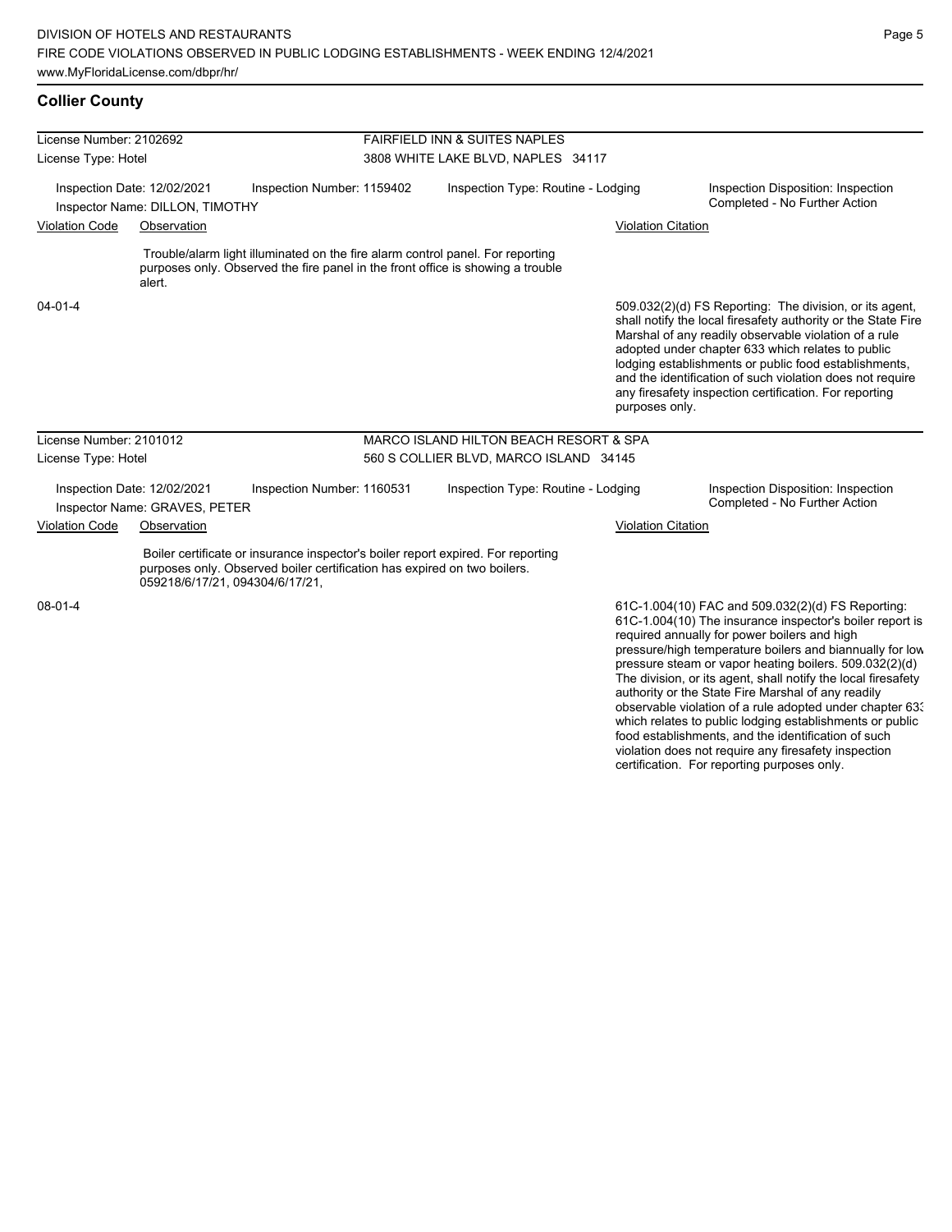### **Collier County**

| License Number: 2102692 |                                                                |                                                                                                                                                                   | <b>FAIRFIELD INN &amp; SUITES NAPLES</b> |                                        |                           |                                                                                                                                                                                                                                                                                                                                                                                                                                                                        |  |
|-------------------------|----------------------------------------------------------------|-------------------------------------------------------------------------------------------------------------------------------------------------------------------|------------------------------------------|----------------------------------------|---------------------------|------------------------------------------------------------------------------------------------------------------------------------------------------------------------------------------------------------------------------------------------------------------------------------------------------------------------------------------------------------------------------------------------------------------------------------------------------------------------|--|
| License Type: Hotel     |                                                                |                                                                                                                                                                   |                                          | 3808 WHITE LAKE BLVD, NAPLES 34117     |                           |                                                                                                                                                                                                                                                                                                                                                                                                                                                                        |  |
|                         | Inspection Date: 12/02/2021<br>Inspector Name: DILLON, TIMOTHY | Inspection Number: 1159402                                                                                                                                        |                                          | Inspection Type: Routine - Lodging     |                           | Inspection Disposition: Inspection<br>Completed - No Further Action                                                                                                                                                                                                                                                                                                                                                                                                    |  |
| <b>Violation Code</b>   | Observation                                                    |                                                                                                                                                                   |                                          |                                        | <b>Violation Citation</b> |                                                                                                                                                                                                                                                                                                                                                                                                                                                                        |  |
|                         | alert.                                                         | Trouble/alarm light illuminated on the fire alarm control panel. For reporting<br>purposes only. Observed the fire panel in the front office is showing a trouble |                                          |                                        |                           |                                                                                                                                                                                                                                                                                                                                                                                                                                                                        |  |
| $04 - 01 - 4$           |                                                                |                                                                                                                                                                   |                                          |                                        | purposes only.            | 509.032(2)(d) FS Reporting: The division, or its agent,<br>shall notify the local firesafety authority or the State Fire<br>Marshal of any readily observable violation of a rule<br>adopted under chapter 633 which relates to public<br>lodging establishments or public food establishments,<br>and the identification of such violation does not require<br>any firesafety inspection certification. For reporting                                                 |  |
| License Number: 2101012 |                                                                |                                                                                                                                                                   |                                          | MARCO ISLAND HILTON BEACH RESORT & SPA |                           |                                                                                                                                                                                                                                                                                                                                                                                                                                                                        |  |
| License Type: Hotel     |                                                                |                                                                                                                                                                   |                                          | 560 S COLLIER BLVD, MARCO ISLAND 34145 |                           |                                                                                                                                                                                                                                                                                                                                                                                                                                                                        |  |
|                         | Inspection Date: 12/02/2021<br>Inspector Name: GRAVES, PETER   | Inspection Number: 1160531                                                                                                                                        |                                          | Inspection Type: Routine - Lodging     |                           | Inspection Disposition: Inspection<br>Completed - No Further Action                                                                                                                                                                                                                                                                                                                                                                                                    |  |
| <b>Violation Code</b>   | Observation                                                    |                                                                                                                                                                   |                                          |                                        | <b>Violation Citation</b> |                                                                                                                                                                                                                                                                                                                                                                                                                                                                        |  |
|                         | 059218/6/17/21, 094304/6/17/21,                                | Boiler certificate or insurance inspector's boiler report expired. For reporting<br>purposes only. Observed boiler certification has expired on two boilers.      |                                          |                                        |                           |                                                                                                                                                                                                                                                                                                                                                                                                                                                                        |  |
| 08-01-4                 |                                                                |                                                                                                                                                                   |                                          |                                        |                           | 61C-1.004(10) FAC and 509.032(2)(d) FS Reporting:<br>61C-1.004(10) The insurance inspector's boiler report is<br>required annually for power boilers and high<br>pressure/high temperature boilers and biannually for low<br>pressure steam or vapor heating boilers. 509.032(2)(d)<br>The division, or its agent, shall notify the local firesafety<br>authority or the State Fire Marshal of any readily<br>observable violation of a rule adopted under chapter 633 |  |

which relates to public lodging establishments or public food establishments, and the identification of such violation does not require any firesafety inspection certification. For reporting purposes only.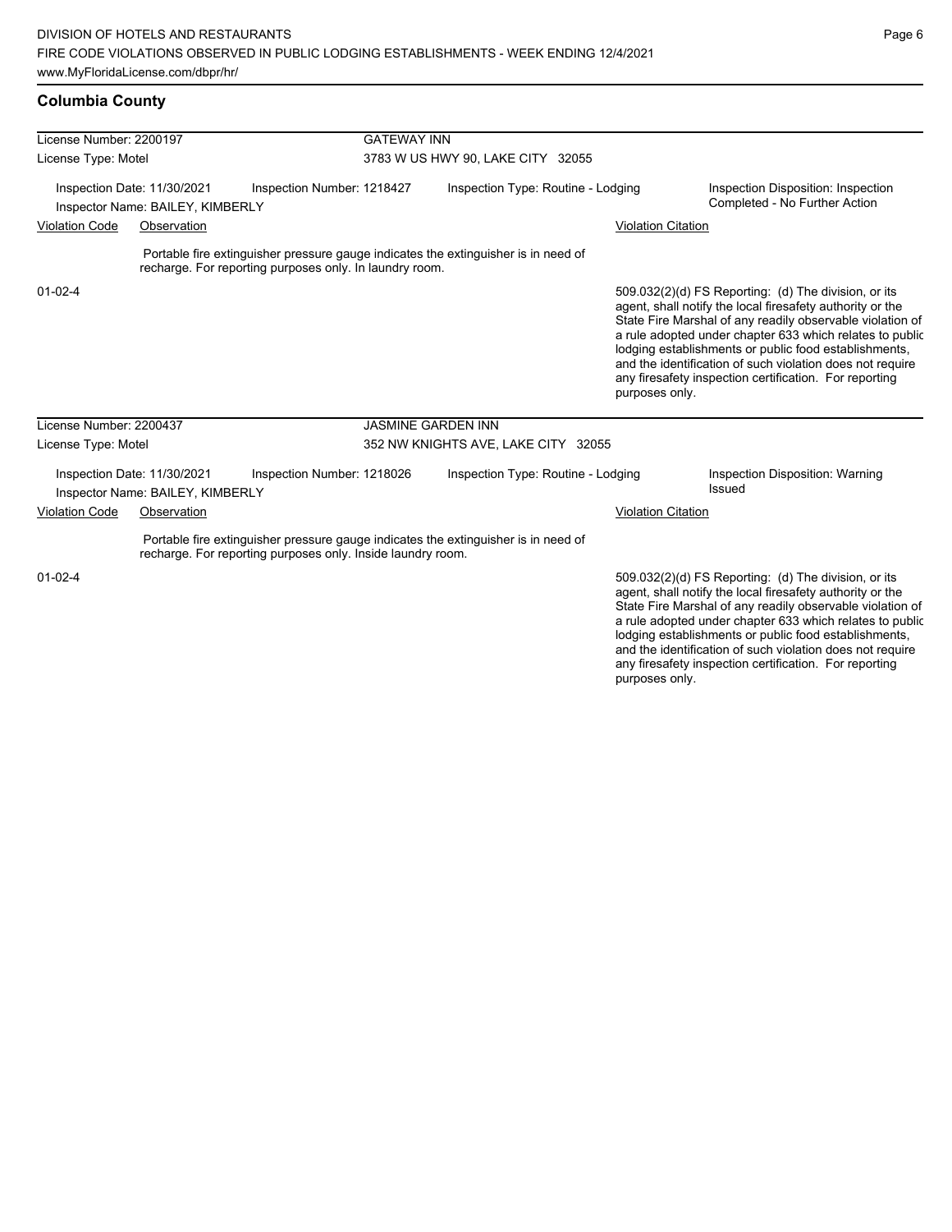### **Columbia County**

| License Number: 2200197                                         |                                                                 |                                                                                                                                                   | <b>GATEWAY INN</b>                  |                                    |                           |                                                                                                                                                                                                                                                                                                                                                                                                                            |  |  |
|-----------------------------------------------------------------|-----------------------------------------------------------------|---------------------------------------------------------------------------------------------------------------------------------------------------|-------------------------------------|------------------------------------|---------------------------|----------------------------------------------------------------------------------------------------------------------------------------------------------------------------------------------------------------------------------------------------------------------------------------------------------------------------------------------------------------------------------------------------------------------------|--|--|
| License Type: Motel                                             |                                                                 |                                                                                                                                                   | 3783 W US HWY 90, LAKE CITY 32055   |                                    |                           |                                                                                                                                                                                                                                                                                                                                                                                                                            |  |  |
| Inspection Date: 11/30/2021<br>Inspector Name: BAILEY, KIMBERLY |                                                                 | Inspection Number: 1218427                                                                                                                        | Inspection Type: Routine - Lodging  |                                    |                           | Inspection Disposition: Inspection<br>Completed - No Further Action                                                                                                                                                                                                                                                                                                                                                        |  |  |
| <b>Violation Code</b>                                           | Observation                                                     |                                                                                                                                                   |                                     |                                    | <b>Violation Citation</b> |                                                                                                                                                                                                                                                                                                                                                                                                                            |  |  |
|                                                                 |                                                                 | Portable fire extinguisher pressure gauge indicates the extinguisher is in need of<br>recharge. For reporting purposes only. In laundry room.     |                                     |                                    |                           |                                                                                                                                                                                                                                                                                                                                                                                                                            |  |  |
| $01 - 02 - 4$                                                   |                                                                 |                                                                                                                                                   |                                     |                                    | purposes only.            | 509.032(2)(d) FS Reporting: (d) The division, or its<br>agent, shall notify the local firesafety authority or the<br>State Fire Marshal of any readily observable violation of<br>a rule adopted under chapter 633 which relates to public<br>lodging establishments or public food establishments,<br>and the identification of such violation does not require<br>any firesafety inspection certification. For reporting |  |  |
| License Number: 2200437                                         |                                                                 |                                                                                                                                                   | <b>JASMINE GARDEN INN</b>           |                                    |                           |                                                                                                                                                                                                                                                                                                                                                                                                                            |  |  |
| License Type: Motel                                             |                                                                 |                                                                                                                                                   | 352 NW KNIGHTS AVE, LAKE CITY 32055 |                                    |                           |                                                                                                                                                                                                                                                                                                                                                                                                                            |  |  |
|                                                                 | Inspection Date: 11/30/2021<br>Inspector Name: BAILEY, KIMBERLY | Inspection Number: 1218026                                                                                                                        |                                     | Inspection Type: Routine - Lodging |                           | <b>Inspection Disposition: Warning</b><br>Issued                                                                                                                                                                                                                                                                                                                                                                           |  |  |
| <b>Violation Code</b>                                           | Observation                                                     |                                                                                                                                                   |                                     |                                    | <b>Violation Citation</b> |                                                                                                                                                                                                                                                                                                                                                                                                                            |  |  |
|                                                                 |                                                                 | Portable fire extinguisher pressure gauge indicates the extinguisher is in need of<br>recharge. For reporting purposes only. Inside laundry room. |                                     |                                    |                           |                                                                                                                                                                                                                                                                                                                                                                                                                            |  |  |
| $01 - 02 - 4$                                                   |                                                                 |                                                                                                                                                   |                                     |                                    |                           | 509.032(2)(d) FS Reporting: (d) The division, or its<br>agent, shall notify the local firesafety authority or the<br>State Fire Marshal of any readily observable violation of<br>a rule adopted under chapter 633 which relates to public<br>lodging establishments or public food establishments,<br>and the identification of such violation does not require                                                           |  |  |

and the identification of such violation does not require any firesafety inspection certification. For reporting purposes only.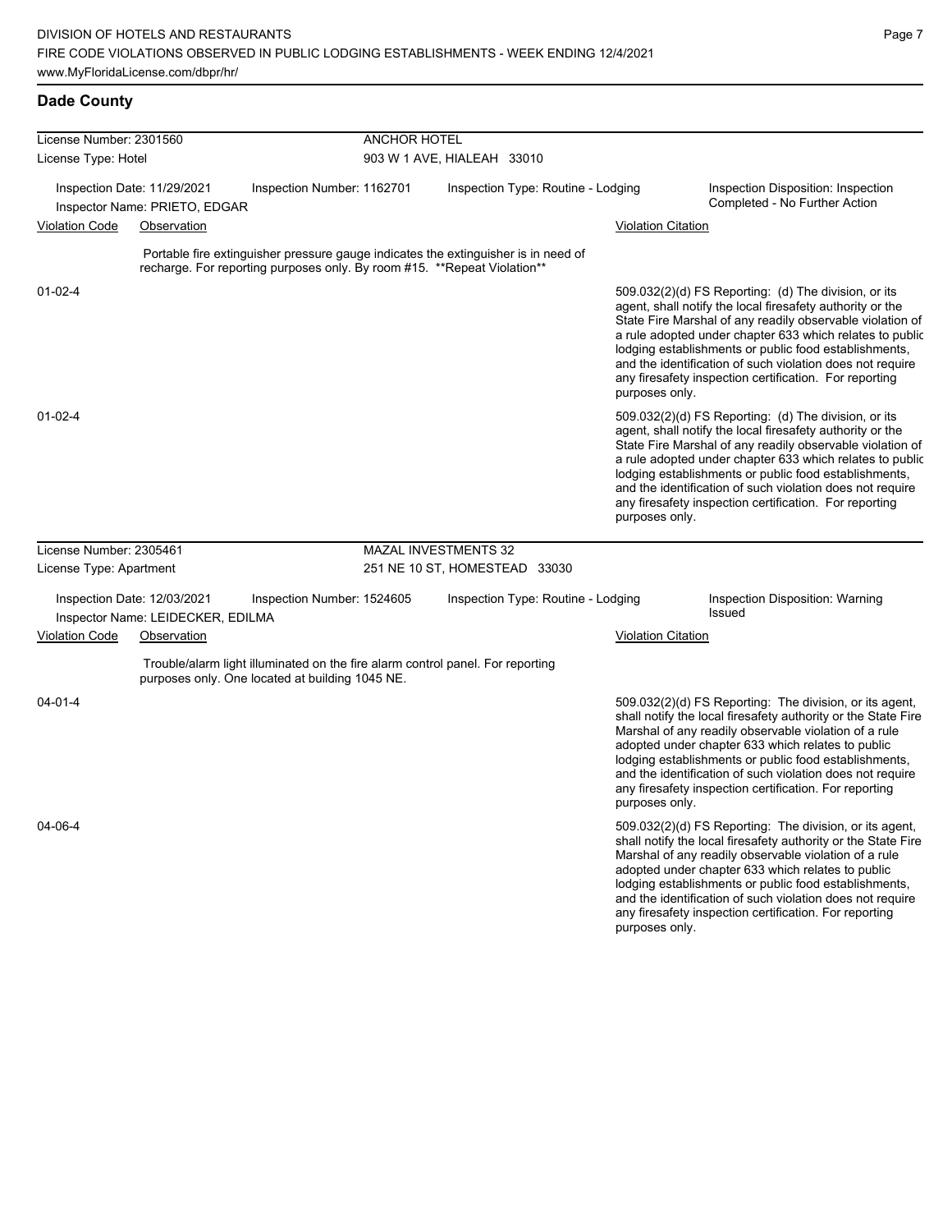# **Dade County**

| License Number: 2301560 |                                                                  |                                                                          | ANCHOR HOTEL         |                                                                                    |                           |                                                                                                                                                                                                                                                                                                                                                                                                                            |  |  |
|-------------------------|------------------------------------------------------------------|--------------------------------------------------------------------------|----------------------|------------------------------------------------------------------------------------|---------------------------|----------------------------------------------------------------------------------------------------------------------------------------------------------------------------------------------------------------------------------------------------------------------------------------------------------------------------------------------------------------------------------------------------------------------------|--|--|
| License Type: Hotel     |                                                                  |                                                                          |                      | 903 W 1 AVE, HIALEAH 33010                                                         |                           |                                                                                                                                                                                                                                                                                                                                                                                                                            |  |  |
|                         | Inspection Date: 11/29/2021<br>Inspector Name: PRIETO, EDGAR     | Inspection Number: 1162701                                               |                      | Inspection Type: Routine - Lodging                                                 |                           | Inspection Disposition: Inspection<br>Completed - No Further Action                                                                                                                                                                                                                                                                                                                                                        |  |  |
| <b>Violation Code</b>   | Observation                                                      |                                                                          |                      |                                                                                    | <b>Violation Citation</b> |                                                                                                                                                                                                                                                                                                                                                                                                                            |  |  |
|                         |                                                                  | recharge. For reporting purposes only. By room #15. **Repeat Violation** |                      | Portable fire extinguisher pressure gauge indicates the extinguisher is in need of |                           |                                                                                                                                                                                                                                                                                                                                                                                                                            |  |  |
| $01 - 02 - 4$           |                                                                  |                                                                          |                      |                                                                                    | purposes only.            | 509.032(2)(d) FS Reporting: (d) The division, or its<br>agent, shall notify the local firesafety authority or the<br>State Fire Marshal of any readily observable violation of<br>a rule adopted under chapter 633 which relates to public<br>lodging establishments or public food establishments,<br>and the identification of such violation does not require<br>any firesafety inspection certification. For reporting |  |  |
| $01 - 02 - 4$           |                                                                  |                                                                          |                      |                                                                                    | purposes only.            | 509.032(2)(d) FS Reporting: (d) The division, or its<br>agent, shall notify the local firesafety authority or the<br>State Fire Marshal of any readily observable violation of<br>a rule adopted under chapter 633 which relates to public<br>lodging establishments or public food establishments,<br>and the identification of such violation does not require<br>any firesafety inspection certification. For reporting |  |  |
| License Number: 2305461 |                                                                  |                                                                          | MAZAL INVESTMENTS 32 |                                                                                    |                           |                                                                                                                                                                                                                                                                                                                                                                                                                            |  |  |
| License Type: Apartment |                                                                  |                                                                          |                      | 251 NE 10 ST, HOMESTEAD 33030                                                      |                           |                                                                                                                                                                                                                                                                                                                                                                                                                            |  |  |
|                         | Inspection Date: 12/03/2021<br>Inspector Name: LEIDECKER, EDILMA | Inspection Number: 1524605                                               |                      | Inspection Type: Routine - Lodging                                                 |                           | Inspection Disposition: Warning<br>Issued                                                                                                                                                                                                                                                                                                                                                                                  |  |  |
| <b>Violation Code</b>   | Observation                                                      |                                                                          |                      |                                                                                    | <b>Violation Citation</b> |                                                                                                                                                                                                                                                                                                                                                                                                                            |  |  |
|                         |                                                                  | purposes only. One located at building 1045 NE.                          |                      | Trouble/alarm light illuminated on the fire alarm control panel. For reporting     |                           |                                                                                                                                                                                                                                                                                                                                                                                                                            |  |  |
| $04 - 01 - 4$           |                                                                  |                                                                          |                      |                                                                                    | purposes only.            | 509.032(2)(d) FS Reporting: The division, or its agent,<br>shall notify the local firesafety authority or the State Fire<br>Marshal of any readily observable violation of a rule<br>adopted under chapter 633 which relates to public<br>lodging establishments or public food establishments,<br>and the identification of such violation does not require<br>any firesafety inspection certification. For reporting     |  |  |
| 04-06-4                 |                                                                  |                                                                          |                      |                                                                                    |                           | 509.032(2)(d) FS Reporting: The division, or its agent,<br>shall notify the local firesafety authority or the State Fire<br>Marshal of any readily observable violation of a rule<br>adopted under chapter 633 which relates to public<br>lodging establishments or public food establishments,<br>and the identification of such violation does not require<br>any firesafety inspection certification. For reporting     |  |  |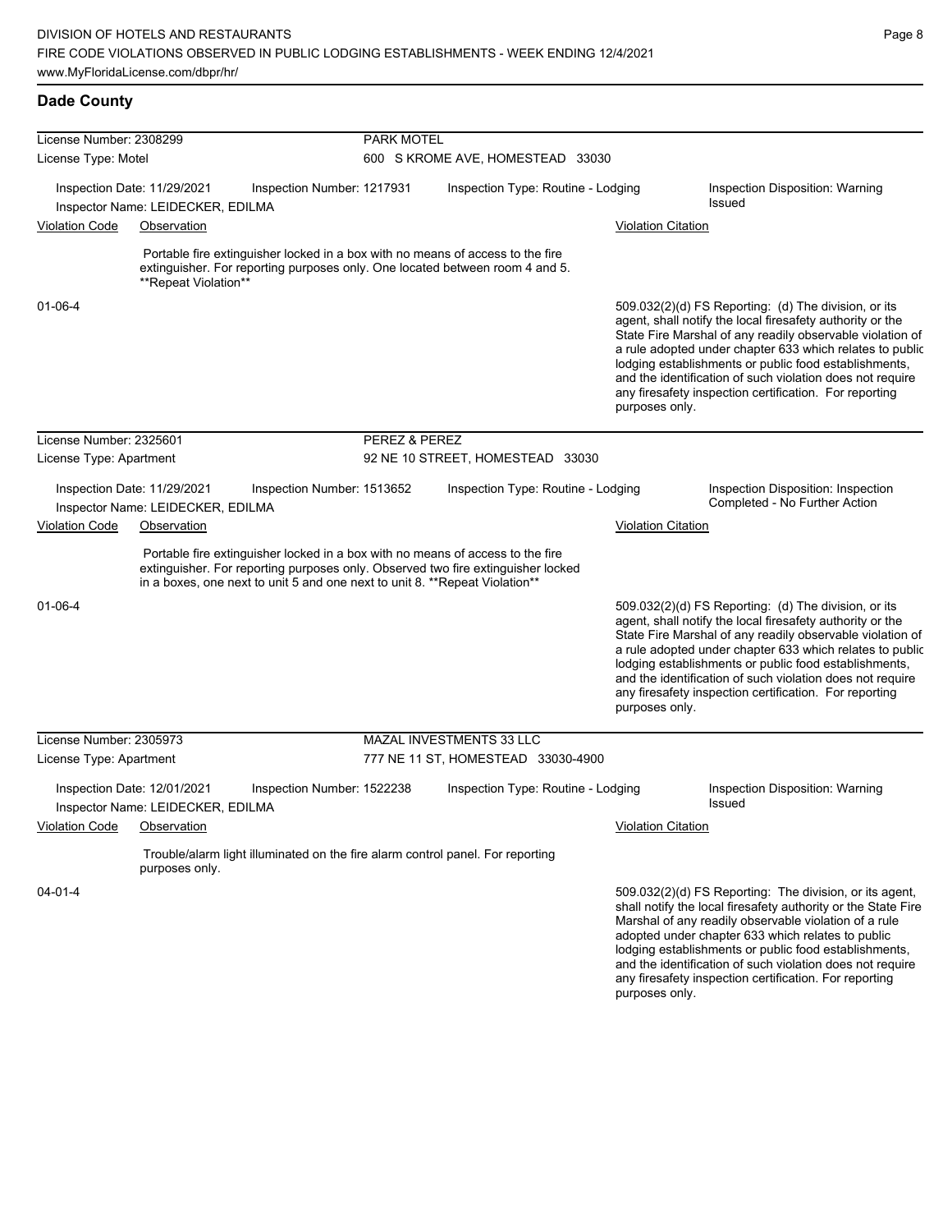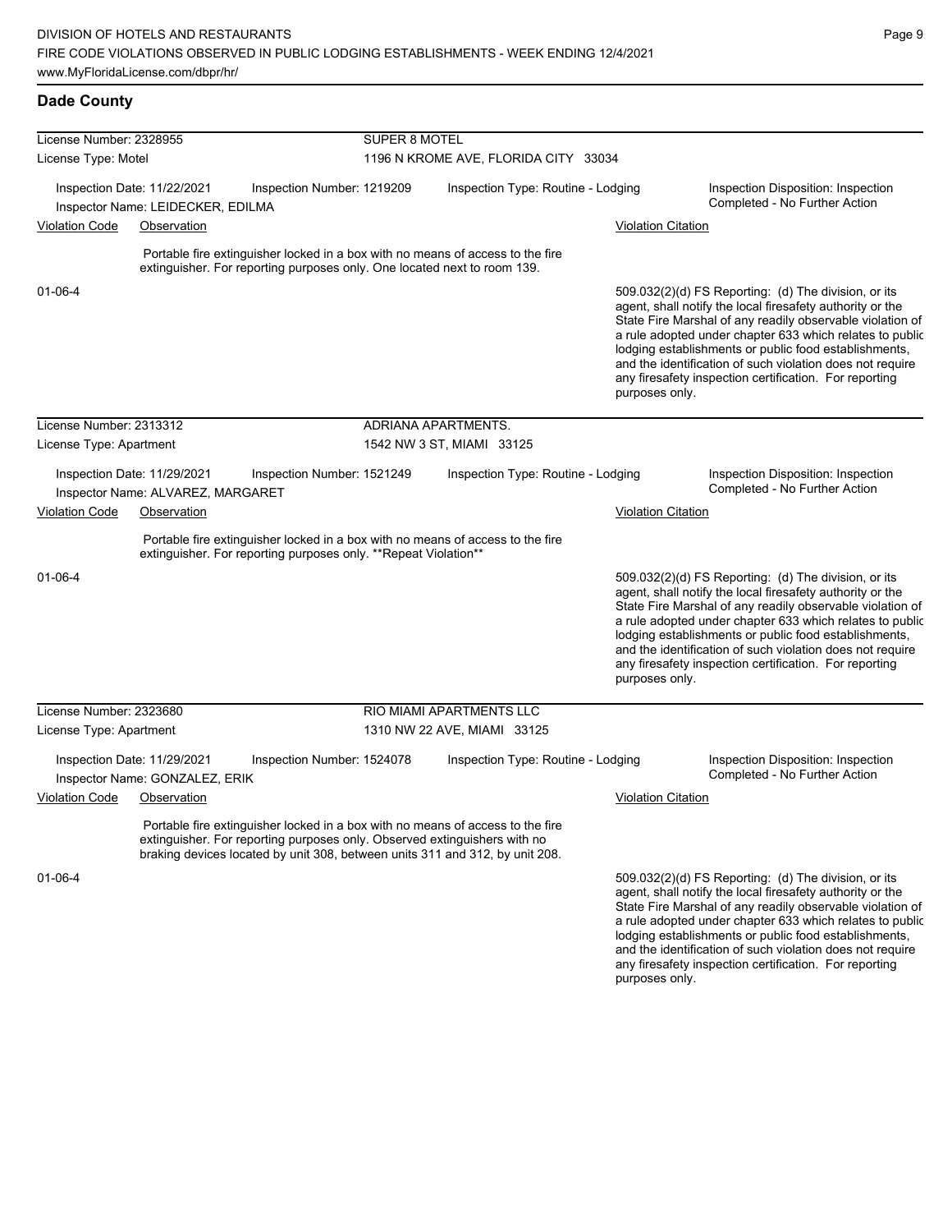### **Dade County**

| License Number: 2328955              |                                   |                                                                                                                                                                                                                                             | SUPER 8 MOTEL                        |                                    |                                    |                           |                                                                                                                                                                                                                                                                                                                                                                                                                            |  |
|--------------------------------------|-----------------------------------|---------------------------------------------------------------------------------------------------------------------------------------------------------------------------------------------------------------------------------------------|--------------------------------------|------------------------------------|------------------------------------|---------------------------|----------------------------------------------------------------------------------------------------------------------------------------------------------------------------------------------------------------------------------------------------------------------------------------------------------------------------------------------------------------------------------------------------------------------------|--|
| License Type: Motel                  |                                   |                                                                                                                                                                                                                                             | 1196 N KROME AVE, FLORIDA CITY 33034 |                                    |                                    |                           |                                                                                                                                                                                                                                                                                                                                                                                                                            |  |
| Inspection Date: 11/22/2021          | Inspector Name: LEIDECKER, EDILMA | Inspection Number: 1219209                                                                                                                                                                                                                  |                                      | Inspection Type: Routine - Lodging |                                    |                           | Inspection Disposition: Inspection<br>Completed - No Further Action                                                                                                                                                                                                                                                                                                                                                        |  |
| <b>Violation Code</b>                | Observation                       |                                                                                                                                                                                                                                             |                                      |                                    |                                    | <b>Violation Citation</b> |                                                                                                                                                                                                                                                                                                                                                                                                                            |  |
|                                      |                                   | Portable fire extinguisher locked in a box with no means of access to the fire<br>extinguisher. For reporting purposes only. One located next to room 139.                                                                                  |                                      |                                    |                                    |                           |                                                                                                                                                                                                                                                                                                                                                                                                                            |  |
| $01 - 06 - 4$                        |                                   |                                                                                                                                                                                                                                             |                                      |                                    |                                    | purposes only.            | 509.032(2)(d) FS Reporting: (d) The division, or its<br>agent, shall notify the local firesafety authority or the<br>State Fire Marshal of any readily observable violation of<br>a rule adopted under chapter 633 which relates to public<br>lodging establishments or public food establishments,<br>and the identification of such violation does not require<br>any firesafety inspection certification. For reporting |  |
| License Number: 2313312              |                                   |                                                                                                                                                                                                                                             | ADRIANA APARTMENTS.                  |                                    |                                    |                           |                                                                                                                                                                                                                                                                                                                                                                                                                            |  |
| License Type: Apartment              |                                   |                                                                                                                                                                                                                                             | 1542 NW 3 ST, MIAMI 33125            |                                    |                                    |                           |                                                                                                                                                                                                                                                                                                                                                                                                                            |  |
| Inspection Date: 11/29/2021          | Inspector Name: ALVAREZ, MARGARET | Inspection Number: 1521249                                                                                                                                                                                                                  |                                      |                                    | Inspection Type: Routine - Lodging |                           | Inspection Disposition: Inspection<br>Completed - No Further Action                                                                                                                                                                                                                                                                                                                                                        |  |
| <b>Violation Code</b><br>Observation |                                   |                                                                                                                                                                                                                                             |                                      |                                    |                                    | <b>Violation Citation</b> |                                                                                                                                                                                                                                                                                                                                                                                                                            |  |
|                                      |                                   | Portable fire extinguisher locked in a box with no means of access to the fire<br>extinguisher. For reporting purposes only. **Repeat Violation**                                                                                           |                                      |                                    |                                    |                           |                                                                                                                                                                                                                                                                                                                                                                                                                            |  |
| $01 - 06 - 4$                        |                                   |                                                                                                                                                                                                                                             |                                      |                                    |                                    | purposes only.            | 509.032(2)(d) FS Reporting: (d) The division, or its<br>agent, shall notify the local firesafety authority or the<br>State Fire Marshal of any readily observable violation of<br>a rule adopted under chapter 633 which relates to public<br>lodging establishments or public food establishments,<br>and the identification of such violation does not require<br>any firesafety inspection certification. For reporting |  |
| License Number: 2323680              |                                   |                                                                                                                                                                                                                                             | RIO MIAMI APARTMENTS LLC             |                                    |                                    |                           |                                                                                                                                                                                                                                                                                                                                                                                                                            |  |
| License Type: Apartment              |                                   |                                                                                                                                                                                                                                             |                                      | 1310 NW 22 AVE, MIAMI 33125        |                                    |                           |                                                                                                                                                                                                                                                                                                                                                                                                                            |  |
| Inspection Date: 11/29/2021          | Inspector Name: GONZALEZ, ERIK    | Inspection Number: 1524078                                                                                                                                                                                                                  |                                      |                                    | Inspection Type: Routine - Lodging |                           | Inspection Disposition: Inspection<br>Completed - No Further Action                                                                                                                                                                                                                                                                                                                                                        |  |
| <b>Violation Code</b>                | Observation                       |                                                                                                                                                                                                                                             |                                      |                                    |                                    | <b>Violation Citation</b> |                                                                                                                                                                                                                                                                                                                                                                                                                            |  |
|                                      |                                   | Portable fire extinguisher locked in a box with no means of access to the fire<br>extinguisher. For reporting purposes only. Observed extinguishers with no<br>braking devices located by unit 308, between units 311 and 312, by unit 208. |                                      |                                    |                                    |                           |                                                                                                                                                                                                                                                                                                                                                                                                                            |  |
| $01 - 06 - 4$                        |                                   |                                                                                                                                                                                                                                             |                                      |                                    |                                    |                           | 509.032(2)(d) FS Reporting: (d) The division, or its<br>agent, shall notify the local firesafety authority or the<br>State Fire Marshal of any readily observable violation of                                                                                                                                                                                                                                             |  |

State Fire Marshal of any readily observable violation of a rule adopted under chapter 633 which relates to public lodging establishments or public food establishments, and the identification of such violation does not require any firesafety inspection certification. For reporting purposes only.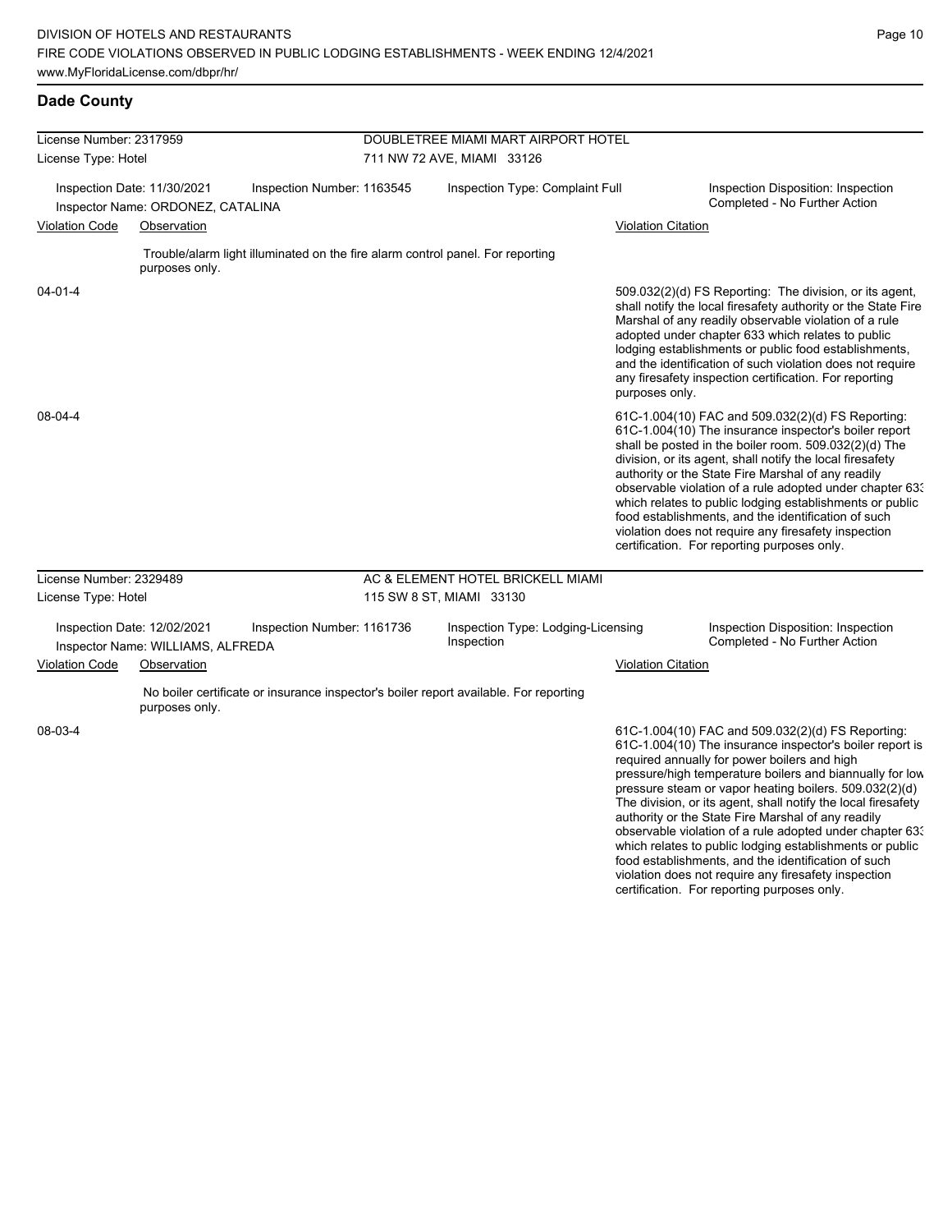food establishments, and the identification of such violation does not require any firesafety inspection certification. For reporting purposes only.

### **Dade County**

| License Number: 2317959 |                                                                                 |                                                                                | DOUBLETREE MIAMI MART AIRPORT HOTEL |                                                                                       |                           |                                                                                                                                                                                                                                                                                                                                                                                                                                                                                                                                                                              |  |  |
|-------------------------|---------------------------------------------------------------------------------|--------------------------------------------------------------------------------|-------------------------------------|---------------------------------------------------------------------------------------|---------------------------|------------------------------------------------------------------------------------------------------------------------------------------------------------------------------------------------------------------------------------------------------------------------------------------------------------------------------------------------------------------------------------------------------------------------------------------------------------------------------------------------------------------------------------------------------------------------------|--|--|
| License Type: Hotel     |                                                                                 |                                                                                |                                     | 711 NW 72 AVE, MIAMI 33126                                                            |                           |                                                                                                                                                                                                                                                                                                                                                                                                                                                                                                                                                                              |  |  |
| <b>Violation Code</b>   | Inspection Date: 11/30/2021<br>Inspector Name: ORDONEZ, CATALINA<br>Observation | Inspection Number: 1163545                                                     |                                     | Inspection Type: Complaint Full                                                       | <b>Violation Citation</b> | Inspection Disposition: Inspection<br>Completed - No Further Action                                                                                                                                                                                                                                                                                                                                                                                                                                                                                                          |  |  |
|                         | purposes only.                                                                  | Trouble/alarm light illuminated on the fire alarm control panel. For reporting |                                     |                                                                                       |                           |                                                                                                                                                                                                                                                                                                                                                                                                                                                                                                                                                                              |  |  |
| $04 - 01 - 4$           |                                                                                 |                                                                                |                                     |                                                                                       | purposes only.            | 509.032(2)(d) FS Reporting: The division, or its agent,<br>shall notify the local firesafety authority or the State Fire<br>Marshal of any readily observable violation of a rule<br>adopted under chapter 633 which relates to public<br>lodging establishments or public food establishments,<br>and the identification of such violation does not require<br>any firesafety inspection certification. For reporting                                                                                                                                                       |  |  |
| 08-04-4                 |                                                                                 |                                                                                |                                     |                                                                                       |                           | 61C-1.004(10) FAC and 509.032(2)(d) FS Reporting:<br>61C-1.004(10) The insurance inspector's boiler report<br>shall be posted in the boiler room. 509.032(2)(d) The<br>division, or its agent, shall notify the local firesafety<br>authority or the State Fire Marshal of any readily<br>observable violation of a rule adopted under chapter 63.<br>which relates to public lodging establishments or public<br>food establishments, and the identification of such<br>violation does not require any firesafety inspection<br>certification. For reporting purposes only. |  |  |
| License Number: 2329489 |                                                                                 |                                                                                |                                     | AC & ELEMENT HOTEL BRICKELL MIAMI                                                     |                           |                                                                                                                                                                                                                                                                                                                                                                                                                                                                                                                                                                              |  |  |
| License Type: Hotel     |                                                                                 |                                                                                |                                     | 115 SW 8 ST, MIAMI 33130                                                              |                           |                                                                                                                                                                                                                                                                                                                                                                                                                                                                                                                                                                              |  |  |
|                         | Inspection Date: 12/02/2021<br>Inspector Name: WILLIAMS, ALFREDA                | Inspection Number: 1161736                                                     |                                     | Inspection Type: Lodging-Licensing<br>Inspection                                      |                           | Inspection Disposition: Inspection<br>Completed - No Further Action                                                                                                                                                                                                                                                                                                                                                                                                                                                                                                          |  |  |
| <b>Violation Code</b>   | Observation                                                                     |                                                                                |                                     |                                                                                       | <b>Violation Citation</b> |                                                                                                                                                                                                                                                                                                                                                                                                                                                                                                                                                                              |  |  |
|                         | purposes only.                                                                  |                                                                                |                                     | No boiler certificate or insurance inspector's boiler report available. For reporting |                           |                                                                                                                                                                                                                                                                                                                                                                                                                                                                                                                                                                              |  |  |
| 08-03-4                 |                                                                                 |                                                                                |                                     |                                                                                       |                           | 61C-1.004(10) FAC and 509.032(2)(d) FS Reporting:<br>61C-1.004(10) The insurance inspector's boiler report is<br>required annually for power boilers and high<br>pressure/high temperature boilers and biannually for low<br>pressure steam or vapor heating boilers. 509.032(2)(d)<br>The division, or its agent, shall notify the local firesafety<br>authority or the State Fire Marshal of any readily<br>observable violation of a rule adopted under chapter 63.<br>which relates to public lodging establishments or public                                           |  |  |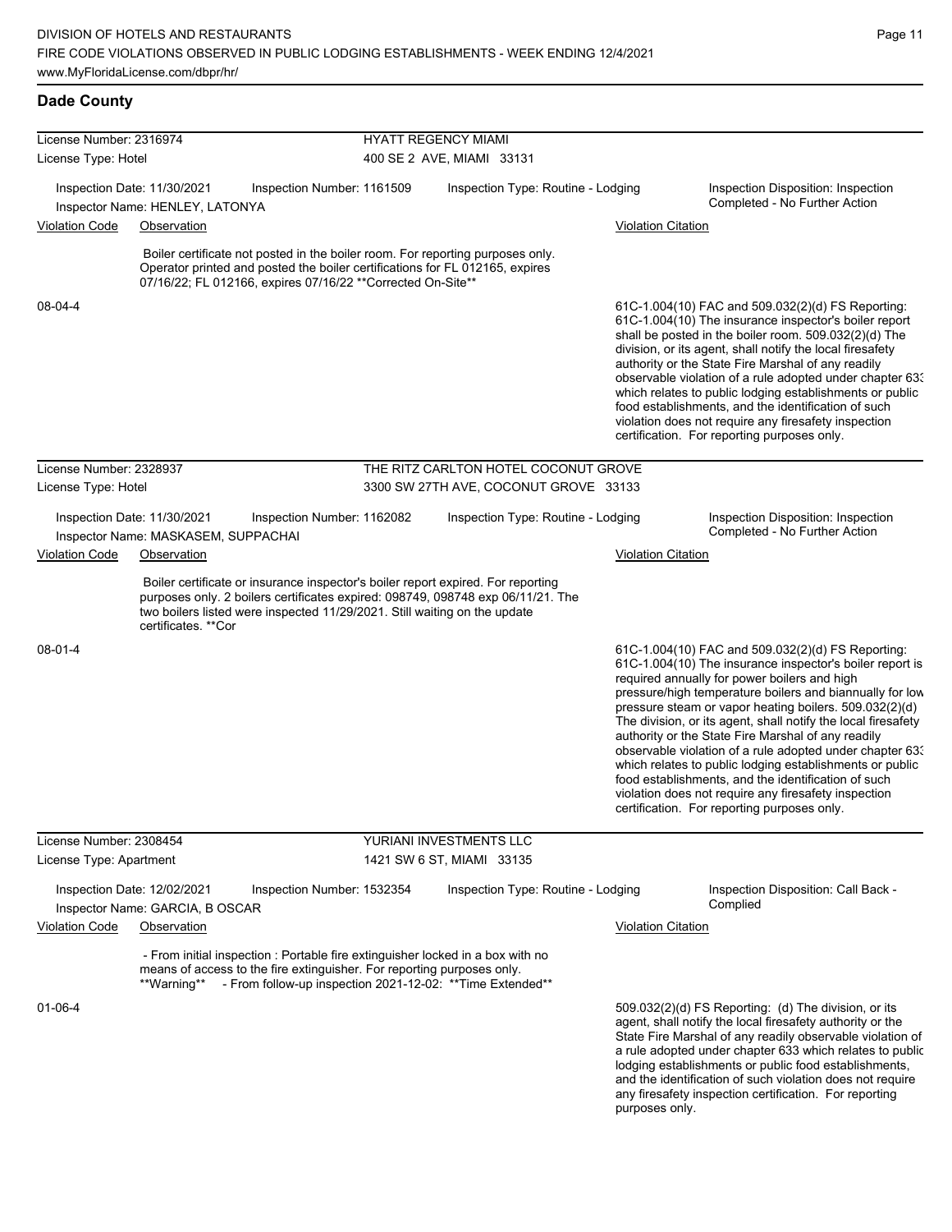# **Dade County**

|                         | License Number: 2316974                                            |                                                                                                                                                                                                                                   |                           | <b>HYATT REGENCY MIAMI</b>                                                      |                           |                                                                                                                                                                                                                                                                                                                                                                                                                                                                                                                                                                                                                                                                                                  |  |  |  |  |
|-------------------------|--------------------------------------------------------------------|-----------------------------------------------------------------------------------------------------------------------------------------------------------------------------------------------------------------------------------|---------------------------|---------------------------------------------------------------------------------|---------------------------|--------------------------------------------------------------------------------------------------------------------------------------------------------------------------------------------------------------------------------------------------------------------------------------------------------------------------------------------------------------------------------------------------------------------------------------------------------------------------------------------------------------------------------------------------------------------------------------------------------------------------------------------------------------------------------------------------|--|--|--|--|
| License Type: Hotel     |                                                                    |                                                                                                                                                                                                                                   | 400 SE 2 AVE, MIAMI 33131 |                                                                                 |                           |                                                                                                                                                                                                                                                                                                                                                                                                                                                                                                                                                                                                                                                                                                  |  |  |  |  |
|                         |                                                                    |                                                                                                                                                                                                                                   |                           |                                                                                 |                           |                                                                                                                                                                                                                                                                                                                                                                                                                                                                                                                                                                                                                                                                                                  |  |  |  |  |
|                         | Inspection Date: 11/30/2021<br>Inspector Name: HENLEY, LATONYA     | Inspection Number: 1161509                                                                                                                                                                                                        |                           | Inspection Type: Routine - Lodging                                              |                           | Inspection Disposition: Inspection<br>Completed - No Further Action                                                                                                                                                                                                                                                                                                                                                                                                                                                                                                                                                                                                                              |  |  |  |  |
| <b>Violation Code</b>   | Observation                                                        |                                                                                                                                                                                                                                   |                           |                                                                                 | <b>Violation Citation</b> |                                                                                                                                                                                                                                                                                                                                                                                                                                                                                                                                                                                                                                                                                                  |  |  |  |  |
|                         |                                                                    | Boiler certificate not posted in the boiler room. For reporting purposes only.<br>Operator printed and posted the boiler certifications for FL 012165, expires<br>07/16/22; FL 012166, expires 07/16/22 ** Corrected On-Site**    |                           |                                                                                 |                           |                                                                                                                                                                                                                                                                                                                                                                                                                                                                                                                                                                                                                                                                                                  |  |  |  |  |
| 08-04-4                 |                                                                    |                                                                                                                                                                                                                                   |                           |                                                                                 |                           | 61C-1.004(10) FAC and 509.032(2)(d) FS Reporting:<br>61C-1.004(10) The insurance inspector's boiler report<br>shall be posted in the boiler room. 509.032(2)(d) The<br>division, or its agent, shall notify the local firesafety<br>authority or the State Fire Marshal of any readily<br>observable violation of a rule adopted under chapter 633<br>which relates to public lodging establishments or public<br>food establishments, and the identification of such<br>violation does not require any firesafety inspection<br>certification. For reporting purposes only.                                                                                                                     |  |  |  |  |
| License Number: 2328937 |                                                                    |                                                                                                                                                                                                                                   |                           | THE RITZ CARLTON HOTEL COCONUT GROVE                                            |                           |                                                                                                                                                                                                                                                                                                                                                                                                                                                                                                                                                                                                                                                                                                  |  |  |  |  |
| License Type: Hotel     |                                                                    |                                                                                                                                                                                                                                   |                           | 3300 SW 27TH AVE, COCONUT GROVE 33133                                           |                           |                                                                                                                                                                                                                                                                                                                                                                                                                                                                                                                                                                                                                                                                                                  |  |  |  |  |
|                         | Inspection Date: 11/30/2021<br>Inspector Name: MASKASEM, SUPPACHAI | Inspection Number: 1162082                                                                                                                                                                                                        |                           | Inspection Type: Routine - Lodging                                              |                           | Inspection Disposition: Inspection<br>Completed - No Further Action                                                                                                                                                                                                                                                                                                                                                                                                                                                                                                                                                                                                                              |  |  |  |  |
| <b>Violation Code</b>   | Observation                                                        |                                                                                                                                                                                                                                   |                           |                                                                                 | <b>Violation Citation</b> |                                                                                                                                                                                                                                                                                                                                                                                                                                                                                                                                                                                                                                                                                                  |  |  |  |  |
|                         | certificates. **Cor                                                | Boiler certificate or insurance inspector's boiler report expired. For reporting<br>two boilers listed were inspected 11/29/2021. Still waiting on the update                                                                     |                           | purposes only. 2 boilers certificates expired: 098749, 098748 exp 06/11/21. The |                           |                                                                                                                                                                                                                                                                                                                                                                                                                                                                                                                                                                                                                                                                                                  |  |  |  |  |
| 08-01-4                 |                                                                    |                                                                                                                                                                                                                                   |                           |                                                                                 |                           | 61C-1.004(10) FAC and 509.032(2)(d) FS Reporting:<br>61C-1.004(10) The insurance inspector's boiler report is<br>required annually for power boilers and high<br>pressure/high temperature boilers and biannually for low<br>pressure steam or vapor heating boilers. 509.032(2)(d)<br>The division, or its agent, shall notify the local firesafety<br>authority or the State Fire Marshal of any readily<br>observable violation of a rule adopted under chapter 633<br>which relates to public lodging establishments or public<br>food establishments, and the identification of such<br>violation does not require any firesafety inspection<br>certification. For reporting purposes only. |  |  |  |  |
| License Number: 2308454 |                                                                    |                                                                                                                                                                                                                                   |                           | YURIANI INVESTMENTS LLC                                                         |                           |                                                                                                                                                                                                                                                                                                                                                                                                                                                                                                                                                                                                                                                                                                  |  |  |  |  |
| License Type: Apartment |                                                                    |                                                                                                                                                                                                                                   |                           | 1421 SW 6 ST, MIAMI 33135                                                       |                           |                                                                                                                                                                                                                                                                                                                                                                                                                                                                                                                                                                                                                                                                                                  |  |  |  |  |
|                         | Inspection Date: 12/02/2021<br>Inspector Name: GARCIA, B OSCAR     | Inspection Number: 1532354                                                                                                                                                                                                        |                           | Inspection Type: Routine - Lodging                                              |                           | Inspection Disposition: Call Back -<br>Complied                                                                                                                                                                                                                                                                                                                                                                                                                                                                                                                                                                                                                                                  |  |  |  |  |
| <b>Violation Code</b>   | Observation                                                        |                                                                                                                                                                                                                                   |                           |                                                                                 | <b>Violation Citation</b> |                                                                                                                                                                                                                                                                                                                                                                                                                                                                                                                                                                                                                                                                                                  |  |  |  |  |
|                         |                                                                    | - From initial inspection : Portable fire extinguisher locked in a box with no<br>means of access to the fire extinguisher. For reporting purposes only.<br>**Warning** - From follow-up inspection 2021-12-02: **Time Extended** |                           |                                                                                 |                           |                                                                                                                                                                                                                                                                                                                                                                                                                                                                                                                                                                                                                                                                                                  |  |  |  |  |
| $01 - 06 - 4$           |                                                                    |                                                                                                                                                                                                                                   |                           |                                                                                 | purposes only.            | $509.032(2)(d)$ FS Reporting: (d) The division, or its<br>agent, shall notify the local firesafety authority or the<br>State Fire Marshal of any readily observable violation of<br>a rule adopted under chapter 633 which relates to public<br>lodging establishments or public food establishments,<br>and the identification of such violation does not require<br>any firesafety inspection certification. For reporting                                                                                                                                                                                                                                                                     |  |  |  |  |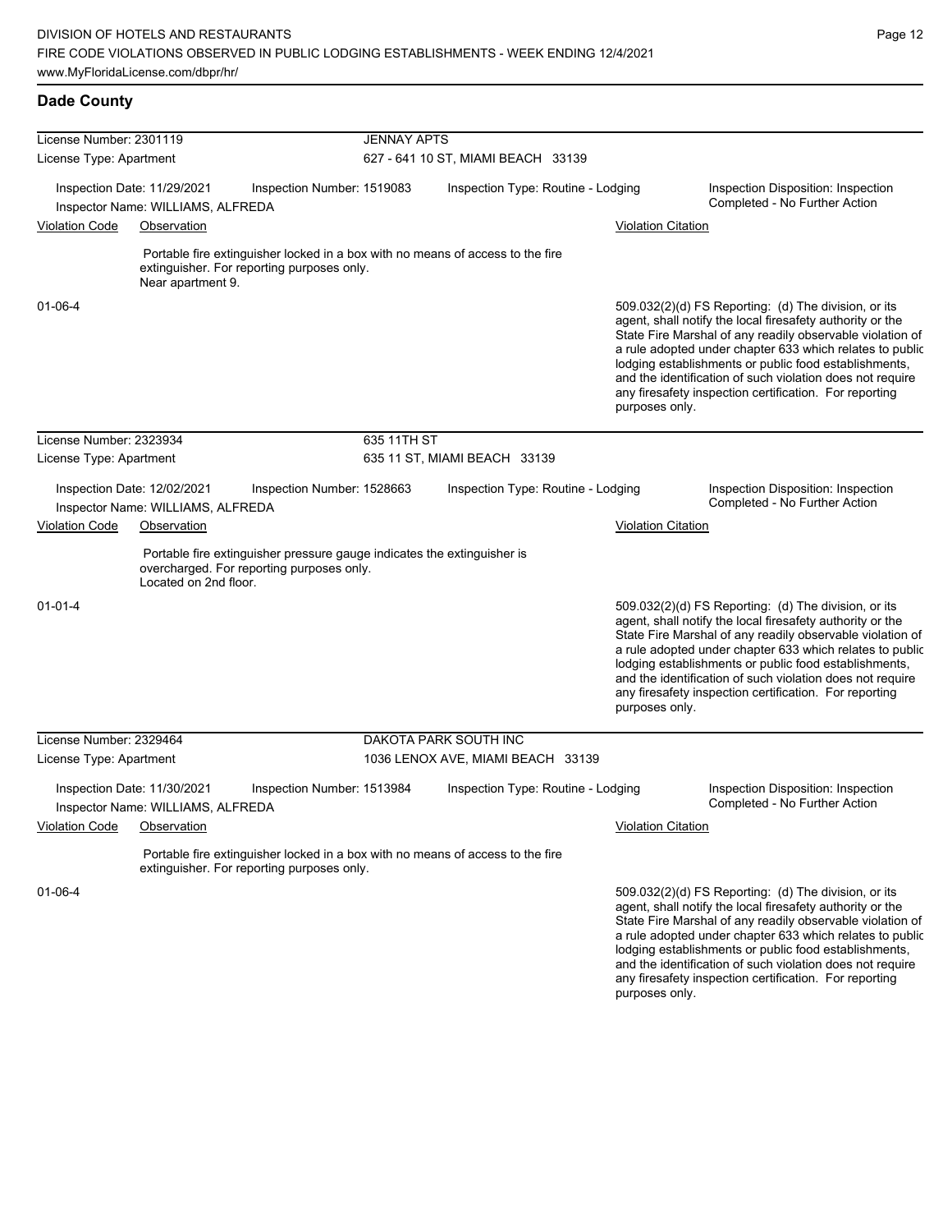|                             | License Number: 2301119                                                                                                                           |                            | <b>JENNAY APTS</b>                 |                           |                                                                                                                                                                                                                                                                                                                                                                                                                            |  |  |  |
|-----------------------------|---------------------------------------------------------------------------------------------------------------------------------------------------|----------------------------|------------------------------------|---------------------------|----------------------------------------------------------------------------------------------------------------------------------------------------------------------------------------------------------------------------------------------------------------------------------------------------------------------------------------------------------------------------------------------------------------------------|--|--|--|
| License Type: Apartment     |                                                                                                                                                   |                            | 627 - 641 10 ST, MIAMI BEACH 33139 |                           |                                                                                                                                                                                                                                                                                                                                                                                                                            |  |  |  |
|                             | Inspection Date: 11/29/2021<br>Inspector Name: WILLIAMS, ALFREDA                                                                                  | Inspection Number: 1519083 | Inspection Type: Routine - Lodging |                           | Inspection Disposition: Inspection<br>Completed - No Further Action                                                                                                                                                                                                                                                                                                                                                        |  |  |  |
| <b>Violation Code</b>       | Observation                                                                                                                                       |                            |                                    | <b>Violation Citation</b> |                                                                                                                                                                                                                                                                                                                                                                                                                            |  |  |  |
|                             | Portable fire extinguisher locked in a box with no means of access to the fire<br>extinguisher. For reporting purposes only.<br>Near apartment 9. |                            |                                    |                           |                                                                                                                                                                                                                                                                                                                                                                                                                            |  |  |  |
| 01-06-4                     |                                                                                                                                                   |                            |                                    | purposes only.            | 509.032(2)(d) FS Reporting: (d) The division, or its<br>agent, shall notify the local firesafety authority or the<br>State Fire Marshal of any readily observable violation of<br>a rule adopted under chapter 633 which relates to public<br>lodging establishments or public food establishments,<br>and the identification of such violation does not require<br>any firesafety inspection certification. For reporting |  |  |  |
| License Number: 2323934     |                                                                                                                                                   | 635 11TH ST                |                                    |                           |                                                                                                                                                                                                                                                                                                                                                                                                                            |  |  |  |
| License Type: Apartment     |                                                                                                                                                   |                            | 635 11 ST, MIAMI BEACH 33139       |                           |                                                                                                                                                                                                                                                                                                                                                                                                                            |  |  |  |
|                             | Inspection Date: 12/02/2021<br>Inspector Name: WILLIAMS, ALFREDA                                                                                  | Inspection Number: 1528663 | Inspection Type: Routine - Lodging |                           | Inspection Disposition: Inspection<br>Completed - No Further Action                                                                                                                                                                                                                                                                                                                                                        |  |  |  |
| <b>Violation Code</b>       | Observation                                                                                                                                       |                            |                                    | <b>Violation Citation</b> |                                                                                                                                                                                                                                                                                                                                                                                                                            |  |  |  |
|                             | Portable fire extinguisher pressure gauge indicates the extinguisher is<br>overcharged. For reporting purposes only.<br>Located on 2nd floor.     |                            |                                    |                           |                                                                                                                                                                                                                                                                                                                                                                                                                            |  |  |  |
| 01-01-4                     |                                                                                                                                                   |                            |                                    | purposes only.            | 509.032(2)(d) FS Reporting: (d) The division, or its<br>agent, shall notify the local firesafety authority or the<br>State Fire Marshal of any readily observable violation of<br>a rule adopted under chapter 633 which relates to public<br>lodging establishments or public food establishments,<br>and the identification of such violation does not require<br>any firesafety inspection certification. For reporting |  |  |  |
| License Number: 2329464     |                                                                                                                                                   |                            | DAKOTA PARK SOUTH INC              |                           |                                                                                                                                                                                                                                                                                                                                                                                                                            |  |  |  |
| License Type: Apartment     |                                                                                                                                                   |                            | 1036 LENOX AVE, MIAMI BEACH 33139  |                           |                                                                                                                                                                                                                                                                                                                                                                                                                            |  |  |  |
|                             | Inspection Date: 11/30/2021<br>Inspector Name: WILLIAMS, ALFREDA                                                                                  | Inspection Number: 1513984 | Inspection Type: Routine - Lodging |                           | Inspection Disposition: Inspection<br>Completed - No Further Action                                                                                                                                                                                                                                                                                                                                                        |  |  |  |
| Violation Code  Observation |                                                                                                                                                   |                            |                                    | <b>Violation Citation</b> |                                                                                                                                                                                                                                                                                                                                                                                                                            |  |  |  |
|                             | Portable fire extinguisher locked in a box with no means of access to the fire<br>extinguisher. For reporting purposes only.                      |                            |                                    |                           |                                                                                                                                                                                                                                                                                                                                                                                                                            |  |  |  |
| 01-06-4                     |                                                                                                                                                   |                            |                                    |                           | 509.032(2)(d) FS Reporting: (d) The division, or its<br>agent, shall notify the local firesafety authority or the<br>State Fire Marshal of any readily observable violation of<br>a rule adopted under chapter 633 which relates to public<br>lodging establishments or public food establishments,                                                                                                                        |  |  |  |

and the identification of such violation does not require any firesafety inspection certification. For reporting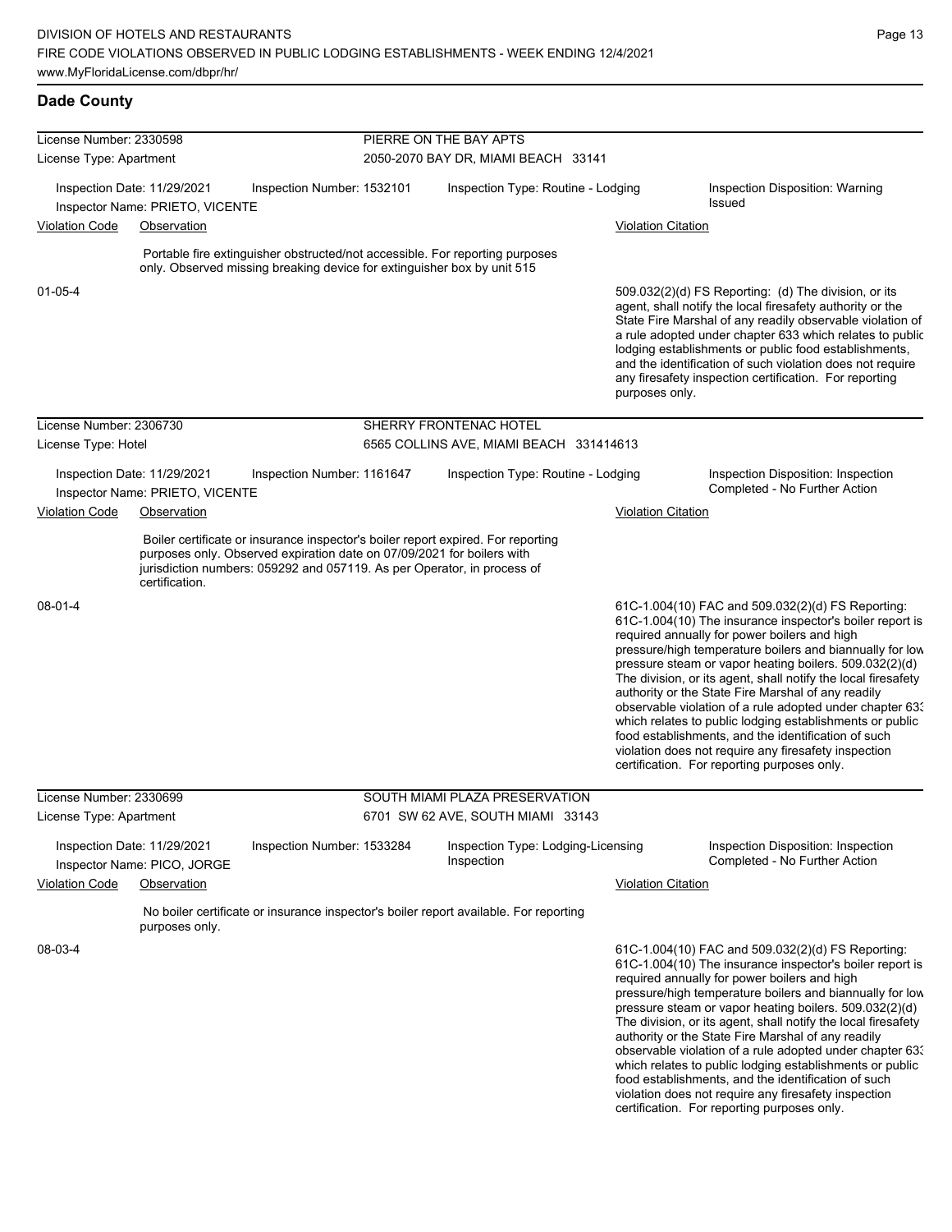| License Number: 2330598 |                                                                |                                                                                                                                                   |                                     | PIERRE ON THE BAY APTS                                                                |                           |                                                                                                                                                                                                                                                                                                                                                                                                                                                                                                                                                                                                                                                                                                  |  |  |
|-------------------------|----------------------------------------------------------------|---------------------------------------------------------------------------------------------------------------------------------------------------|-------------------------------------|---------------------------------------------------------------------------------------|---------------------------|--------------------------------------------------------------------------------------------------------------------------------------------------------------------------------------------------------------------------------------------------------------------------------------------------------------------------------------------------------------------------------------------------------------------------------------------------------------------------------------------------------------------------------------------------------------------------------------------------------------------------------------------------------------------------------------------------|--|--|
| License Type: Apartment |                                                                |                                                                                                                                                   | 2050-2070 BAY DR, MIAMI BEACH 33141 |                                                                                       |                           |                                                                                                                                                                                                                                                                                                                                                                                                                                                                                                                                                                                                                                                                                                  |  |  |
|                         |                                                                |                                                                                                                                                   |                                     |                                                                                       |                           |                                                                                                                                                                                                                                                                                                                                                                                                                                                                                                                                                                                                                                                                                                  |  |  |
|                         | Inspection Date: 11/29/2021                                    | Inspection Number: 1532101                                                                                                                        |                                     | Inspection Type: Routine - Lodging                                                    |                           | Inspection Disposition: Warning<br><b>Issued</b>                                                                                                                                                                                                                                                                                                                                                                                                                                                                                                                                                                                                                                                 |  |  |
| <b>Violation Code</b>   | Inspector Name: PRIETO, VICENTE<br>Observation                 |                                                                                                                                                   |                                     |                                                                                       | <b>Violation Citation</b> |                                                                                                                                                                                                                                                                                                                                                                                                                                                                                                                                                                                                                                                                                                  |  |  |
|                         |                                                                |                                                                                                                                                   |                                     |                                                                                       |                           |                                                                                                                                                                                                                                                                                                                                                                                                                                                                                                                                                                                                                                                                                                  |  |  |
|                         |                                                                | only. Observed missing breaking device for extinguisher box by unit 515                                                                           |                                     | Portable fire extinguisher obstructed/not accessible. For reporting purposes          |                           |                                                                                                                                                                                                                                                                                                                                                                                                                                                                                                                                                                                                                                                                                                  |  |  |
| 01-05-4                 |                                                                |                                                                                                                                                   |                                     |                                                                                       | purposes only.            | 509.032(2)(d) FS Reporting: (d) The division, or its<br>agent, shall notify the local firesafety authority or the<br>State Fire Marshal of any readily observable violation of<br>a rule adopted under chapter 633 which relates to public<br>lodging establishments or public food establishments,<br>and the identification of such violation does not require<br>any firesafety inspection certification. For reporting                                                                                                                                                                                                                                                                       |  |  |
| License Number: 2306730 |                                                                |                                                                                                                                                   |                                     | SHERRY FRONTENAC HOTEL                                                                |                           |                                                                                                                                                                                                                                                                                                                                                                                                                                                                                                                                                                                                                                                                                                  |  |  |
| License Type: Hotel     |                                                                |                                                                                                                                                   |                                     | 6565 COLLINS AVE, MIAMI BEACH 331414613                                               |                           |                                                                                                                                                                                                                                                                                                                                                                                                                                                                                                                                                                                                                                                                                                  |  |  |
|                         | Inspection Date: 11/29/2021<br>Inspector Name: PRIETO, VICENTE | Inspection Number: 1161647                                                                                                                        |                                     | Inspection Type: Routine - Lodging                                                    |                           | Inspection Disposition: Inspection<br>Completed - No Further Action                                                                                                                                                                                                                                                                                                                                                                                                                                                                                                                                                                                                                              |  |  |
| <b>Violation Code</b>   | Observation                                                    |                                                                                                                                                   |                                     |                                                                                       | <b>Violation Citation</b> |                                                                                                                                                                                                                                                                                                                                                                                                                                                                                                                                                                                                                                                                                                  |  |  |
|                         | certification.                                                 | purposes only. Observed expiration date on 07/09/2021 for boilers with<br>jurisdiction numbers: 059292 and 057119. As per Operator, in process of |                                     | Boiler certificate or insurance inspector's boiler report expired. For reporting      |                           |                                                                                                                                                                                                                                                                                                                                                                                                                                                                                                                                                                                                                                                                                                  |  |  |
| $08 - 01 - 4$           |                                                                |                                                                                                                                                   |                                     |                                                                                       |                           | 61C-1.004(10) FAC and 509.032(2)(d) FS Reporting:<br>61C-1.004(10) The insurance inspector's boiler report is<br>required annually for power boilers and high<br>pressure/high temperature boilers and biannually for low<br>pressure steam or vapor heating boilers. 509.032(2)(d)<br>The division, or its agent, shall notify the local firesafety<br>authority or the State Fire Marshal of any readily<br>observable violation of a rule adopted under chapter 63.<br>which relates to public lodging establishments or public<br>food establishments, and the identification of such<br>violation does not require any firesafety inspection<br>certification. For reporting purposes only. |  |  |
| License Number: 2330699 |                                                                |                                                                                                                                                   |                                     | SOUTH MIAMI PLAZA PRESERVATION                                                        |                           |                                                                                                                                                                                                                                                                                                                                                                                                                                                                                                                                                                                                                                                                                                  |  |  |
| License Type: Apartment |                                                                |                                                                                                                                                   |                                     | 6701 SW 62 AVE, SOUTH MIAMI 33143                                                     |                           |                                                                                                                                                                                                                                                                                                                                                                                                                                                                                                                                                                                                                                                                                                  |  |  |
|                         | Inspection Date: 11/29/2021<br>Inspector Name: PICO, JORGE     | Inspection Number: 1533284                                                                                                                        |                                     | Inspection Type: Lodging-Licensing<br>Inspection                                      |                           | Inspection Disposition: Inspection<br>Completed - No Further Action                                                                                                                                                                                                                                                                                                                                                                                                                                                                                                                                                                                                                              |  |  |
| <b>Violation Code</b>   | Observation                                                    |                                                                                                                                                   |                                     |                                                                                       | <b>Violation Citation</b> |                                                                                                                                                                                                                                                                                                                                                                                                                                                                                                                                                                                                                                                                                                  |  |  |
|                         | purposes only.                                                 |                                                                                                                                                   |                                     | No boiler certificate or insurance inspector's boiler report available. For reporting |                           |                                                                                                                                                                                                                                                                                                                                                                                                                                                                                                                                                                                                                                                                                                  |  |  |
| 08-03-4                 |                                                                |                                                                                                                                                   |                                     |                                                                                       |                           | 61C-1.004(10) FAC and 509.032(2)(d) FS Reporting:<br>61C-1.004(10) The insurance inspector's boiler report is<br>required annually for power boilers and high<br>pressure/high temperature boilers and biannually for low<br>pressure steam or vapor heating boilers. 509.032(2)(d)<br>The division, or its agent, shall notify the local firesafety<br>authority or the State Fire Marshal of any readily<br>observable violation of a rule adopted under chapter 63.                                                                                                                                                                                                                           |  |  |

observable violation of a rule adopted under chapter 633 which relates to public lodging establishments or public food establishments, and the identification of such violation does not require any firesafety inspection certification. For reporting purposes only.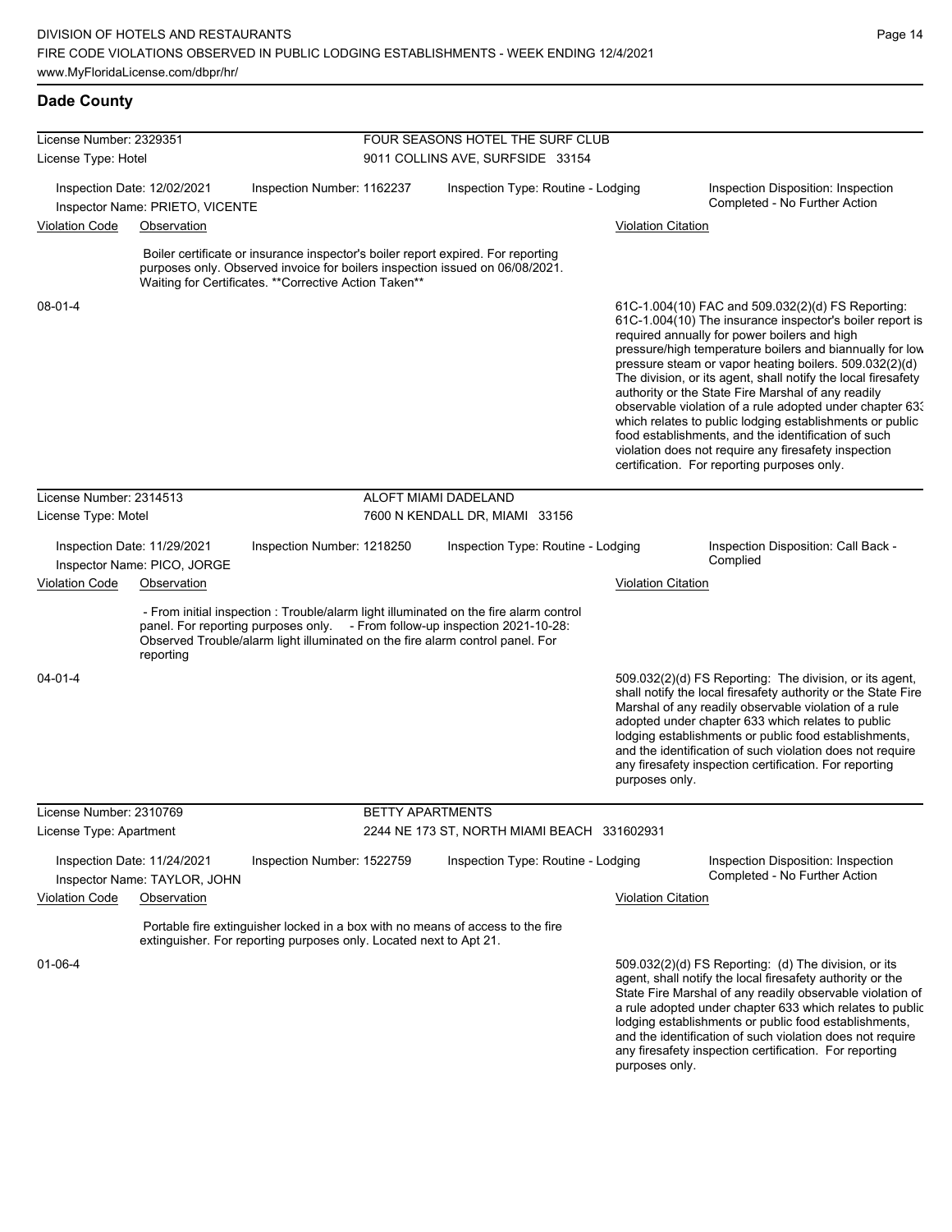# **Dade County**

| License Number: 2329351 |                                                             |                                                                    | FOUR SEASONS HOTEL THE SURF CLUB |                                                                                                                                                                                                                                                       |                           |                                                                                                                                                                                                                                                                                                                                                                                                                                                                                                                                                                                                                                                                                                  |  |  |
|-------------------------|-------------------------------------------------------------|--------------------------------------------------------------------|----------------------------------|-------------------------------------------------------------------------------------------------------------------------------------------------------------------------------------------------------------------------------------------------------|---------------------------|--------------------------------------------------------------------------------------------------------------------------------------------------------------------------------------------------------------------------------------------------------------------------------------------------------------------------------------------------------------------------------------------------------------------------------------------------------------------------------------------------------------------------------------------------------------------------------------------------------------------------------------------------------------------------------------------------|--|--|
| License Type: Hotel     |                                                             |                                                                    | 9011 COLLINS AVE, SURFSIDE 33154 |                                                                                                                                                                                                                                                       |                           |                                                                                                                                                                                                                                                                                                                                                                                                                                                                                                                                                                                                                                                                                                  |  |  |
|                         | Inspection Date: 12/02/2021                                 | Inspection Number: 1162237                                         |                                  | Inspection Type: Routine - Lodging                                                                                                                                                                                                                    |                           | Inspection Disposition: Inspection<br>Completed - No Further Action                                                                                                                                                                                                                                                                                                                                                                                                                                                                                                                                                                                                                              |  |  |
| <b>Violation Code</b>   | Inspector Name: PRIETO, VICENTE<br>Observation              |                                                                    |                                  |                                                                                                                                                                                                                                                       | <b>Violation Citation</b> |                                                                                                                                                                                                                                                                                                                                                                                                                                                                                                                                                                                                                                                                                                  |  |  |
|                         |                                                             |                                                                    |                                  |                                                                                                                                                                                                                                                       |                           |                                                                                                                                                                                                                                                                                                                                                                                                                                                                                                                                                                                                                                                                                                  |  |  |
|                         |                                                             | Waiting for Certificates. ** Corrective Action Taken**             |                                  | Boiler certificate or insurance inspector's boiler report expired. For reporting<br>purposes only. Observed invoice for boilers inspection issued on 06/08/2021.                                                                                      |                           |                                                                                                                                                                                                                                                                                                                                                                                                                                                                                                                                                                                                                                                                                                  |  |  |
| $08 - 01 - 4$           |                                                             |                                                                    |                                  |                                                                                                                                                                                                                                                       |                           | 61C-1.004(10) FAC and 509.032(2)(d) FS Reporting:<br>61C-1.004(10) The insurance inspector's boiler report is<br>required annually for power boilers and high<br>pressure/high temperature boilers and biannually for low<br>pressure steam or vapor heating boilers. 509.032(2)(d)<br>The division, or its agent, shall notify the local firesafety<br>authority or the State Fire Marshal of any readily<br>observable violation of a rule adopted under chapter 63.<br>which relates to public lodging establishments or public<br>food establishments, and the identification of such<br>violation does not require any firesafety inspection<br>certification. For reporting purposes only. |  |  |
| License Number: 2314513 |                                                             |                                                                    |                                  | ALOFT MIAMI DADELAND                                                                                                                                                                                                                                  |                           |                                                                                                                                                                                                                                                                                                                                                                                                                                                                                                                                                                                                                                                                                                  |  |  |
| License Type: Motel     |                                                             |                                                                    |                                  | 7600 N KENDALL DR, MIAMI 33156                                                                                                                                                                                                                        |                           |                                                                                                                                                                                                                                                                                                                                                                                                                                                                                                                                                                                                                                                                                                  |  |  |
|                         | Inspection Date: 11/29/2021                                 | Inspection Number: 1218250                                         |                                  | Inspection Type: Routine - Lodging                                                                                                                                                                                                                    |                           | Inspection Disposition: Call Back -<br>Complied                                                                                                                                                                                                                                                                                                                                                                                                                                                                                                                                                                                                                                                  |  |  |
| <b>Violation Code</b>   | Inspector Name: PICO, JORGE<br>Observation                  |                                                                    |                                  |                                                                                                                                                                                                                                                       | <b>Violation Citation</b> |                                                                                                                                                                                                                                                                                                                                                                                                                                                                                                                                                                                                                                                                                                  |  |  |
|                         | reporting                                                   |                                                                    |                                  | - From initial inspection : Trouble/alarm light illuminated on the fire alarm control<br>panel. For reporting purposes only. - From follow-up inspection 2021-10-28:<br>Observed Trouble/alarm light illuminated on the fire alarm control panel. For |                           |                                                                                                                                                                                                                                                                                                                                                                                                                                                                                                                                                                                                                                                                                                  |  |  |
| $04 - 01 - 4$           |                                                             |                                                                    |                                  |                                                                                                                                                                                                                                                       | purposes only.            | 509.032(2)(d) FS Reporting: The division, or its agent,<br>shall notify the local firesafety authority or the State Fire<br>Marshal of any readily observable violation of a rule<br>adopted under chapter 633 which relates to public<br>lodging establishments or public food establishments,<br>and the identification of such violation does not require<br>any firesafety inspection certification. For reporting                                                                                                                                                                                                                                                                           |  |  |
| License Number: 2310769 |                                                             |                                                                    |                                  | <b>BETTY APARTMENTS</b>                                                                                                                                                                                                                               |                           |                                                                                                                                                                                                                                                                                                                                                                                                                                                                                                                                                                                                                                                                                                  |  |  |
| License Type: Apartment |                                                             |                                                                    |                                  | 2244 NE 173 ST, NORTH MIAMI BEACH 331602931                                                                                                                                                                                                           |                           |                                                                                                                                                                                                                                                                                                                                                                                                                                                                                                                                                                                                                                                                                                  |  |  |
|                         | Inspection Date: 11/24/2021<br>Inspector Name: TAYLOR, JOHN | Inspection Number: 1522759                                         |                                  | Inspection Type: Routine - Lodging                                                                                                                                                                                                                    |                           | Inspection Disposition: Inspection<br>Completed - No Further Action                                                                                                                                                                                                                                                                                                                                                                                                                                                                                                                                                                                                                              |  |  |
| <b>Violation Code</b>   | Observation                                                 |                                                                    |                                  |                                                                                                                                                                                                                                                       | <b>Violation Citation</b> |                                                                                                                                                                                                                                                                                                                                                                                                                                                                                                                                                                                                                                                                                                  |  |  |
|                         |                                                             | extinguisher. For reporting purposes only. Located next to Apt 21. |                                  | Portable fire extinguisher locked in a box with no means of access to the fire                                                                                                                                                                        |                           |                                                                                                                                                                                                                                                                                                                                                                                                                                                                                                                                                                                                                                                                                                  |  |  |
| 01-06-4                 |                                                             |                                                                    |                                  |                                                                                                                                                                                                                                                       |                           | 509.032(2)(d) FS Reporting: (d) The division, or its<br>agent, shall notify the local firesafety authority or the<br>State Fire Marshal of any readily observable violation of<br>a rule adopted under chapter 633 which relates to public<br>lodging establishments or public food establishments,<br>and the identification of such violation does not require<br>any firesafety inspection certification. For reporting                                                                                                                                                                                                                                                                       |  |  |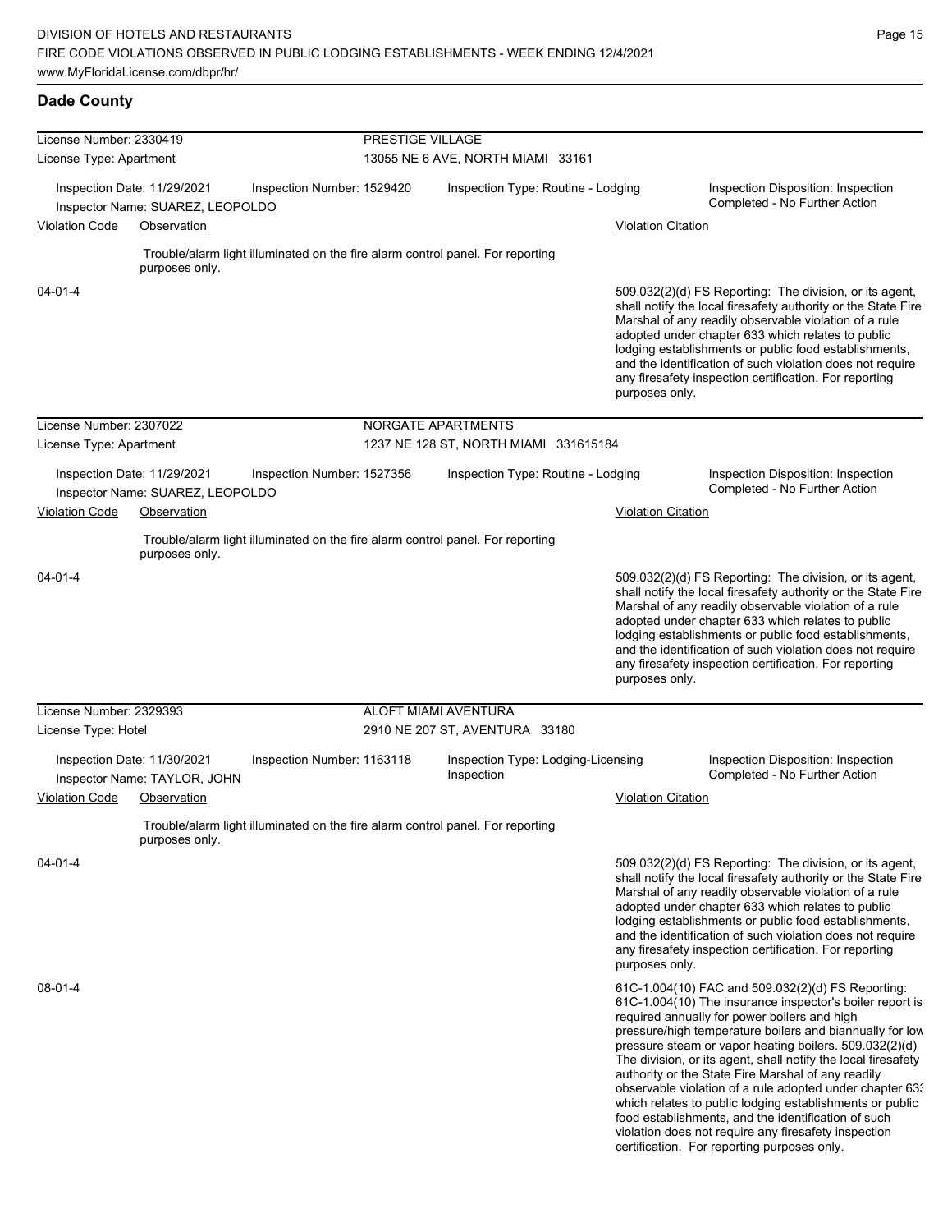| License Number: 2330419 |                                                                 |                            | PRESTIGE VILLAGE |                                                                                |                           |                                                                                                                                                                                                                                                                                                                                                                                                                                                                                                                                                                                                                                                                                                  |
|-------------------------|-----------------------------------------------------------------|----------------------------|------------------|--------------------------------------------------------------------------------|---------------------------|--------------------------------------------------------------------------------------------------------------------------------------------------------------------------------------------------------------------------------------------------------------------------------------------------------------------------------------------------------------------------------------------------------------------------------------------------------------------------------------------------------------------------------------------------------------------------------------------------------------------------------------------------------------------------------------------------|
| License Type: Apartment |                                                                 |                            |                  | 13055 NE 6 AVE, NORTH MIAMI 33161                                              |                           |                                                                                                                                                                                                                                                                                                                                                                                                                                                                                                                                                                                                                                                                                                  |
|                         |                                                                 |                            |                  |                                                                                |                           |                                                                                                                                                                                                                                                                                                                                                                                                                                                                                                                                                                                                                                                                                                  |
|                         | Inspection Date: 11/29/2021<br>Inspector Name: SUAREZ, LEOPOLDO | Inspection Number: 1529420 |                  | Inspection Type: Routine - Lodging                                             |                           | Inspection Disposition: Inspection<br>Completed - No Further Action                                                                                                                                                                                                                                                                                                                                                                                                                                                                                                                                                                                                                              |
| <b>Violation Code</b>   | Observation                                                     |                            |                  |                                                                                | <b>Violation Citation</b> |                                                                                                                                                                                                                                                                                                                                                                                                                                                                                                                                                                                                                                                                                                  |
|                         |                                                                 |                            |                  |                                                                                |                           |                                                                                                                                                                                                                                                                                                                                                                                                                                                                                                                                                                                                                                                                                                  |
|                         | purposes only.                                                  |                            |                  | Trouble/alarm light illuminated on the fire alarm control panel. For reporting |                           |                                                                                                                                                                                                                                                                                                                                                                                                                                                                                                                                                                                                                                                                                                  |
| 04-01-4                 |                                                                 |                            |                  |                                                                                | purposes only.            | 509.032(2)(d) FS Reporting: The division, or its agent,<br>shall notify the local firesafety authority or the State Fire<br>Marshal of any readily observable violation of a rule<br>adopted under chapter 633 which relates to public<br>lodging establishments or public food establishments,<br>and the identification of such violation does not require<br>any firesafety inspection certification. For reporting                                                                                                                                                                                                                                                                           |
| License Number: 2307022 |                                                                 |                            |                  | NORGATE APARTMENTS                                                             |                           |                                                                                                                                                                                                                                                                                                                                                                                                                                                                                                                                                                                                                                                                                                  |
| License Type: Apartment |                                                                 |                            |                  | 1237 NE 128 ST, NORTH MIAMI 331615184                                          |                           |                                                                                                                                                                                                                                                                                                                                                                                                                                                                                                                                                                                                                                                                                                  |
|                         | Inspection Date: 11/29/2021                                     | Inspection Number: 1527356 |                  | Inspection Type: Routine - Lodging                                             |                           | Inspection Disposition: Inspection<br>Completed - No Further Action                                                                                                                                                                                                                                                                                                                                                                                                                                                                                                                                                                                                                              |
| <b>Violation Code</b>   | Inspector Name: SUAREZ, LEOPOLDO<br>Observation                 |                            |                  |                                                                                | <b>Violation Citation</b> |                                                                                                                                                                                                                                                                                                                                                                                                                                                                                                                                                                                                                                                                                                  |
|                         |                                                                 |                            |                  |                                                                                |                           |                                                                                                                                                                                                                                                                                                                                                                                                                                                                                                                                                                                                                                                                                                  |
|                         | purposes only.                                                  |                            |                  | Trouble/alarm light illuminated on the fire alarm control panel. For reporting |                           |                                                                                                                                                                                                                                                                                                                                                                                                                                                                                                                                                                                                                                                                                                  |
| 04-01-4                 |                                                                 |                            |                  |                                                                                | purposes only.            | 509.032(2)(d) FS Reporting: The division, or its agent,<br>shall notify the local firesafety authority or the State Fire<br>Marshal of any readily observable violation of a rule<br>adopted under chapter 633 which relates to public<br>lodging establishments or public food establishments,<br>and the identification of such violation does not require<br>any firesafety inspection certification. For reporting                                                                                                                                                                                                                                                                           |
| License Number: 2329393 |                                                                 |                            |                  | ALOFT MIAMI AVENTURA                                                           |                           |                                                                                                                                                                                                                                                                                                                                                                                                                                                                                                                                                                                                                                                                                                  |
| License Type: Hotel     |                                                                 |                            |                  | 2910 NE 207 ST, AVENTURA 33180                                                 |                           |                                                                                                                                                                                                                                                                                                                                                                                                                                                                                                                                                                                                                                                                                                  |
|                         | Inspection Date: 11/30/2021<br>Inspector Name: TAYLOR, JOHN     | Inspection Number: 1163118 |                  | Inspection Type: Lodging-Licensing<br>Inspection                               |                           | Inspection Disposition: Inspection<br>Completed - No Further Action                                                                                                                                                                                                                                                                                                                                                                                                                                                                                                                                                                                                                              |
| <b>Violation Code</b>   | Observation                                                     |                            |                  |                                                                                | <b>Violation Citation</b> |                                                                                                                                                                                                                                                                                                                                                                                                                                                                                                                                                                                                                                                                                                  |
|                         | purposes only.                                                  |                            |                  | Trouble/alarm light illuminated on the fire alarm control panel. For reporting |                           |                                                                                                                                                                                                                                                                                                                                                                                                                                                                                                                                                                                                                                                                                                  |
| 04-01-4                 |                                                                 |                            |                  |                                                                                | purposes only.            | 509.032(2)(d) FS Reporting: The division, or its agent,<br>shall notify the local firesafety authority or the State Fire<br>Marshal of any readily observable violation of a rule<br>adopted under chapter 633 which relates to public<br>lodging establishments or public food establishments,<br>and the identification of such violation does not require<br>any firesafety inspection certification. For reporting                                                                                                                                                                                                                                                                           |
| 08-01-4                 |                                                                 |                            |                  |                                                                                |                           | 61C-1.004(10) FAC and 509.032(2)(d) FS Reporting:<br>61C-1.004(10) The insurance inspector's boiler report is<br>required annually for power boilers and high<br>pressure/high temperature boilers and biannually for low<br>pressure steam or vapor heating boilers. 509.032(2)(d)<br>The division, or its agent, shall notify the local firesafety<br>authority or the State Fire Marshal of any readily<br>observable violation of a rule adopted under chapter 63.<br>which relates to public lodging establishments or public<br>food establishments, and the identification of such<br>violation does not require any firesafety inspection<br>certification. For reporting purposes only. |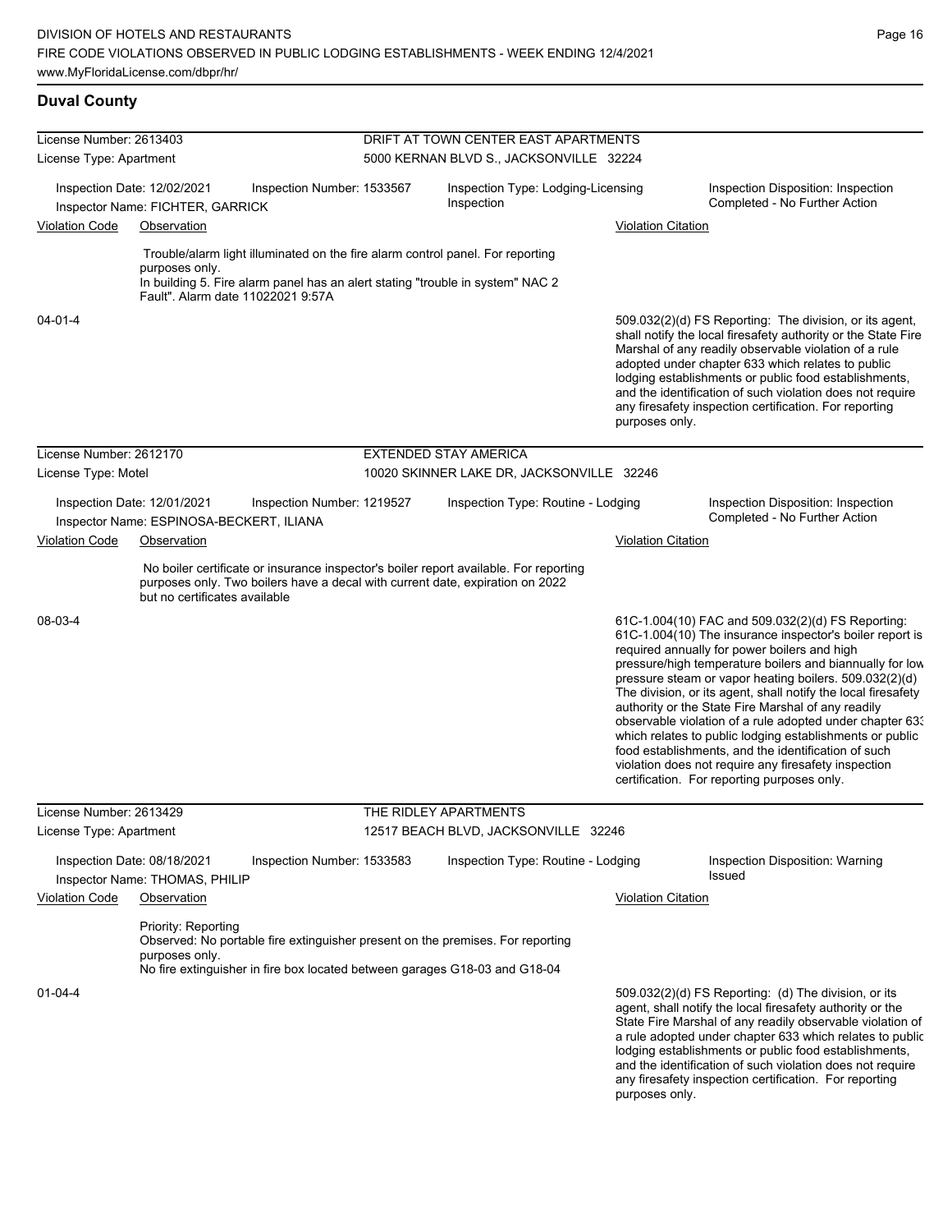# **Duval County**

| License Number: 2613403 |                                                                 |                                                                                                                                                                        | DRIFT AT TOWN CENTER EAST APARTMENTS             |                           |                                                                                                                                                                                                                                                                                                                                                                                                                                                                                                                                                                                                                                                                                                  |
|-------------------------|-----------------------------------------------------------------|------------------------------------------------------------------------------------------------------------------------------------------------------------------------|--------------------------------------------------|---------------------------|--------------------------------------------------------------------------------------------------------------------------------------------------------------------------------------------------------------------------------------------------------------------------------------------------------------------------------------------------------------------------------------------------------------------------------------------------------------------------------------------------------------------------------------------------------------------------------------------------------------------------------------------------------------------------------------------------|
| License Type: Apartment |                                                                 |                                                                                                                                                                        | 5000 KERNAN BLVD S., JACKSONVILLE 32224          |                           |                                                                                                                                                                                                                                                                                                                                                                                                                                                                                                                                                                                                                                                                                                  |
|                         |                                                                 |                                                                                                                                                                        |                                                  |                           |                                                                                                                                                                                                                                                                                                                                                                                                                                                                                                                                                                                                                                                                                                  |
|                         | Inspection Date: 12/02/2021<br>Inspector Name: FICHTER, GARRICK | Inspection Number: 1533567                                                                                                                                             | Inspection Type: Lodging-Licensing<br>Inspection |                           | Inspection Disposition: Inspection<br>Completed - No Further Action                                                                                                                                                                                                                                                                                                                                                                                                                                                                                                                                                                                                                              |
| <b>Violation Code</b>   | Observation                                                     |                                                                                                                                                                        |                                                  | <b>Violation Citation</b> |                                                                                                                                                                                                                                                                                                                                                                                                                                                                                                                                                                                                                                                                                                  |
|                         |                                                                 | Trouble/alarm light illuminated on the fire alarm control panel. For reporting                                                                                         |                                                  |                           |                                                                                                                                                                                                                                                                                                                                                                                                                                                                                                                                                                                                                                                                                                  |
|                         | purposes only.                                                  |                                                                                                                                                                        |                                                  |                           |                                                                                                                                                                                                                                                                                                                                                                                                                                                                                                                                                                                                                                                                                                  |
|                         |                                                                 | In building 5. Fire alarm panel has an alert stating "trouble in system" NAC 2<br>Fault". Alarm date 11022021 9:57A                                                    |                                                  |                           |                                                                                                                                                                                                                                                                                                                                                                                                                                                                                                                                                                                                                                                                                                  |
| 04-01-4                 |                                                                 |                                                                                                                                                                        |                                                  | purposes only.            | 509.032(2)(d) FS Reporting: The division, or its agent,<br>shall notify the local firesafety authority or the State Fire<br>Marshal of any readily observable violation of a rule<br>adopted under chapter 633 which relates to public<br>lodging establishments or public food establishments,<br>and the identification of such violation does not require<br>any firesafety inspection certification. For reporting                                                                                                                                                                                                                                                                           |
| License Number: 2612170 |                                                                 |                                                                                                                                                                        | <b>EXTENDED STAY AMERICA</b>                     |                           |                                                                                                                                                                                                                                                                                                                                                                                                                                                                                                                                                                                                                                                                                                  |
| License Type: Motel     |                                                                 |                                                                                                                                                                        | 10020 SKINNER LAKE DR, JACKSONVILLE 32246        |                           |                                                                                                                                                                                                                                                                                                                                                                                                                                                                                                                                                                                                                                                                                                  |
|                         |                                                                 |                                                                                                                                                                        |                                                  |                           |                                                                                                                                                                                                                                                                                                                                                                                                                                                                                                                                                                                                                                                                                                  |
|                         | Inspection Date: 12/01/2021                                     | Inspection Number: 1219527                                                                                                                                             | Inspection Type: Routine - Lodging               |                           | Inspection Disposition: Inspection<br>Completed - No Further Action                                                                                                                                                                                                                                                                                                                                                                                                                                                                                                                                                                                                                              |
|                         | Inspector Name: ESPINOSA-BECKERT, ILIANA                        |                                                                                                                                                                        |                                                  |                           |                                                                                                                                                                                                                                                                                                                                                                                                                                                                                                                                                                                                                                                                                                  |
| <b>Violation Code</b>   | Observation                                                     |                                                                                                                                                                        |                                                  | <b>Violation Citation</b> |                                                                                                                                                                                                                                                                                                                                                                                                                                                                                                                                                                                                                                                                                                  |
|                         | but no certificates available                                   | No boiler certificate or insurance inspector's boiler report available. For reporting<br>purposes only. Two boilers have a decal with current date, expiration on 2022 |                                                  |                           |                                                                                                                                                                                                                                                                                                                                                                                                                                                                                                                                                                                                                                                                                                  |
| 08-03-4                 |                                                                 |                                                                                                                                                                        |                                                  |                           | 61C-1.004(10) FAC and 509.032(2)(d) FS Reporting:<br>61C-1.004(10) The insurance inspector's boiler report is<br>required annually for power boilers and high<br>pressure/high temperature boilers and biannually for low<br>pressure steam or vapor heating boilers. 509.032(2)(d)<br>The division, or its agent, shall notify the local firesafety<br>authority or the State Fire Marshal of any readily<br>observable violation of a rule adopted under chapter 633<br>which relates to public lodging establishments or public<br>food establishments, and the identification of such<br>violation does not require any firesafety inspection<br>certification. For reporting purposes only. |
| License Number: 2613429 |                                                                 |                                                                                                                                                                        | THE RIDLEY APARTMENTS                            |                           |                                                                                                                                                                                                                                                                                                                                                                                                                                                                                                                                                                                                                                                                                                  |
| License Type: Apartment |                                                                 |                                                                                                                                                                        | 12517 BEACH BLVD, JACKSONVILLE 32246             |                           |                                                                                                                                                                                                                                                                                                                                                                                                                                                                                                                                                                                                                                                                                                  |
|                         | Inspection Date: 08/18/2021<br>Inspector Name: THOMAS, PHILIP   | Inspection Number: 1533583                                                                                                                                             | Inspection Type: Routine - Lodging               |                           | Inspection Disposition: Warning<br>Issued                                                                                                                                                                                                                                                                                                                                                                                                                                                                                                                                                                                                                                                        |
| <b>Violation Code</b>   | Observation                                                     |                                                                                                                                                                        |                                                  | <b>Violation Citation</b> |                                                                                                                                                                                                                                                                                                                                                                                                                                                                                                                                                                                                                                                                                                  |
|                         | Priority: Reporting<br>purposes only.                           | Observed: No portable fire extinguisher present on the premises. For reporting<br>No fire extinguisher in fire box located between garages G18-03 and G18-04           |                                                  |                           |                                                                                                                                                                                                                                                                                                                                                                                                                                                                                                                                                                                                                                                                                                  |
| $01 - 04 - 4$           |                                                                 |                                                                                                                                                                        |                                                  | purposes only.            | 509.032(2)(d) FS Reporting: (d) The division, or its<br>agent, shall notify the local firesafety authority or the<br>State Fire Marshal of any readily observable violation of<br>a rule adopted under chapter 633 which relates to public<br>lodging establishments or public food establishments,<br>and the identification of such violation does not require<br>any firesafety inspection certification. For reporting                                                                                                                                                                                                                                                                       |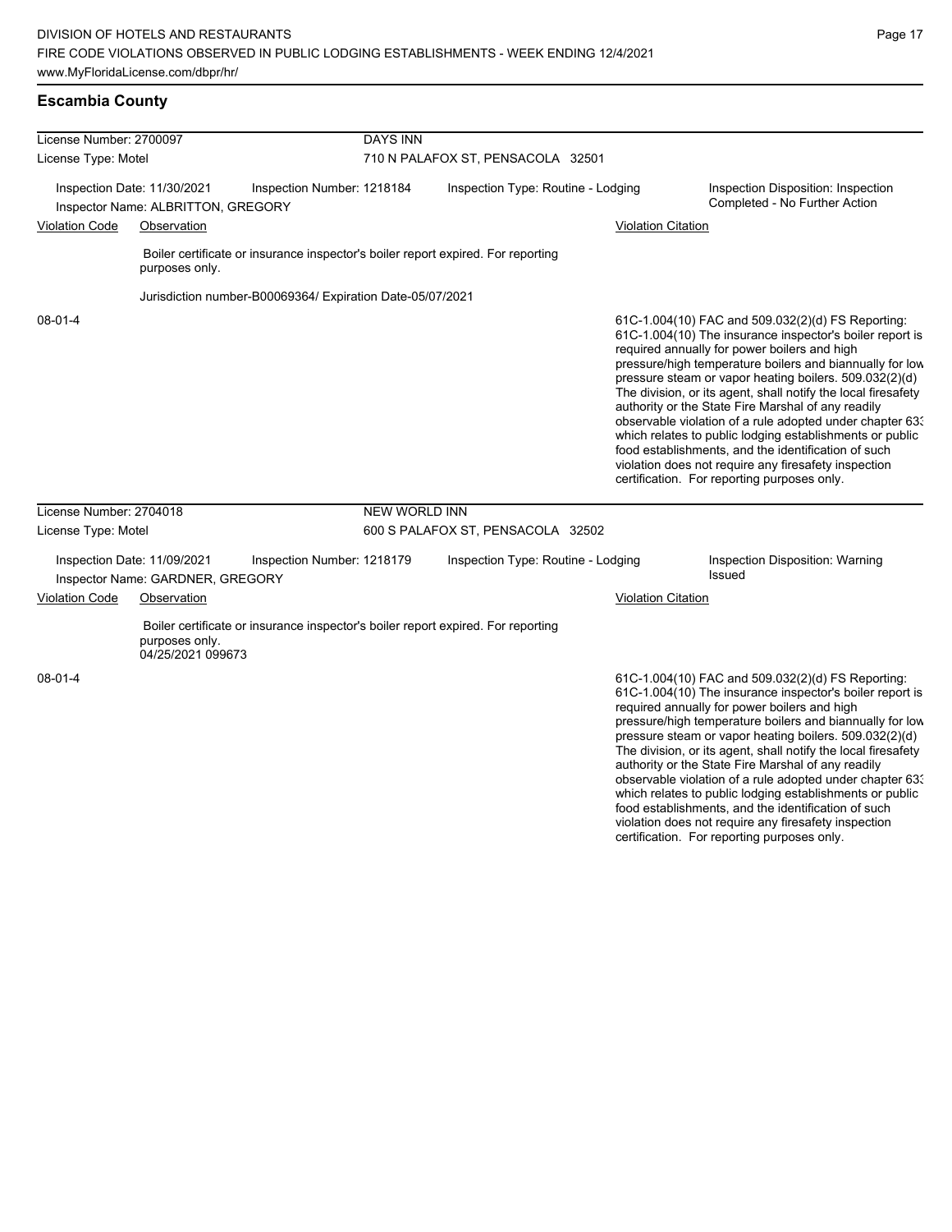| License Number: 2700097                                           |                                                                 | <b>DAYS INN</b>                                                                  |                                    |                           |                                                                                                                                                                                                                                                                                                                                                                                                                                                                                                                                                                                                                                                                                                  |
|-------------------------------------------------------------------|-----------------------------------------------------------------|----------------------------------------------------------------------------------|------------------------------------|---------------------------|--------------------------------------------------------------------------------------------------------------------------------------------------------------------------------------------------------------------------------------------------------------------------------------------------------------------------------------------------------------------------------------------------------------------------------------------------------------------------------------------------------------------------------------------------------------------------------------------------------------------------------------------------------------------------------------------------|
| License Type: Motel                                               |                                                                 |                                                                                  | 710 N PALAFOX ST, PENSACOLA 32501  |                           |                                                                                                                                                                                                                                                                                                                                                                                                                                                                                                                                                                                                                                                                                                  |
| Inspection Date: 11/30/2021<br>Inspector Name: ALBRITTON, GREGORY |                                                                 | Inspection Number: 1218184                                                       | Inspection Type: Routine - Lodging |                           | Inspection Disposition: Inspection<br>Completed - No Further Action                                                                                                                                                                                                                                                                                                                                                                                                                                                                                                                                                                                                                              |
| <b>Violation Code</b>                                             | Observation                                                     |                                                                                  |                                    | <b>Violation Citation</b> |                                                                                                                                                                                                                                                                                                                                                                                                                                                                                                                                                                                                                                                                                                  |
|                                                                   | purposes only.                                                  | Boiler certificate or insurance inspector's boiler report expired. For reporting |                                    |                           |                                                                                                                                                                                                                                                                                                                                                                                                                                                                                                                                                                                                                                                                                                  |
|                                                                   |                                                                 | Jurisdiction number-B00069364/ Expiration Date-05/07/2021                        |                                    |                           |                                                                                                                                                                                                                                                                                                                                                                                                                                                                                                                                                                                                                                                                                                  |
| $08 - 01 - 4$                                                     |                                                                 |                                                                                  |                                    |                           | 61C-1.004(10) FAC and 509.032(2)(d) FS Reporting:<br>61C-1.004(10) The insurance inspector's boiler report is<br>required annually for power boilers and high<br>pressure/high temperature boilers and biannually for low<br>pressure steam or vapor heating boilers. 509.032(2)(d)<br>The division, or its agent, shall notify the local firesafety<br>authority or the State Fire Marshal of any readily<br>observable violation of a rule adopted under chapter 63.<br>which relates to public lodging establishments or public<br>food establishments, and the identification of such<br>violation does not require any firesafety inspection<br>certification. For reporting purposes only. |
| License Number: 2704018                                           |                                                                 | <b>NEW WORLD INN</b>                                                             |                                    |                           |                                                                                                                                                                                                                                                                                                                                                                                                                                                                                                                                                                                                                                                                                                  |
| License Type: Motel                                               |                                                                 |                                                                                  | 600 S PALAFOX ST, PENSACOLA 32502  |                           |                                                                                                                                                                                                                                                                                                                                                                                                                                                                                                                                                                                                                                                                                                  |
|                                                                   | Inspection Date: 11/09/2021<br>Inspector Name: GARDNER, GREGORY | Inspection Number: 1218179                                                       | Inspection Type: Routine - Lodging |                           | Inspection Disposition: Warning<br>Issued                                                                                                                                                                                                                                                                                                                                                                                                                                                                                                                                                                                                                                                        |
| <b>Violation Code</b>                                             | Observation                                                     |                                                                                  |                                    | <b>Violation Citation</b> |                                                                                                                                                                                                                                                                                                                                                                                                                                                                                                                                                                                                                                                                                                  |
|                                                                   | purposes only.<br>04/25/2021 099673                             | Boiler certificate or insurance inspector's boiler report expired. For reporting |                                    |                           |                                                                                                                                                                                                                                                                                                                                                                                                                                                                                                                                                                                                                                                                                                  |
| 08-01-4                                                           |                                                                 |                                                                                  |                                    |                           | 61C-1.004(10) FAC and 509.032(2)(d) FS Reporting:<br>61C-1.004(10) The insurance inspector's boiler report is<br>required annually for power boilers and high<br>pressure/high temperature boilers and biannually for low<br>pressure steam or vapor heating boilers. 509.032(2)(d)<br>The substance on the concentration of the theory of Concentr                                                                                                                                                                                                                                                                                                                                              |

The division, or its agent, shall notify the local firesafety authority or the State Fire Marshal of any readily observable violation of a rule adopted under chapter 633 which relates to public lodging establishments or public food establishments, and the identification of such violation does not require any firesafety inspection certification. For reporting purposes only.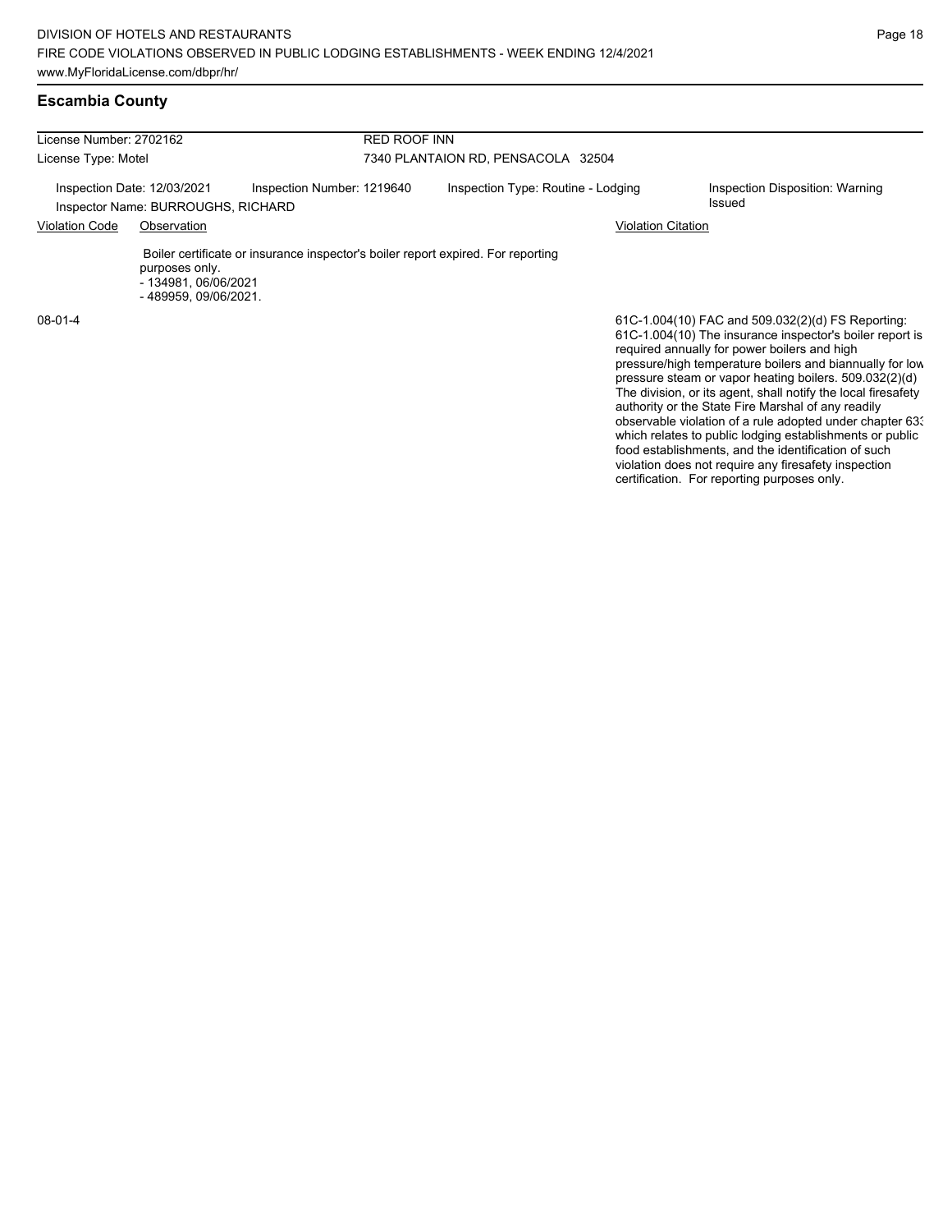#### **Escambia County**

| License Number: 2702162                                           |                                                                 |                                                                                  | <b>RED ROOF INN</b>                                                                    |                                                                                                                                                                                                                           |  |  |  |  |
|-------------------------------------------------------------------|-----------------------------------------------------------------|----------------------------------------------------------------------------------|----------------------------------------------------------------------------------------|---------------------------------------------------------------------------------------------------------------------------------------------------------------------------------------------------------------------------|--|--|--|--|
| License Type: Motel                                               |                                                                 |                                                                                  | 7340 PLANTAION RD, PENSACOLA 32504                                                     |                                                                                                                                                                                                                           |  |  |  |  |
| Inspection Date: 12/03/2021<br>Inspector Name: BURROUGHS, RICHARD |                                                                 | Inspection Number: 1219640                                                       | Inspection Type: Routine - Lodging<br>Inspection Disposition: Warning<br><b>Issued</b> |                                                                                                                                                                                                                           |  |  |  |  |
| <b>Violation Code</b><br>Observation                              |                                                                 |                                                                                  |                                                                                        | Violation Citation                                                                                                                                                                                                        |  |  |  |  |
|                                                                   | purposes only.<br>- 134981, 06/06/2021<br>- 489959, 09/06/2021. | Boiler certificate or insurance inspector's boiler report expired. For reporting |                                                                                        |                                                                                                                                                                                                                           |  |  |  |  |
| $08-01-4$                                                         |                                                                 |                                                                                  |                                                                                        | 61C-1.004(10) FAC and 509.032(2)(d) FS Reporting:<br>61C-1.004(10) The insurance inspector's boiler report is<br>required annually for power boilers and high<br>pressure/high temperature boilers and biannually for low |  |  |  |  |

pressure steam or vapor heating boilers. 509.032(2)(d) The division, or its agent, shall notify the local firesafety authority or the State Fire Marshal of any readily observable violation of a rule adopted under chapter 633 which relates to public lodging establishments or public food establishments, and the identification of such violation does not require any firesafety inspection certification. For reporting purposes only.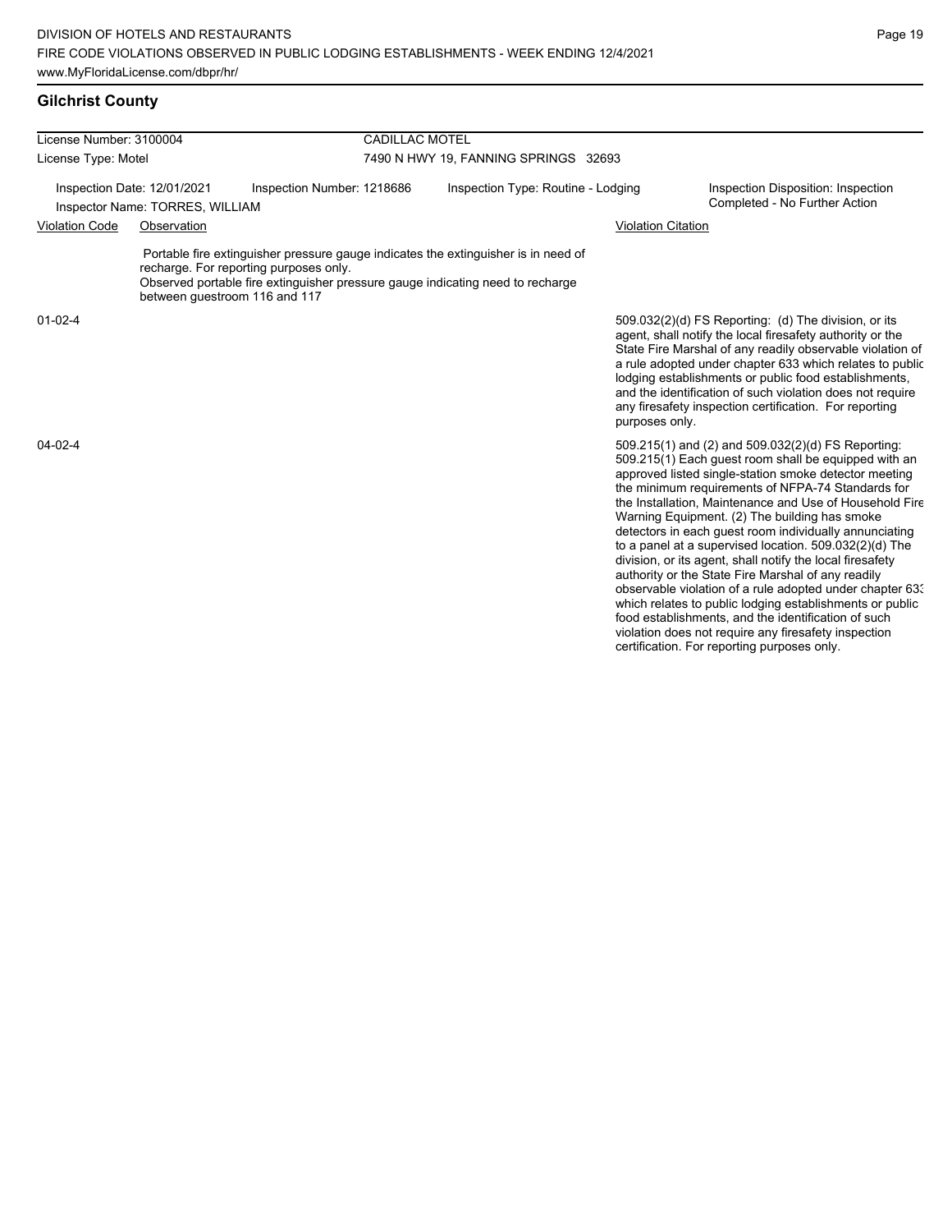# **Gilchrist County**

| License Number: 3100004                                        |             |                                                                                                                                                                                                                                                 | <b>CADILLAC MOTEL</b>                |                                                                                                                                                                                                                                                                                                                                                                                                                                                                                                                                                                                                                                                                                                                                                                                                                                                                   |  |  |  |  |
|----------------------------------------------------------------|-------------|-------------------------------------------------------------------------------------------------------------------------------------------------------------------------------------------------------------------------------------------------|--------------------------------------|-------------------------------------------------------------------------------------------------------------------------------------------------------------------------------------------------------------------------------------------------------------------------------------------------------------------------------------------------------------------------------------------------------------------------------------------------------------------------------------------------------------------------------------------------------------------------------------------------------------------------------------------------------------------------------------------------------------------------------------------------------------------------------------------------------------------------------------------------------------------|--|--|--|--|
| License Type: Motel                                            |             |                                                                                                                                                                                                                                                 | 7490 N HWY 19, FANNING SPRINGS 32693 |                                                                                                                                                                                                                                                                                                                                                                                                                                                                                                                                                                                                                                                                                                                                                                                                                                                                   |  |  |  |  |
| Inspection Date: 12/01/2021<br>Inspector Name: TORRES, WILLIAM |             | Inspection Number: 1218686                                                                                                                                                                                                                      | Inspection Type: Routine - Lodging   | Inspection Disposition: Inspection<br>Completed - No Further Action                                                                                                                                                                                                                                                                                                                                                                                                                                                                                                                                                                                                                                                                                                                                                                                               |  |  |  |  |
| <b>Violation Code</b>                                          | Observation |                                                                                                                                                                                                                                                 |                                      | <b>Violation Citation</b>                                                                                                                                                                                                                                                                                                                                                                                                                                                                                                                                                                                                                                                                                                                                                                                                                                         |  |  |  |  |
|                                                                |             | Portable fire extinguisher pressure gauge indicates the extinguisher is in need of<br>recharge. For reporting purposes only.<br>Observed portable fire extinguisher pressure gauge indicating need to recharge<br>between questroom 116 and 117 |                                      |                                                                                                                                                                                                                                                                                                                                                                                                                                                                                                                                                                                                                                                                                                                                                                                                                                                                   |  |  |  |  |
| $01 - 02 - 4$                                                  |             |                                                                                                                                                                                                                                                 |                                      | 509.032(2)(d) FS Reporting: (d) The division, or its<br>agent, shall notify the local firesafety authority or the<br>State Fire Marshal of any readily observable violation of<br>a rule adopted under chapter 633 which relates to public<br>lodging establishments or public food establishments,<br>and the identification of such violation does not require<br>any firesafety inspection certification. For reporting<br>purposes only.                                                                                                                                                                                                                                                                                                                                                                                                                      |  |  |  |  |
| $04 - 02 - 4$                                                  |             |                                                                                                                                                                                                                                                 |                                      | 509.215(1) and (2) and 509.032(2)(d) FS Reporting:<br>509.215(1) Each guest room shall be equipped with an<br>approved listed single-station smoke detector meeting<br>the minimum requirements of NFPA-74 Standards for<br>the Installation, Maintenance and Use of Household Fire<br>Warning Equipment. (2) The building has smoke<br>detectors in each quest room individually annunciating<br>to a panel at a supervised location. 509.032(2)(d) The<br>division, or its agent, shall notify the local firesafety<br>authority or the State Fire Marshal of any readily<br>observable violation of a rule adopted under chapter 63.<br>which relates to public lodging establishments or public<br>food establishments, and the identification of such<br>violation does not require any firesafety inspection<br>certification. For reporting purposes only. |  |  |  |  |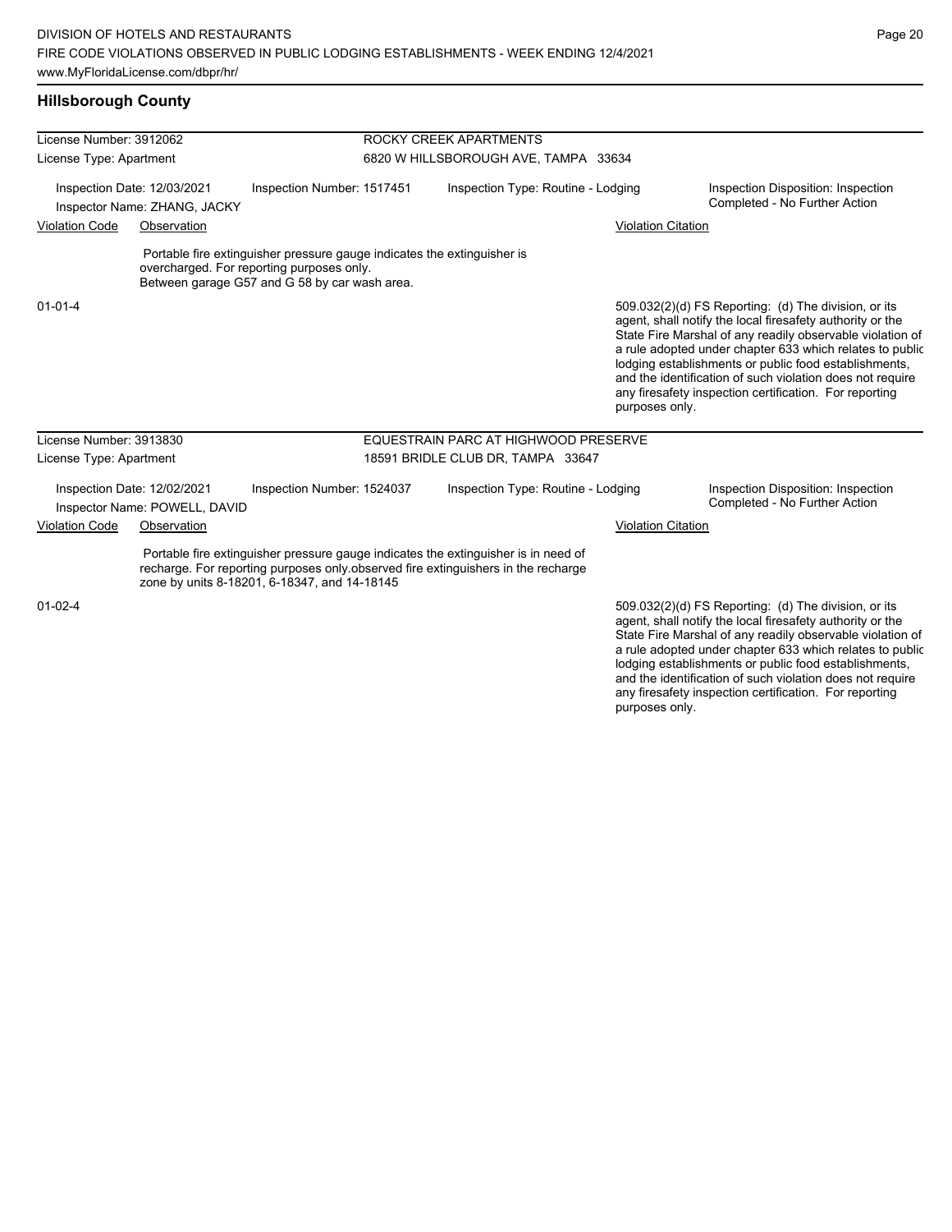### **Hillsborough County**

| License Number: 3912062 |                                                              |                                                                                                                                                                       | ROCKY CREEK APARTMENTS |                                                                                                                                                                         |                           |                                                                                                                                                                                                                                                                                                                                                                                                                            |  |
|-------------------------|--------------------------------------------------------------|-----------------------------------------------------------------------------------------------------------------------------------------------------------------------|------------------------|-------------------------------------------------------------------------------------------------------------------------------------------------------------------------|---------------------------|----------------------------------------------------------------------------------------------------------------------------------------------------------------------------------------------------------------------------------------------------------------------------------------------------------------------------------------------------------------------------------------------------------------------------|--|
| License Type: Apartment |                                                              |                                                                                                                                                                       |                        | 6820 W HILLSBOROUGH AVE, TAMPA 33634                                                                                                                                    |                           |                                                                                                                                                                                                                                                                                                                                                                                                                            |  |
|                         | Inspection Date: 12/03/2021<br>Inspector Name: ZHANG, JACKY  | Inspection Number: 1517451                                                                                                                                            |                        | Inspection Type: Routine - Lodging                                                                                                                                      |                           | Inspection Disposition: Inspection<br>Completed - No Further Action                                                                                                                                                                                                                                                                                                                                                        |  |
| <b>Violation Code</b>   | Observation                                                  |                                                                                                                                                                       |                        |                                                                                                                                                                         | <b>Violation Citation</b> |                                                                                                                                                                                                                                                                                                                                                                                                                            |  |
|                         |                                                              | Portable fire extinguisher pressure gauge indicates the extinguisher is<br>overcharged. For reporting purposes only.<br>Between garage G57 and G 58 by car wash area. |                        |                                                                                                                                                                         |                           |                                                                                                                                                                                                                                                                                                                                                                                                                            |  |
| $01 - 01 - 4$           |                                                              |                                                                                                                                                                       |                        |                                                                                                                                                                         | purposes only.            | 509.032(2)(d) FS Reporting: (d) The division, or its<br>agent, shall notify the local firesafety authority or the<br>State Fire Marshal of any readily observable violation of<br>a rule adopted under chapter 633 which relates to public<br>lodging establishments or public food establishments,<br>and the identification of such violation does not require<br>any firesafety inspection certification. For reporting |  |
| License Number: 3913830 |                                                              |                                                                                                                                                                       |                        | EQUESTRAIN PARC AT HIGHWOOD PRESERVE                                                                                                                                    |                           |                                                                                                                                                                                                                                                                                                                                                                                                                            |  |
| License Type: Apartment |                                                              |                                                                                                                                                                       |                        | 18591 BRIDLE CLUB DR, TAMPA 33647                                                                                                                                       |                           |                                                                                                                                                                                                                                                                                                                                                                                                                            |  |
|                         | Inspection Date: 12/02/2021<br>Inspector Name: POWELL, DAVID | Inspection Number: 1524037                                                                                                                                            |                        | Inspection Type: Routine - Lodging                                                                                                                                      |                           | Inspection Disposition: Inspection<br>Completed - No Further Action                                                                                                                                                                                                                                                                                                                                                        |  |
| <b>Violation Code</b>   | Observation                                                  |                                                                                                                                                                       |                        |                                                                                                                                                                         | <b>Violation Citation</b> |                                                                                                                                                                                                                                                                                                                                                                                                                            |  |
|                         |                                                              | zone by units 8-18201, 6-18347, and 14-18145                                                                                                                          |                        | Portable fire extinguisher pressure gauge indicates the extinguisher is in need of<br>recharge. For reporting purposes only observed fire extinguishers in the recharge |                           |                                                                                                                                                                                                                                                                                                                                                                                                                            |  |
| $01 - 02 - 4$           |                                                              |                                                                                                                                                                       |                        |                                                                                                                                                                         |                           | 509.032(2)(d) FS Reporting: (d) The division, or its<br>agent, shall notify the local firesafety authority or the<br>State Fire Marshal of any readily observable violation of<br>a rule adopted under chapter 633 which relates to public<br>lodging establishments or public food establishments,<br>and the identification of such violation does not require                                                           |  |

any firesafety inspection certification. For reporting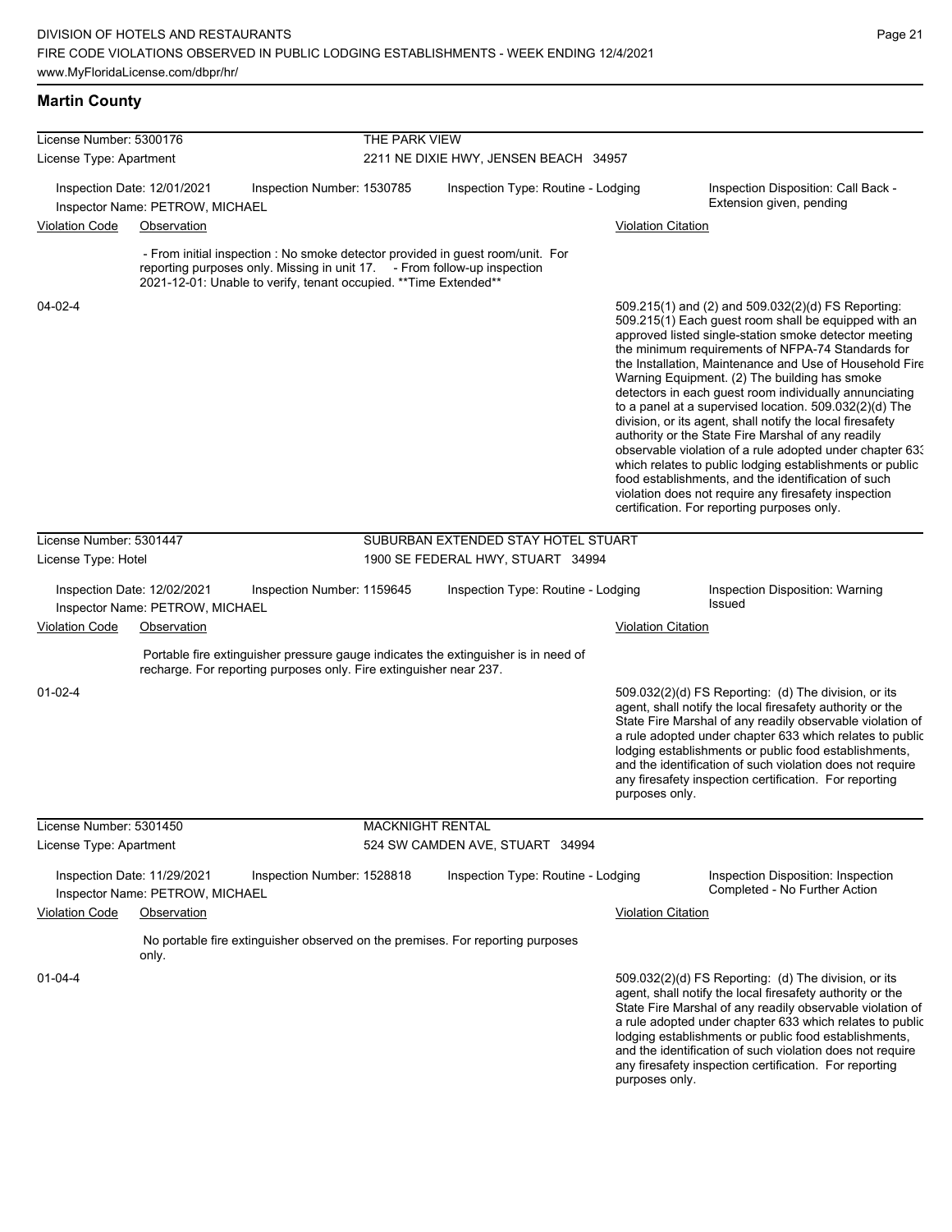### **Martin County**

| License Number: 5300176 |                                                                | <b>THE PARK VIEW</b>                                                                                                                          |                                       |                                                                                    |                           |                                                                                                                                                                                                                                                                                                                                                                                                                                                                                                                                                                                                                                                                                                                                                                                                                                                                   |  |
|-------------------------|----------------------------------------------------------------|-----------------------------------------------------------------------------------------------------------------------------------------------|---------------------------------------|------------------------------------------------------------------------------------|---------------------------|-------------------------------------------------------------------------------------------------------------------------------------------------------------------------------------------------------------------------------------------------------------------------------------------------------------------------------------------------------------------------------------------------------------------------------------------------------------------------------------------------------------------------------------------------------------------------------------------------------------------------------------------------------------------------------------------------------------------------------------------------------------------------------------------------------------------------------------------------------------------|--|
| License Type: Apartment |                                                                |                                                                                                                                               | 2211 NE DIXIE HWY, JENSEN BEACH 34957 |                                                                                    |                           |                                                                                                                                                                                                                                                                                                                                                                                                                                                                                                                                                                                                                                                                                                                                                                                                                                                                   |  |
|                         | Inspection Date: 12/01/2021<br>Inspector Name: PETROW, MICHAEL | Inspection Number: 1530785                                                                                                                    |                                       | Inspection Type: Routine - Lodging                                                 |                           | Inspection Disposition: Call Back -<br>Extension given, pending                                                                                                                                                                                                                                                                                                                                                                                                                                                                                                                                                                                                                                                                                                                                                                                                   |  |
| <b>Violation Code</b>   | Observation                                                    |                                                                                                                                               |                                       |                                                                                    | <b>Violation Citation</b> |                                                                                                                                                                                                                                                                                                                                                                                                                                                                                                                                                                                                                                                                                                                                                                                                                                                                   |  |
|                         |                                                                | reporting purposes only. Missing in unit 17. - From follow-up inspection<br>2021-12-01: Unable to verify, tenant occupied. ** Time Extended** |                                       | - From initial inspection : No smoke detector provided in guest room/unit. For     |                           |                                                                                                                                                                                                                                                                                                                                                                                                                                                                                                                                                                                                                                                                                                                                                                                                                                                                   |  |
| $04 - 02 - 4$           |                                                                |                                                                                                                                               |                                       |                                                                                    |                           | 509.215(1) and (2) and 509.032(2)(d) FS Reporting:<br>509.215(1) Each guest room shall be equipped with an<br>approved listed single-station smoke detector meeting<br>the minimum requirements of NFPA-74 Standards for<br>the Installation, Maintenance and Use of Household Fire<br>Warning Equipment. (2) The building has smoke<br>detectors in each guest room individually annunciating<br>to a panel at a supervised location. 509.032(2)(d) The<br>division, or its agent, shall notify the local firesafety<br>authority or the State Fire Marshal of any readily<br>observable violation of a rule adopted under chapter 63.<br>which relates to public lodging establishments or public<br>food establishments, and the identification of such<br>violation does not require any firesafety inspection<br>certification. For reporting purposes only. |  |
| License Number: 5301447 |                                                                |                                                                                                                                               |                                       | SUBURBAN EXTENDED STAY HOTEL STUART                                                |                           |                                                                                                                                                                                                                                                                                                                                                                                                                                                                                                                                                                                                                                                                                                                                                                                                                                                                   |  |
| License Type: Hotel     |                                                                |                                                                                                                                               |                                       | 1900 SE FEDERAL HWY, STUART 34994                                                  |                           |                                                                                                                                                                                                                                                                                                                                                                                                                                                                                                                                                                                                                                                                                                                                                                                                                                                                   |  |
|                         | Inspection Date: 12/02/2021<br>Inspector Name: PETROW, MICHAEL | Inspection Number: 1159645                                                                                                                    |                                       | Inspection Type: Routine - Lodging                                                 |                           | Inspection Disposition: Warning<br>Issued                                                                                                                                                                                                                                                                                                                                                                                                                                                                                                                                                                                                                                                                                                                                                                                                                         |  |
| <b>Violation Code</b>   | Observation                                                    |                                                                                                                                               |                                       |                                                                                    | <b>Violation Citation</b> |                                                                                                                                                                                                                                                                                                                                                                                                                                                                                                                                                                                                                                                                                                                                                                                                                                                                   |  |
|                         |                                                                | recharge. For reporting purposes only. Fire extinguisher near 237.                                                                            |                                       | Portable fire extinguisher pressure gauge indicates the extinguisher is in need of |                           |                                                                                                                                                                                                                                                                                                                                                                                                                                                                                                                                                                                                                                                                                                                                                                                                                                                                   |  |
| $01 - 02 - 4$           |                                                                |                                                                                                                                               |                                       |                                                                                    | purposes only.            | 509.032(2)(d) FS Reporting: (d) The division, or its<br>agent, shall notify the local firesafety authority or the<br>State Fire Marshal of any readily observable violation of<br>a rule adopted under chapter 633 which relates to public<br>lodging establishments or public food establishments,<br>and the identification of such violation does not require<br>any firesafety inspection certification. For reporting                                                                                                                                                                                                                                                                                                                                                                                                                                        |  |
| License Number: 5301450 |                                                                |                                                                                                                                               | <b>MACKNIGHT RENTAL</b>               |                                                                                    |                           |                                                                                                                                                                                                                                                                                                                                                                                                                                                                                                                                                                                                                                                                                                                                                                                                                                                                   |  |
| License Type: Apartment |                                                                |                                                                                                                                               |                                       | 524 SW CAMDEN AVE, STUART 34994                                                    |                           |                                                                                                                                                                                                                                                                                                                                                                                                                                                                                                                                                                                                                                                                                                                                                                                                                                                                   |  |
|                         | Inspection Date: 11/29/2021<br>Inspector Name: PETROW, MICHAEL | Inspection Number: 1528818                                                                                                                    |                                       | Inspection Type: Routine - Lodging                                                 |                           | Inspection Disposition: Inspection<br>Completed - No Further Action                                                                                                                                                                                                                                                                                                                                                                                                                                                                                                                                                                                                                                                                                                                                                                                               |  |
| <b>Violation Code</b>   | Observation                                                    |                                                                                                                                               |                                       |                                                                                    | <b>Violation Citation</b> |                                                                                                                                                                                                                                                                                                                                                                                                                                                                                                                                                                                                                                                                                                                                                                                                                                                                   |  |
|                         | only.                                                          |                                                                                                                                               |                                       | No portable fire extinguisher observed on the premises. For reporting purposes     |                           |                                                                                                                                                                                                                                                                                                                                                                                                                                                                                                                                                                                                                                                                                                                                                                                                                                                                   |  |
| $01 - 04 - 4$           |                                                                |                                                                                                                                               |                                       |                                                                                    |                           | 509.032(2)(d) FS Reporting (d) The division, or its<br>agent, shall notify the local firesafety authority or the<br>State Fire Marshal of any readily observable violation of<br>a rule adopted under chapter 633 which relates to public<br>lodging establishments or public food establishments,<br>and the identification of such violation does not require<br>any firesafety inspection certification. For reporting                                                                                                                                                                                                                                                                                                                                                                                                                                         |  |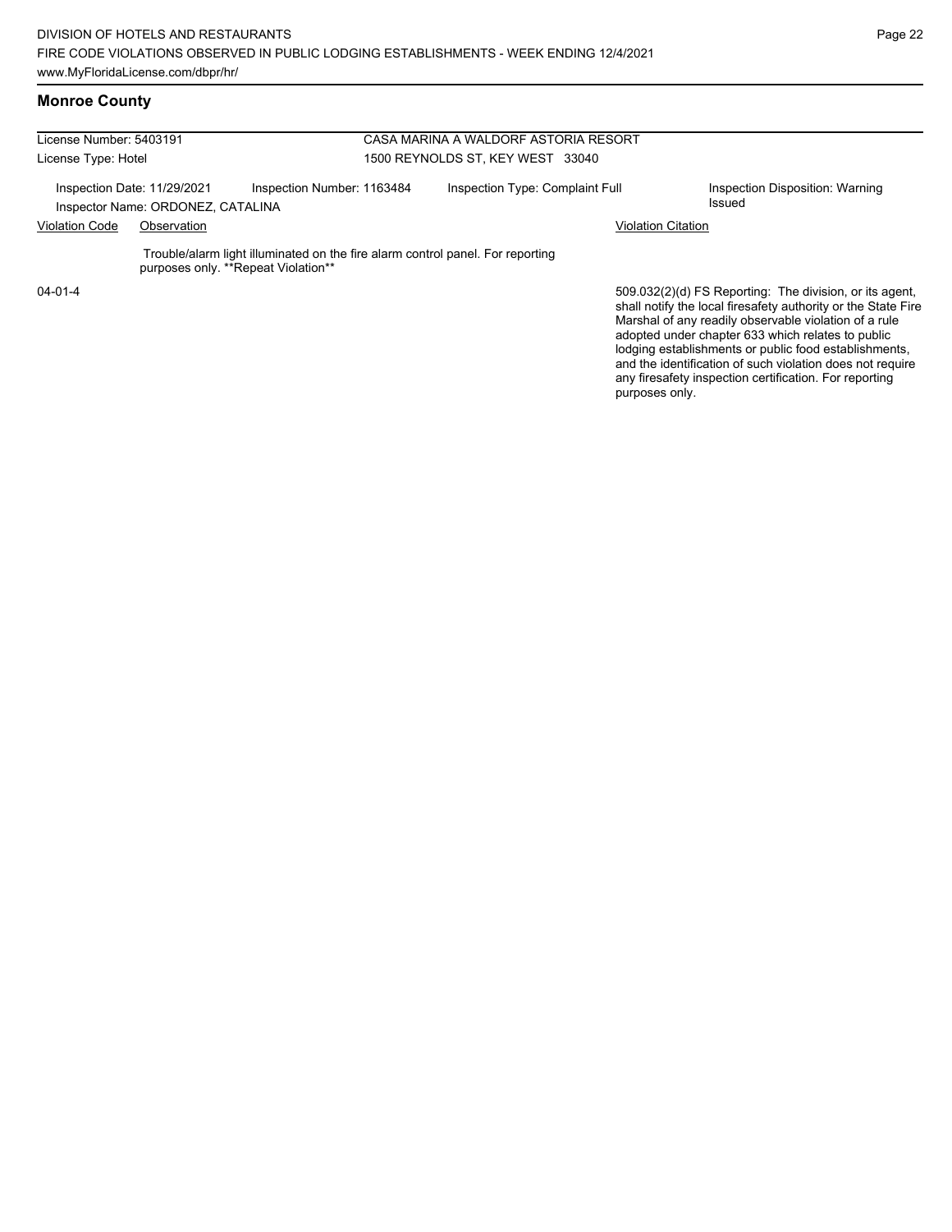#### **Monroe County**

| License Number: 5403191              |                                                                  |                                                                                                                       | CASA MARINA A WALDORF ASTORIA RESORT |                                                                                                                                                                                                                                        |  |  |  |
|--------------------------------------|------------------------------------------------------------------|-----------------------------------------------------------------------------------------------------------------------|--------------------------------------|----------------------------------------------------------------------------------------------------------------------------------------------------------------------------------------------------------------------------------------|--|--|--|
| License Type: Hotel                  |                                                                  |                                                                                                                       | 1500 REYNOLDS ST. KEY WEST 33040     |                                                                                                                                                                                                                                        |  |  |  |
|                                      | Inspection Date: 11/29/2021<br>Inspector Name: ORDONEZ, CATALINA | Inspection Number: 1163484                                                                                            | Inspection Type: Complaint Full      | Inspection Disposition: Warning<br>Issued                                                                                                                                                                                              |  |  |  |
| <b>Violation Code</b><br>Observation |                                                                  |                                                                                                                       |                                      | <b>Violation Citation</b>                                                                                                                                                                                                              |  |  |  |
|                                      |                                                                  | Trouble/alarm light illuminated on the fire alarm control panel. For reporting<br>purposes only. **Repeat Violation** |                                      |                                                                                                                                                                                                                                        |  |  |  |
| $04 - 01 - 4$                        |                                                                  |                                                                                                                       |                                      | 509.032(2)(d) FS Reporting: The division, or its agent,<br>shall notify the local firesafety authority or the State Fire<br>Marshal of any readily observable violation of a rule<br>adopted under chapter 633 which relates to public |  |  |  |

lodging establishments or public food establishments, and the identification of such violation does not require any firesafety inspection certification. For reporting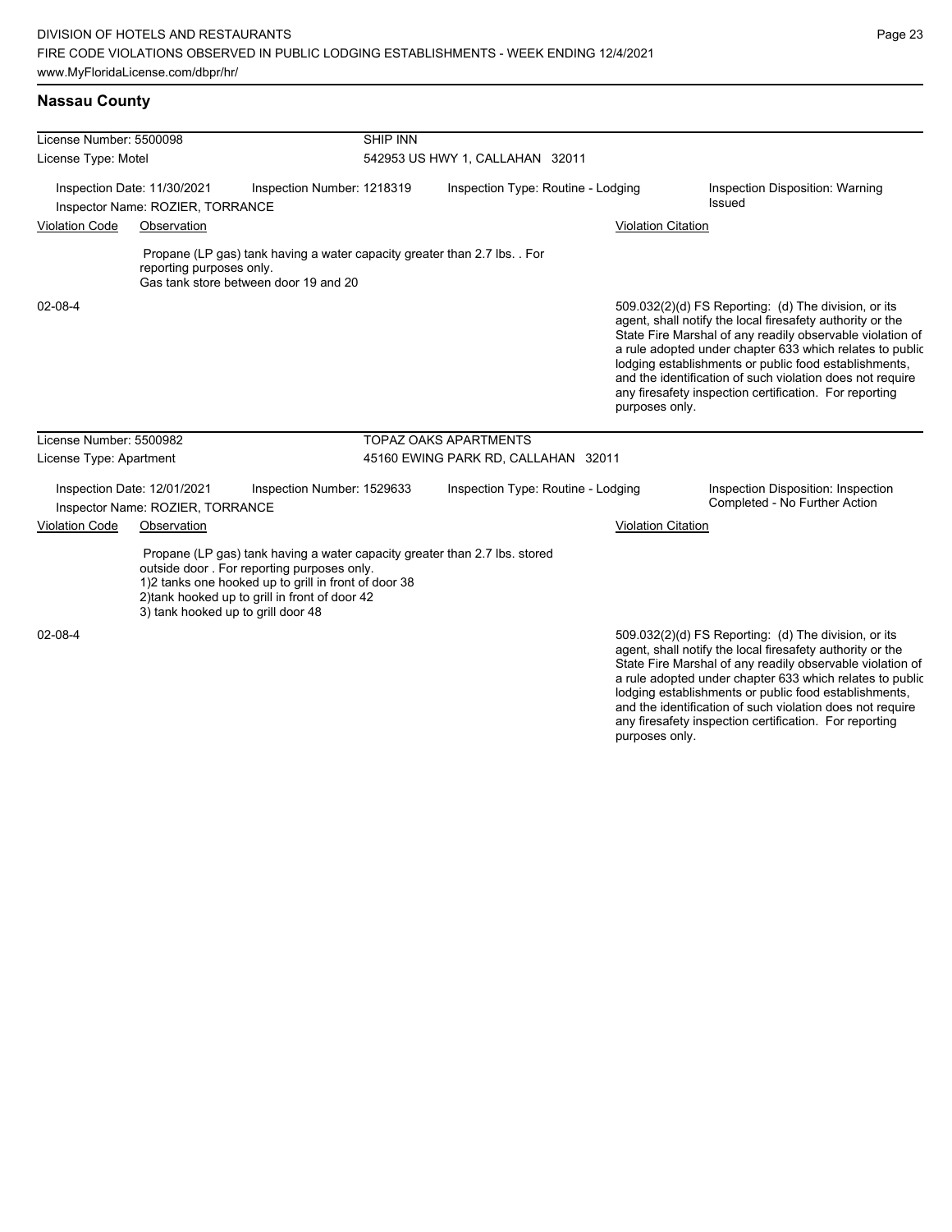| License Number: 5500098                                   |                                                                 |                                                                                                                                                                                                                                    | <b>SHIP INN</b>                    |                                     |                           |                                                                                                                                                                                                                                                                                                                                                                                                                            |  |
|-----------------------------------------------------------|-----------------------------------------------------------------|------------------------------------------------------------------------------------------------------------------------------------------------------------------------------------------------------------------------------------|------------------------------------|-------------------------------------|---------------------------|----------------------------------------------------------------------------------------------------------------------------------------------------------------------------------------------------------------------------------------------------------------------------------------------------------------------------------------------------------------------------------------------------------------------------|--|
| License Type: Motel                                       |                                                                 |                                                                                                                                                                                                                                    | 542953 US HWY 1, CALLAHAN 32011    |                                     |                           |                                                                                                                                                                                                                                                                                                                                                                                                                            |  |
| Inspection Date: 11/30/2021<br>Inspection Number: 1218319 |                                                                 |                                                                                                                                                                                                                                    | Inspection Type: Routine - Lodging |                                     |                           | Inspection Disposition: Warning<br>Issued                                                                                                                                                                                                                                                                                                                                                                                  |  |
|                                                           | Inspector Name: ROZIER, TORRANCE                                |                                                                                                                                                                                                                                    |                                    |                                     |                           |                                                                                                                                                                                                                                                                                                                                                                                                                            |  |
| <b>Violation Code</b>                                     | Observation                                                     |                                                                                                                                                                                                                                    |                                    |                                     | <b>Violation Citation</b> |                                                                                                                                                                                                                                                                                                                                                                                                                            |  |
|                                                           | reporting purposes only.                                        | Propane (LP gas) tank having a water capacity greater than 2.7 lbs. . For<br>Gas tank store between door 19 and 20                                                                                                                 |                                    |                                     |                           |                                                                                                                                                                                                                                                                                                                                                                                                                            |  |
| 02-08-4                                                   |                                                                 |                                                                                                                                                                                                                                    |                                    |                                     | purposes only.            | 509.032(2)(d) FS Reporting: (d) The division, or its<br>agent, shall notify the local firesafety authority or the<br>State Fire Marshal of any readily observable violation of<br>a rule adopted under chapter 633 which relates to public<br>lodging establishments or public food establishments,<br>and the identification of such violation does not require<br>any firesafety inspection certification. For reporting |  |
| License Number: 5500982                                   |                                                                 |                                                                                                                                                                                                                                    |                                    | <b>TOPAZ OAKS APARTMENTS</b>        |                           |                                                                                                                                                                                                                                                                                                                                                                                                                            |  |
| License Type: Apartment                                   |                                                                 |                                                                                                                                                                                                                                    |                                    | 45160 EWING PARK RD, CALLAHAN 32011 |                           |                                                                                                                                                                                                                                                                                                                                                                                                                            |  |
|                                                           | Inspection Date: 12/01/2021<br>Inspector Name: ROZIER, TORRANCE | Inspection Number: 1529633                                                                                                                                                                                                         |                                    | Inspection Type: Routine - Lodging  |                           | Inspection Disposition: Inspection<br>Completed - No Further Action                                                                                                                                                                                                                                                                                                                                                        |  |
| <b>Violation Code</b>                                     | Observation                                                     |                                                                                                                                                                                                                                    |                                    |                                     | <b>Violation Citation</b> |                                                                                                                                                                                                                                                                                                                                                                                                                            |  |
|                                                           | 3) tank hooked up to grill door 48                              | Propane (LP gas) tank having a water capacity greater than 2.7 lbs. stored<br>outside door. For reporting purposes only.<br>1)2 tanks one hooked up to grill in front of door 38<br>2) tank hooked up to grill in front of door 42 |                                    |                                     |                           |                                                                                                                                                                                                                                                                                                                                                                                                                            |  |
| 02-08-4                                                   |                                                                 |                                                                                                                                                                                                                                    |                                    |                                     |                           | 509.032(2)(d) FS Reporting: (d) The division, or its<br>agent, shall notify the local firesafety authority or the<br>State Fire Marshal of any readily observable violation of                                                                                                                                                                                                                                             |  |

a rule adopted under chapter 633 which relates to public lodging establishments or public food establishments, and the identification of such violation does not require any firesafety inspection certification. For reporting purposes only.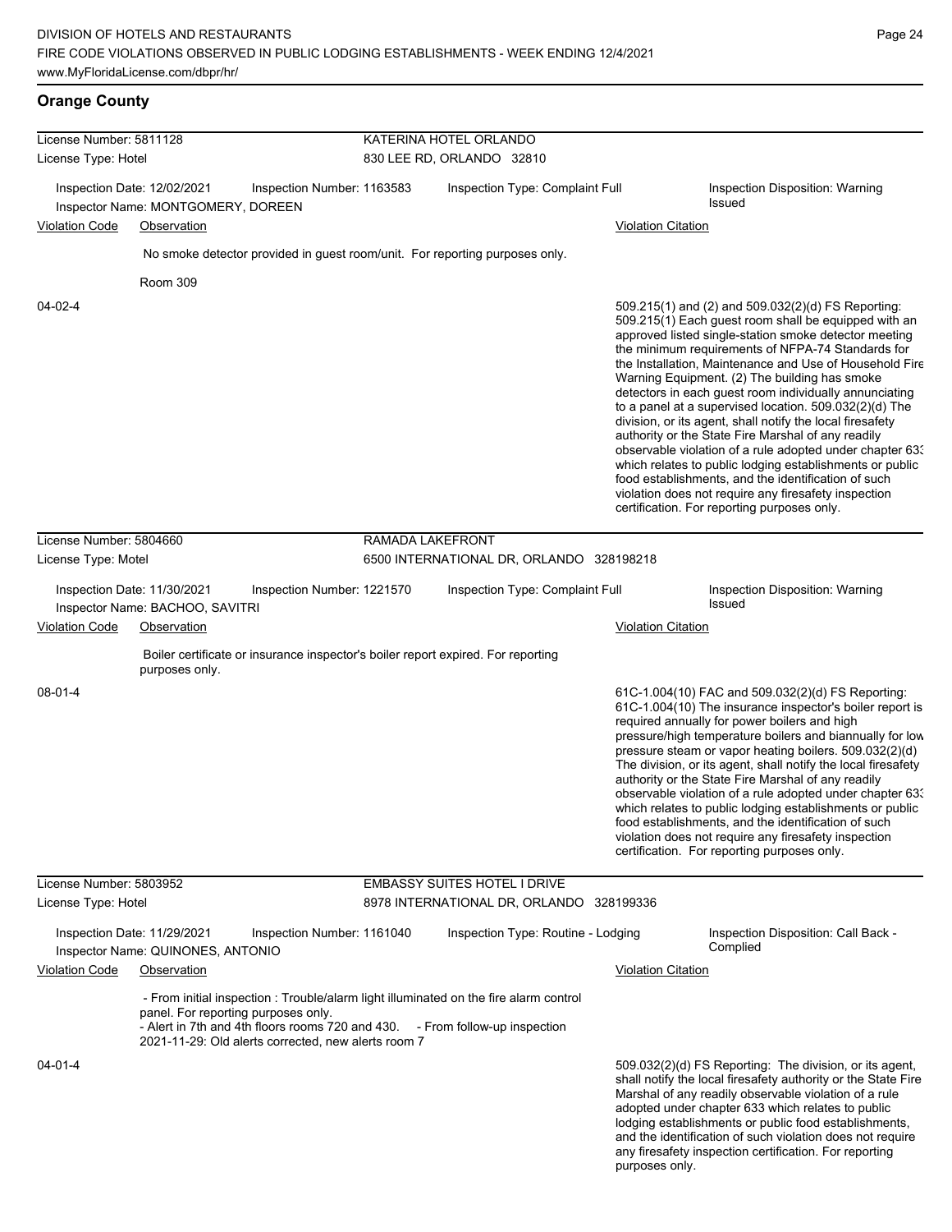# **Orange County**

| License Number: 5811128<br>License Type: Hotel |                                                                   | KATERINA HOTEL ORLANDO<br>830 LEE RD, ORLANDO 32810 |                  |                                                                                                                                                                       |                           |                                                                                                                                                                                                                                                                                                                                                                                                                                                                                                                                                                                                                                                                                                                                                                                                                                                                   |
|------------------------------------------------|-------------------------------------------------------------------|-----------------------------------------------------|------------------|-----------------------------------------------------------------------------------------------------------------------------------------------------------------------|---------------------------|-------------------------------------------------------------------------------------------------------------------------------------------------------------------------------------------------------------------------------------------------------------------------------------------------------------------------------------------------------------------------------------------------------------------------------------------------------------------------------------------------------------------------------------------------------------------------------------------------------------------------------------------------------------------------------------------------------------------------------------------------------------------------------------------------------------------------------------------------------------------|
|                                                | Inspection Date: 12/02/2021<br>Inspector Name: MONTGOMERY, DOREEN | Inspection Number: 1163583                          |                  | Inspection Type: Complaint Full                                                                                                                                       |                           | Inspection Disposition: Warning<br><b>Issued</b>                                                                                                                                                                                                                                                                                                                                                                                                                                                                                                                                                                                                                                                                                                                                                                                                                  |
| <b>Violation Code</b>                          | Observation                                                       |                                                     |                  |                                                                                                                                                                       | <b>Violation Citation</b> |                                                                                                                                                                                                                                                                                                                                                                                                                                                                                                                                                                                                                                                                                                                                                                                                                                                                   |
|                                                |                                                                   |                                                     |                  | No smoke detector provided in guest room/unit. For reporting purposes only.                                                                                           |                           |                                                                                                                                                                                                                                                                                                                                                                                                                                                                                                                                                                                                                                                                                                                                                                                                                                                                   |
| $04 - 02 - 4$                                  | Room 309                                                          |                                                     |                  |                                                                                                                                                                       |                           | 509.215(1) and (2) and 509.032(2)(d) FS Reporting:<br>509.215(1) Each guest room shall be equipped with an<br>approved listed single-station smoke detector meeting<br>the minimum requirements of NFPA-74 Standards for<br>the Installation, Maintenance and Use of Household Fire<br>Warning Equipment. (2) The building has smoke<br>detectors in each guest room individually annunciating<br>to a panel at a supervised location. 509.032(2)(d) The<br>division, or its agent, shall notify the local firesafety<br>authority or the State Fire Marshal of any readily<br>observable violation of a rule adopted under chapter 63.<br>which relates to public lodging establishments or public<br>food establishments, and the identification of such<br>violation does not require any firesafety inspection<br>certification. For reporting purposes only. |
| License Number: 5804660                        |                                                                   |                                                     | RAMADA LAKEFRONT |                                                                                                                                                                       |                           |                                                                                                                                                                                                                                                                                                                                                                                                                                                                                                                                                                                                                                                                                                                                                                                                                                                                   |
| License Type: Motel                            |                                                                   |                                                     |                  | 6500 INTERNATIONAL DR, ORLANDO 328198218                                                                                                                              |                           |                                                                                                                                                                                                                                                                                                                                                                                                                                                                                                                                                                                                                                                                                                                                                                                                                                                                   |
|                                                | Inspection Date: 11/30/2021<br>Inspector Name: BACHOO, SAVITRI    | Inspection Number: 1221570                          |                  | Inspection Type: Complaint Full                                                                                                                                       |                           | Inspection Disposition: Warning<br><b>Issued</b>                                                                                                                                                                                                                                                                                                                                                                                                                                                                                                                                                                                                                                                                                                                                                                                                                  |
| <b>Violation Code</b>                          | Observation                                                       |                                                     |                  |                                                                                                                                                                       | <b>Violation Citation</b> |                                                                                                                                                                                                                                                                                                                                                                                                                                                                                                                                                                                                                                                                                                                                                                                                                                                                   |
|                                                | purposes only.                                                    |                                                     |                  | Boiler certificate or insurance inspector's boiler report expired. For reporting                                                                                      |                           |                                                                                                                                                                                                                                                                                                                                                                                                                                                                                                                                                                                                                                                                                                                                                                                                                                                                   |
| $08 - 01 - 4$                                  |                                                                   |                                                     |                  |                                                                                                                                                                       |                           | 61C-1.004(10) FAC and 509.032(2)(d) FS Reporting:<br>61C-1.004(10) The insurance inspector's boiler report is<br>required annually for power boilers and high<br>pressure/high temperature boilers and biannually for low<br>pressure steam or vapor heating boilers. 509.032(2)(d)<br>The division, or its agent, shall notify the local firesafety<br>authority or the State Fire Marshal of any readily<br>observable violation of a rule adopted under chapter 63.<br>which relates to public lodging establishments or public<br>food establishments, and the identification of such<br>violation does not require any firesafety inspection<br>certification. For reporting purposes only.                                                                                                                                                                  |
| License Number: 5803952                        |                                                                   |                                                     |                  | <b>EMBASSY SUITES HOTEL I DRIVE</b>                                                                                                                                   |                           |                                                                                                                                                                                                                                                                                                                                                                                                                                                                                                                                                                                                                                                                                                                                                                                                                                                                   |
| License Type: Hotel                            |                                                                   |                                                     |                  | 8978 INTERNATIONAL DR, ORLANDO 328199336                                                                                                                              |                           |                                                                                                                                                                                                                                                                                                                                                                                                                                                                                                                                                                                                                                                                                                                                                                                                                                                                   |
|                                                | Inspection Date: 11/29/2021<br>Inspector Name: QUINONES, ANTONIO  | Inspection Number: 1161040                          |                  | Inspection Type: Routine - Lodging                                                                                                                                    |                           | Inspection Disposition: Call Back -<br>Complied                                                                                                                                                                                                                                                                                                                                                                                                                                                                                                                                                                                                                                                                                                                                                                                                                   |
| Violation Code                                 | Observation                                                       |                                                     |                  |                                                                                                                                                                       | <b>Violation Citation</b> |                                                                                                                                                                                                                                                                                                                                                                                                                                                                                                                                                                                                                                                                                                                                                                                                                                                                   |
|                                                | panel. For reporting purposes only.                               | 2021-11-29: Old alerts corrected, new alerts room 7 |                  | - From initial inspection : Trouble/alarm light illuminated on the fire alarm control<br>- Alert in 7th and 4th floors rooms 720 and 430. - From follow-up inspection |                           |                                                                                                                                                                                                                                                                                                                                                                                                                                                                                                                                                                                                                                                                                                                                                                                                                                                                   |
| $04 - 01 - 4$                                  |                                                                   |                                                     |                  |                                                                                                                                                                       |                           | 509.032(2)(d) FS Reporting: The division, or its agent,<br>shall notify the local firesafety authority or the State Fire<br>Marshal of any readily observable violation of a rule<br>adopted under chapter 633 which relates to public<br>lodging establishments or public food establishments,<br>and the identification of such violation does not require<br>any firesafety inspection certification. For reporting                                                                                                                                                                                                                                                                                                                                                                                                                                            |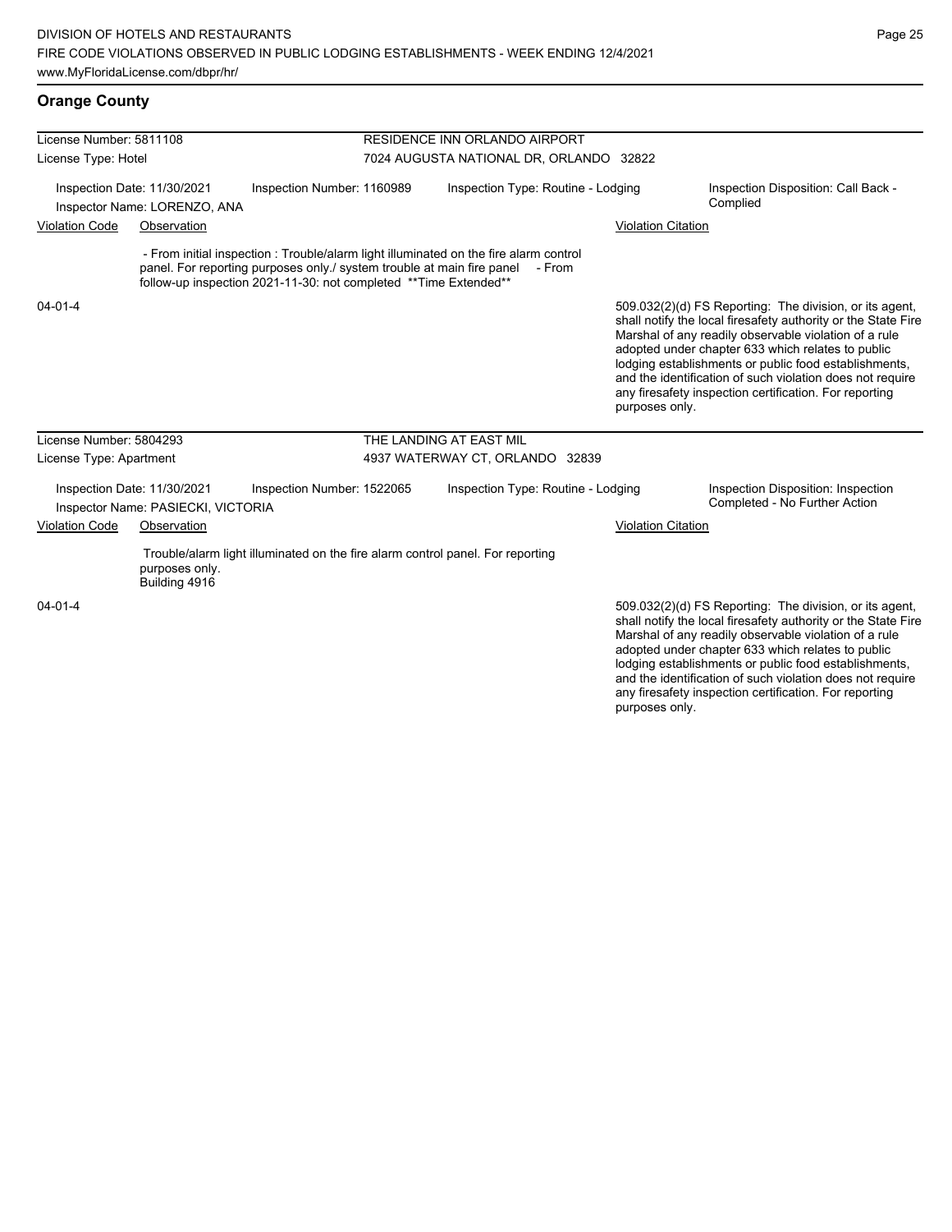| License Number: 5811108                                     |                                                                   |                                                                                                                                            |                                         | <b>RESIDENCE INN ORLANDO AIRPORT</b>                                                            |                           |                                                                                                                                                                                                                                                                                                                                                                                                                        |
|-------------------------------------------------------------|-------------------------------------------------------------------|--------------------------------------------------------------------------------------------------------------------------------------------|-----------------------------------------|-------------------------------------------------------------------------------------------------|---------------------------|------------------------------------------------------------------------------------------------------------------------------------------------------------------------------------------------------------------------------------------------------------------------------------------------------------------------------------------------------------------------------------------------------------------------|
| License Type: Hotel                                         |                                                                   |                                                                                                                                            | 7024 AUGUSTA NATIONAL DR, ORLANDO 32822 |                                                                                                 |                           |                                                                                                                                                                                                                                                                                                                                                                                                                        |
| Inspection Date: 11/30/2021<br>Inspector Name: LORENZO, ANA |                                                                   | Inspection Number: 1160989                                                                                                                 |                                         | Inspection Type: Routine - Lodging                                                              |                           | Inspection Disposition: Call Back -<br>Complied                                                                                                                                                                                                                                                                                                                                                                        |
| <b>Violation Code</b>                                       | Observation                                                       |                                                                                                                                            |                                         |                                                                                                 | <b>Violation Citation</b> |                                                                                                                                                                                                                                                                                                                                                                                                                        |
|                                                             |                                                                   | panel. For reporting purposes only / system trouble at main fire panel<br>follow-up inspection 2021-11-30: not completed **Time Extended** |                                         | - From initial inspection : Trouble/alarm light illuminated on the fire alarm control<br>- From |                           |                                                                                                                                                                                                                                                                                                                                                                                                                        |
| $04 - 01 - 4$                                               |                                                                   |                                                                                                                                            |                                         |                                                                                                 | purposes only.            | 509.032(2)(d) FS Reporting: The division, or its agent,<br>shall notify the local firesafety authority or the State Fire<br>Marshal of any readily observable violation of a rule<br>adopted under chapter 633 which relates to public<br>lodging establishments or public food establishments,<br>and the identification of such violation does not require<br>any firesafety inspection certification. For reporting |
| License Number: 5804293                                     |                                                                   |                                                                                                                                            |                                         | THE LANDING AT EAST MIL                                                                         |                           |                                                                                                                                                                                                                                                                                                                                                                                                                        |
| License Type: Apartment                                     |                                                                   |                                                                                                                                            |                                         | 4937 WATERWAY CT, ORLANDO 32839                                                                 |                           |                                                                                                                                                                                                                                                                                                                                                                                                                        |
|                                                             | Inspection Date: 11/30/2021<br>Inspector Name: PASIECKI, VICTORIA | Inspection Number: 1522065                                                                                                                 |                                         | Inspection Type: Routine - Lodging                                                              |                           | Inspection Disposition: Inspection<br>Completed - No Further Action                                                                                                                                                                                                                                                                                                                                                    |
| <b>Violation Code</b>                                       | Observation                                                       |                                                                                                                                            |                                         |                                                                                                 | <b>Violation Citation</b> |                                                                                                                                                                                                                                                                                                                                                                                                                        |
|                                                             | purposes only.<br>Building 4916                                   | Trouble/alarm light illuminated on the fire alarm control panel. For reporting                                                             |                                         |                                                                                                 |                           |                                                                                                                                                                                                                                                                                                                                                                                                                        |
| $04 - 01 - 4$                                               |                                                                   |                                                                                                                                            |                                         |                                                                                                 |                           | 509.032(2)(d) FS Reporting: The division, or its agent,<br>shall notify the local firesafety authority or the State Fire<br>Marshal of any readily observable violation of a rule<br>adopted under chapter 633 which relates to public<br>lodging establishments or public food establishments,<br>and the identification of such violation does not require                                                           |

any firesafety inspection certification. For reporting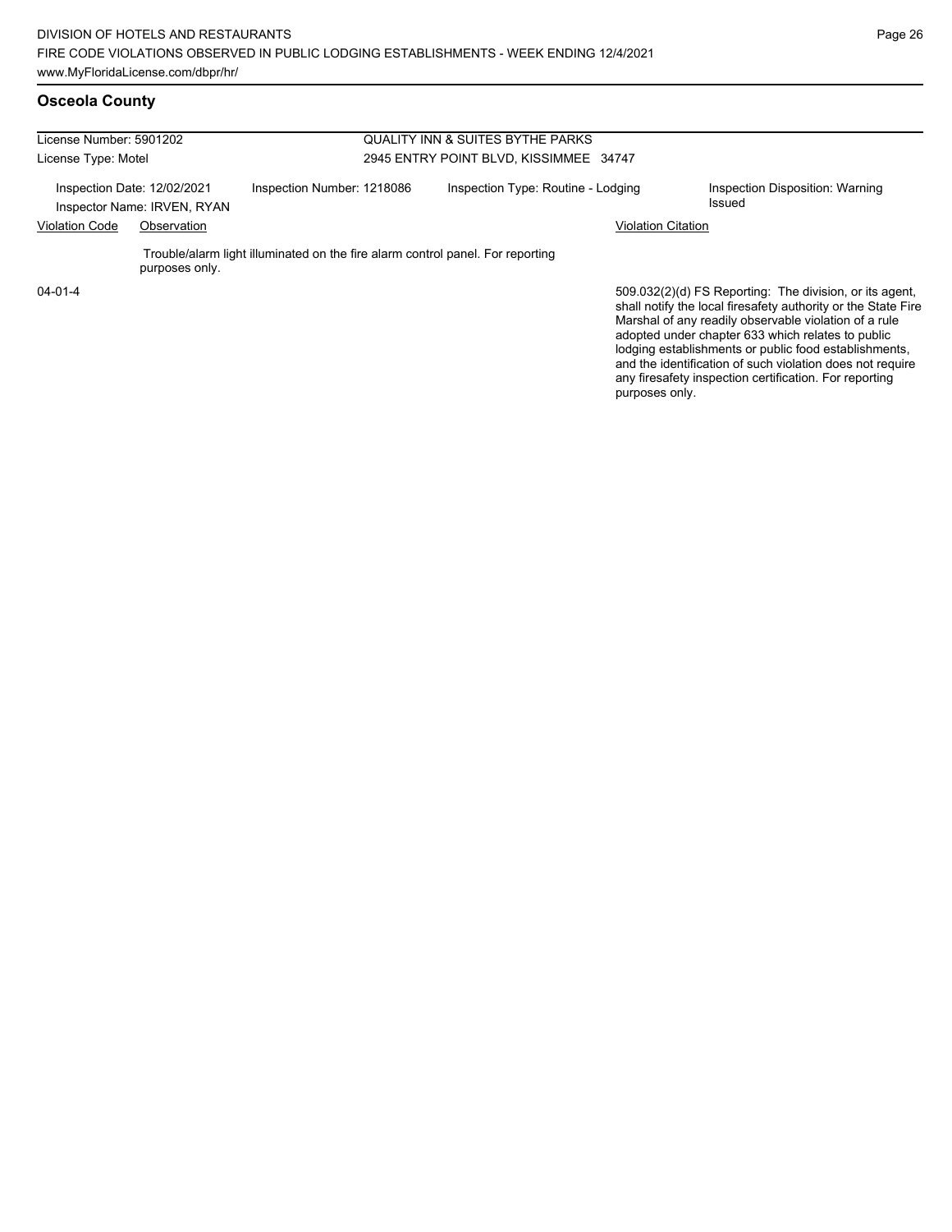### **Osceola County**

| License Number: 5901202 |                                                            |                                                                                | <b>QUALITY INN &amp; SUITES BYTHE PARKS</b> |                                                                                                                                                                                                                                        |  |  |  |
|-------------------------|------------------------------------------------------------|--------------------------------------------------------------------------------|---------------------------------------------|----------------------------------------------------------------------------------------------------------------------------------------------------------------------------------------------------------------------------------------|--|--|--|
| License Type: Motel     |                                                            |                                                                                | 2945 ENTRY POINT BLVD, KISSIMMEE 34747      |                                                                                                                                                                                                                                        |  |  |  |
|                         | Inspection Date: 12/02/2021<br>Inspector Name: IRVEN, RYAN | Inspection Number: 1218086                                                     | Inspection Type: Routine - Lodging          | Inspection Disposition: Warning<br>Issued                                                                                                                                                                                              |  |  |  |
| <b>Violation Code</b>   | Observation                                                |                                                                                |                                             | Violation Citation                                                                                                                                                                                                                     |  |  |  |
|                         | purposes only.                                             | Trouble/alarm light illuminated on the fire alarm control panel. For reporting |                                             |                                                                                                                                                                                                                                        |  |  |  |
| $04 - 01 - 4$           |                                                            |                                                                                |                                             | 509.032(2)(d) FS Reporting: The division, or its agent,<br>shall notify the local firesafety authority or the State Fire<br>Marshal of any readily observable violation of a rule<br>adopted under chapter 633 which relates to public |  |  |  |

adopted under chapter 633 which relates to public lodging establishments or public food establishments, and the identification of such violation does not require any firesafety inspection certification. For reporting purposes only.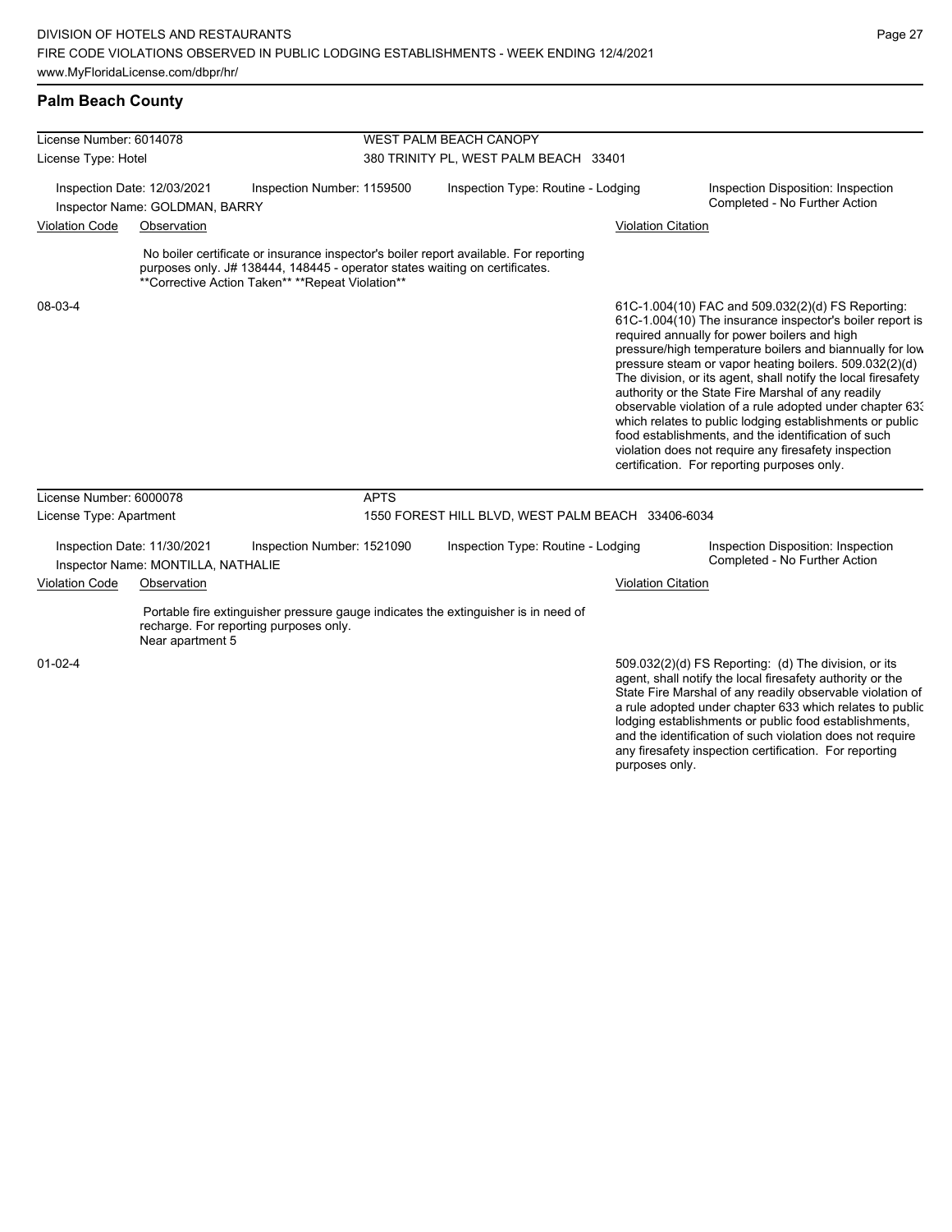### **Palm Beach County**

| License Number: 6014078                                       |                                                                   |                                                                                                                                 | WEST PALM BEACH CANOPY                |                                                                                       |                           |                                                                                                                                                                                                                                                                                                                                                                                                                                                                                                                                                                                                                                                                                                  |  |
|---------------------------------------------------------------|-------------------------------------------------------------------|---------------------------------------------------------------------------------------------------------------------------------|---------------------------------------|---------------------------------------------------------------------------------------|---------------------------|--------------------------------------------------------------------------------------------------------------------------------------------------------------------------------------------------------------------------------------------------------------------------------------------------------------------------------------------------------------------------------------------------------------------------------------------------------------------------------------------------------------------------------------------------------------------------------------------------------------------------------------------------------------------------------------------------|--|
| License Type: Hotel                                           |                                                                   |                                                                                                                                 | 380 TRINITY PL, WEST PALM BEACH 33401 |                                                                                       |                           |                                                                                                                                                                                                                                                                                                                                                                                                                                                                                                                                                                                                                                                                                                  |  |
| Inspection Date: 12/03/2021<br>Inspector Name: GOLDMAN, BARRY |                                                                   | Inspection Number: 1159500                                                                                                      |                                       | Inspection Type: Routine - Lodging                                                    |                           | Inspection Disposition: Inspection<br>Completed - No Further Action                                                                                                                                                                                                                                                                                                                                                                                                                                                                                                                                                                                                                              |  |
| <b>Violation Code</b>                                         | Observation                                                       |                                                                                                                                 |                                       |                                                                                       | <b>Violation Citation</b> |                                                                                                                                                                                                                                                                                                                                                                                                                                                                                                                                                                                                                                                                                                  |  |
|                                                               |                                                                   | purposes only. J# 138444, 148445 - operator states waiting on certificates.<br>**Corrective Action Taken** **Repeat Violation** |                                       | No boiler certificate or insurance inspector's boiler report available. For reporting |                           |                                                                                                                                                                                                                                                                                                                                                                                                                                                                                                                                                                                                                                                                                                  |  |
| 08-03-4                                                       |                                                                   |                                                                                                                                 |                                       |                                                                                       |                           | 61C-1.004(10) FAC and 509.032(2)(d) FS Reporting:<br>61C-1.004(10) The insurance inspector's boiler report is<br>required annually for power boilers and high<br>pressure/high temperature boilers and biannually for low<br>pressure steam or vapor heating boilers. 509.032(2)(d)<br>The division, or its agent, shall notify the local firesafety<br>authority or the State Fire Marshal of any readily<br>observable violation of a rule adopted under chapter 63.<br>which relates to public lodging establishments or public<br>food establishments, and the identification of such<br>violation does not require any firesafety inspection<br>certification. For reporting purposes only. |  |
| License Number: 6000078                                       |                                                                   |                                                                                                                                 | <b>APTS</b>                           |                                                                                       |                           |                                                                                                                                                                                                                                                                                                                                                                                                                                                                                                                                                                                                                                                                                                  |  |
| License Type: Apartment                                       |                                                                   |                                                                                                                                 |                                       | 1550 FOREST HILL BLVD, WEST PALM BEACH 33406-6034                                     |                           |                                                                                                                                                                                                                                                                                                                                                                                                                                                                                                                                                                                                                                                                                                  |  |
|                                                               | Inspection Date: 11/30/2021<br>Inspector Name: MONTILLA, NATHALIE | Inspection Number: 1521090                                                                                                      |                                       | Inspection Type: Routine - Lodging                                                    |                           | Inspection Disposition: Inspection<br>Completed - No Further Action                                                                                                                                                                                                                                                                                                                                                                                                                                                                                                                                                                                                                              |  |
| <b>Violation Code</b>                                         | Observation                                                       |                                                                                                                                 |                                       |                                                                                       | <b>Violation Citation</b> |                                                                                                                                                                                                                                                                                                                                                                                                                                                                                                                                                                                                                                                                                                  |  |
|                                                               | Near apartment 5                                                  | recharge. For reporting purposes only.                                                                                          |                                       | Portable fire extinguisher pressure gauge indicates the extinguisher is in need of    |                           |                                                                                                                                                                                                                                                                                                                                                                                                                                                                                                                                                                                                                                                                                                  |  |
| $01 - 02 - 4$                                                 |                                                                   |                                                                                                                                 |                                       |                                                                                       |                           | 509.032(2)(d) FS Reporting: (d) The division, or its<br>agent, shall notify the local firesafety authority or the<br>State Fire Marshal of any readily observable violation of<br>a rule adopted under chapter 633 which relates to public<br>lodging establishments or public food establishments,<br>and the identification of such violation does not require                                                                                                                                                                                                                                                                                                                                 |  |

any firesafety inspection certification. For reporting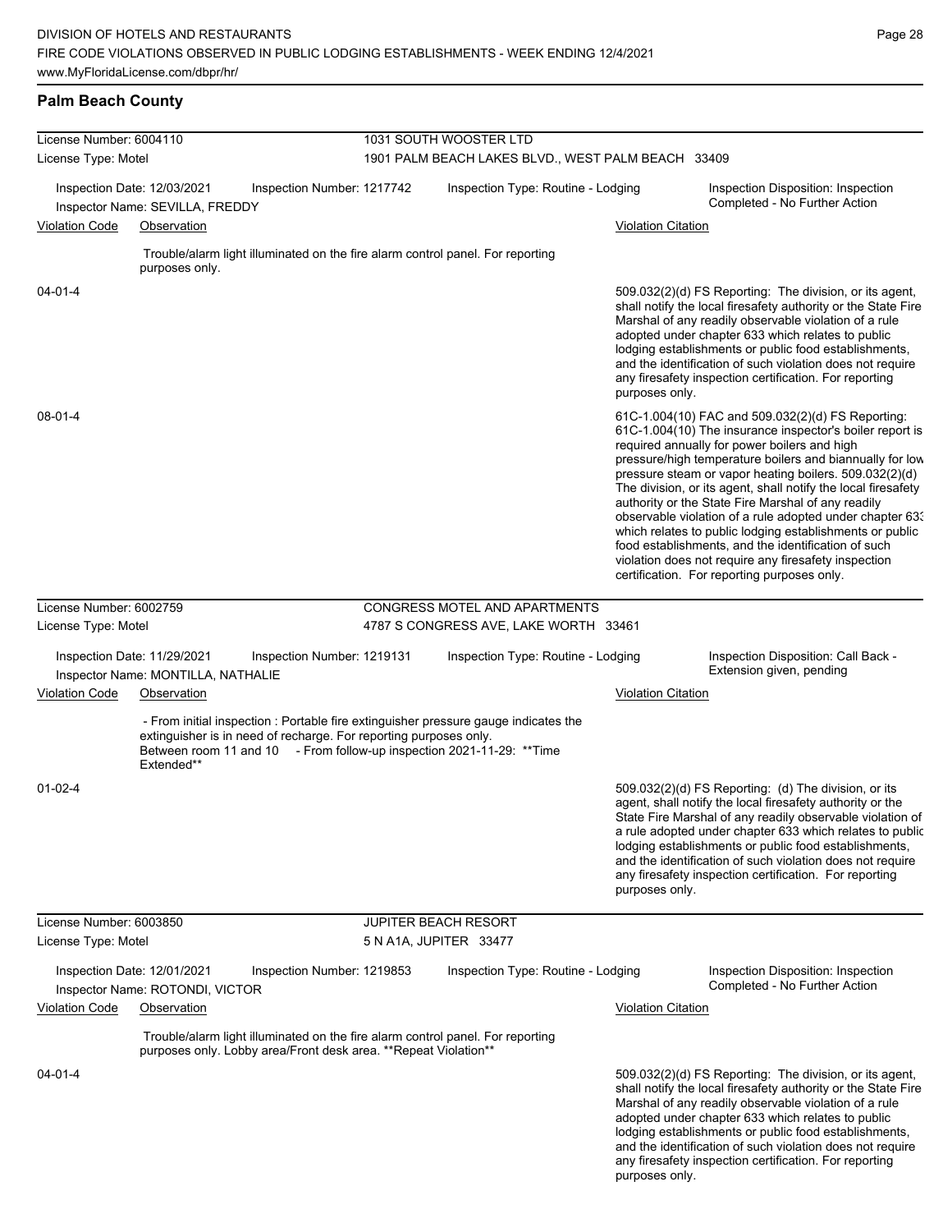### **Palm Beach County**

| License Number: 6004110                                           |                                                                | 1031 SOUTH WOOSTER LTD                                                                                                                             |                        |                                                                                                                                                               |                           |                                                                                                                                                                                                                                                                                                                                                                                                                                                                                                                                                                                                                                                                                                  |  |
|-------------------------------------------------------------------|----------------------------------------------------------------|----------------------------------------------------------------------------------------------------------------------------------------------------|------------------------|---------------------------------------------------------------------------------------------------------------------------------------------------------------|---------------------------|--------------------------------------------------------------------------------------------------------------------------------------------------------------------------------------------------------------------------------------------------------------------------------------------------------------------------------------------------------------------------------------------------------------------------------------------------------------------------------------------------------------------------------------------------------------------------------------------------------------------------------------------------------------------------------------------------|--|
| License Type: Motel                                               |                                                                |                                                                                                                                                    |                        | 1901 PALM BEACH LAKES BLVD., WEST PALM BEACH 33409                                                                                                            |                           |                                                                                                                                                                                                                                                                                                                                                                                                                                                                                                                                                                                                                                                                                                  |  |
|                                                                   | Inspection Date: 12/03/2021<br>Inspector Name: SEVILLA, FREDDY | Inspection Number: 1217742                                                                                                                         |                        | Inspection Type: Routine - Lodging                                                                                                                            |                           | Inspection Disposition: Inspection<br>Completed - No Further Action                                                                                                                                                                                                                                                                                                                                                                                                                                                                                                                                                                                                                              |  |
| <b>Violation Code</b>                                             | Observation                                                    |                                                                                                                                                    |                        |                                                                                                                                                               | <b>Violation Citation</b> |                                                                                                                                                                                                                                                                                                                                                                                                                                                                                                                                                                                                                                                                                                  |  |
|                                                                   | purposes only.                                                 | Trouble/alarm light illuminated on the fire alarm control panel. For reporting                                                                     |                        |                                                                                                                                                               |                           |                                                                                                                                                                                                                                                                                                                                                                                                                                                                                                                                                                                                                                                                                                  |  |
| $04 - 01 - 4$                                                     |                                                                |                                                                                                                                                    |                        |                                                                                                                                                               | purposes only.            | 509.032(2)(d) FS Reporting: The division, or its agent,<br>shall notify the local firesafety authority or the State Fire<br>Marshal of any readily observable violation of a rule<br>adopted under chapter 633 which relates to public<br>lodging establishments or public food establishments,<br>and the identification of such violation does not require<br>any firesafety inspection certification. For reporting                                                                                                                                                                                                                                                                           |  |
| 08-01-4                                                           |                                                                |                                                                                                                                                    |                        |                                                                                                                                                               |                           | 61C-1.004(10) FAC and 509.032(2)(d) FS Reporting:<br>61C-1.004(10) The insurance inspector's boiler report is<br>required annually for power boilers and high<br>pressure/high temperature boilers and biannually for low<br>pressure steam or vapor heating boilers. 509.032(2)(d)<br>The division, or its agent, shall notify the local firesafety<br>authority or the State Fire Marshal of any readily<br>observable violation of a rule adopted under chapter 633<br>which relates to public lodging establishments or public<br>food establishments, and the identification of such<br>violation does not require any firesafety inspection<br>certification. For reporting purposes only. |  |
| License Number: 6002759                                           |                                                                |                                                                                                                                                    |                        | CONGRESS MOTEL AND APARTMENTS                                                                                                                                 |                           |                                                                                                                                                                                                                                                                                                                                                                                                                                                                                                                                                                                                                                                                                                  |  |
| License Type: Motel                                               |                                                                |                                                                                                                                                    |                        | 4787 S CONGRESS AVE, LAKE WORTH 33461                                                                                                                         |                           |                                                                                                                                                                                                                                                                                                                                                                                                                                                                                                                                                                                                                                                                                                  |  |
| Inspection Date: 11/29/2021<br>Inspector Name: MONTILLA, NATHALIE |                                                                | Inspection Number: 1219131                                                                                                                         |                        | Inspection Type: Routine - Lodging                                                                                                                            |                           | Inspection Disposition: Call Back -<br>Extension given, pending                                                                                                                                                                                                                                                                                                                                                                                                                                                                                                                                                                                                                                  |  |
| <b>Violation Code</b>                                             | Observation                                                    |                                                                                                                                                    |                        |                                                                                                                                                               | <b>Violation Citation</b> |                                                                                                                                                                                                                                                                                                                                                                                                                                                                                                                                                                                                                                                                                                  |  |
|                                                                   | Extended**                                                     | extinguisher is in need of recharge. For reporting purposes only.                                                                                  |                        | - From initial inspection : Portable fire extinguisher pressure gauge indicates the<br>Between room 11 and 10 - From follow-up inspection 2021-11-29: ** Time |                           |                                                                                                                                                                                                                                                                                                                                                                                                                                                                                                                                                                                                                                                                                                  |  |
| $01 - 02 - 4$                                                     |                                                                |                                                                                                                                                    |                        |                                                                                                                                                               | purposes only.            | 509.032(2)(d) FS Reporting: (d) The division, or its<br>agent, shall notify the local firesafety authority or the<br>State Fire Marshal of any readily observable violation of<br>a rule adopted under chapter 633 which relates to public<br>lodging establishments or public food establishments,<br>and the identification of such violation does not require<br>any firesafety inspection certification. For reporting                                                                                                                                                                                                                                                                       |  |
| License Number: 6003850                                           |                                                                |                                                                                                                                                    |                        | <b>JUPITER BEACH RESORT</b>                                                                                                                                   |                           |                                                                                                                                                                                                                                                                                                                                                                                                                                                                                                                                                                                                                                                                                                  |  |
| License Type: Motel                                               |                                                                |                                                                                                                                                    | 5 N A1A, JUPITER 33477 |                                                                                                                                                               |                           |                                                                                                                                                                                                                                                                                                                                                                                                                                                                                                                                                                                                                                                                                                  |  |
|                                                                   | Inspection Date: 12/01/2021<br>Inspector Name: ROTONDI, VICTOR | Inspection Number: 1219853                                                                                                                         |                        | Inspection Type: Routine - Lodging                                                                                                                            |                           | Inspection Disposition: Inspection<br>Completed - No Further Action                                                                                                                                                                                                                                                                                                                                                                                                                                                                                                                                                                                                                              |  |
| <b>Violation Code</b>                                             | Observation                                                    |                                                                                                                                                    |                        |                                                                                                                                                               | <b>Violation Citation</b> |                                                                                                                                                                                                                                                                                                                                                                                                                                                                                                                                                                                                                                                                                                  |  |
|                                                                   |                                                                | Trouble/alarm light illuminated on the fire alarm control panel. For reporting<br>purposes only. Lobby area/Front desk area. ** Repeat Violation** |                        |                                                                                                                                                               |                           |                                                                                                                                                                                                                                                                                                                                                                                                                                                                                                                                                                                                                                                                                                  |  |
| 04-01-4                                                           |                                                                |                                                                                                                                                    |                        |                                                                                                                                                               |                           | 509.032(2)(d) FS Reporting: The division, or its agent,<br>shall notify the local firesafety authority or the State Fire<br>Marshal of any readily observable violation of a rule<br>adopted under chapter 633 which relates to public<br>lodging establishments or public food establishments,<br>and the identification of such violation does not require<br>any firesafety inspection certification. For reporting                                                                                                                                                                                                                                                                           |  |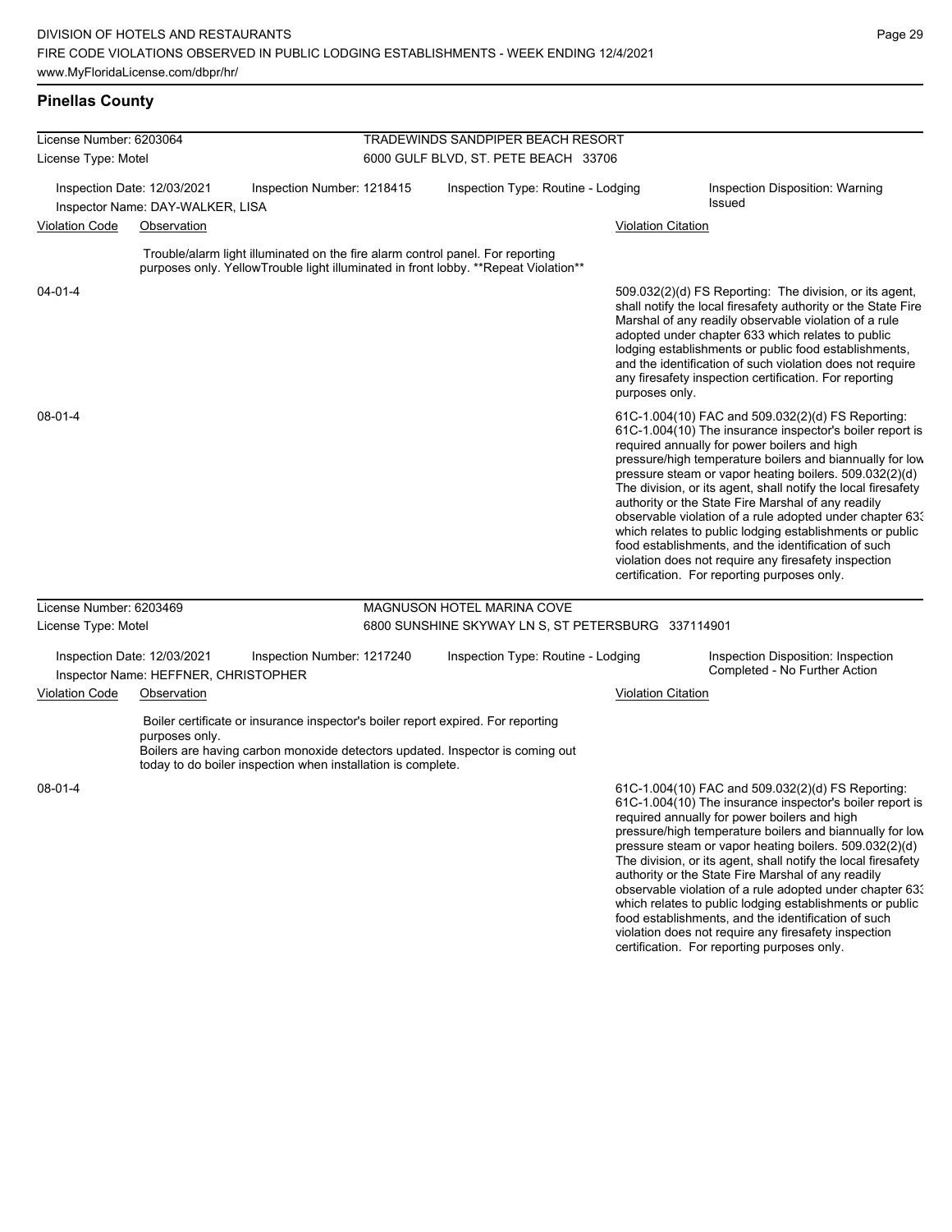| License Number: 6203064 |                                                                     |                                                              | TRADEWINDS SANDPIPER BEACH RESORT |                                                                                                                                                                       |                           |                                                                                                                                                                                                                                                                                                                                                                                                                                                                                                                                                                                                                                                                                                  |  |  |
|-------------------------|---------------------------------------------------------------------|--------------------------------------------------------------|-----------------------------------|-----------------------------------------------------------------------------------------------------------------------------------------------------------------------|---------------------------|--------------------------------------------------------------------------------------------------------------------------------------------------------------------------------------------------------------------------------------------------------------------------------------------------------------------------------------------------------------------------------------------------------------------------------------------------------------------------------------------------------------------------------------------------------------------------------------------------------------------------------------------------------------------------------------------------|--|--|
| License Type: Motel     |                                                                     |                                                              |                                   | 6000 GULF BLVD, ST. PETE BEACH 33706                                                                                                                                  |                           |                                                                                                                                                                                                                                                                                                                                                                                                                                                                                                                                                                                                                                                                                                  |  |  |
|                         | Inspection Date: 12/03/2021<br>Inspector Name: DAY-WALKER, LISA     | Inspection Number: 1218415                                   |                                   | Inspection Type: Routine - Lodging                                                                                                                                    |                           | Inspection Disposition: Warning<br><b>Issued</b>                                                                                                                                                                                                                                                                                                                                                                                                                                                                                                                                                                                                                                                 |  |  |
| <b>Violation Code</b>   | Observation                                                         |                                                              |                                   |                                                                                                                                                                       | <b>Violation Citation</b> |                                                                                                                                                                                                                                                                                                                                                                                                                                                                                                                                                                                                                                                                                                  |  |  |
|                         |                                                                     |                                                              |                                   | Trouble/alarm light illuminated on the fire alarm control panel. For reporting<br>purposes only. YellowTrouble light illuminated in front lobby. **Repeat Violation** |                           |                                                                                                                                                                                                                                                                                                                                                                                                                                                                                                                                                                                                                                                                                                  |  |  |
| 04-01-4                 |                                                                     |                                                              |                                   |                                                                                                                                                                       | purposes only.            | 509.032(2)(d) FS Reporting: The division, or its agent,<br>shall notify the local firesafety authority or the State Fire<br>Marshal of any readily observable violation of a rule<br>adopted under chapter 633 which relates to public<br>lodging establishments or public food establishments,<br>and the identification of such violation does not require<br>any firesafety inspection certification. For reporting                                                                                                                                                                                                                                                                           |  |  |
| 08-01-4                 |                                                                     |                                                              |                                   |                                                                                                                                                                       |                           | 61C-1.004(10) FAC and 509.032(2)(d) FS Reporting:<br>61C-1.004(10) The insurance inspector's boiler report is<br>required annually for power boilers and high<br>pressure/high temperature boilers and biannually for low<br>pressure steam or vapor heating boilers. 509.032(2)(d)<br>The division, or its agent, shall notify the local firesafety<br>authority or the State Fire Marshal of any readily<br>observable violation of a rule adopted under chapter 63.<br>which relates to public lodging establishments or public<br>food establishments, and the identification of such<br>violation does not require any firesafety inspection<br>certification. For reporting purposes only. |  |  |
| License Number: 6203469 |                                                                     |                                                              |                                   | MAGNUSON HOTEL MARINA COVE                                                                                                                                            |                           |                                                                                                                                                                                                                                                                                                                                                                                                                                                                                                                                                                                                                                                                                                  |  |  |
| License Type: Motel     |                                                                     |                                                              |                                   | 6800 SUNSHINE SKYWAY LN S, ST PETERSBURG 337114901                                                                                                                    |                           |                                                                                                                                                                                                                                                                                                                                                                                                                                                                                                                                                                                                                                                                                                  |  |  |
|                         | Inspection Date: 12/03/2021<br>Inspector Name: HEFFNER, CHRISTOPHER | Inspection Number: 1217240                                   |                                   | Inspection Type: Routine - Lodging                                                                                                                                    |                           | Inspection Disposition: Inspection<br>Completed - No Further Action                                                                                                                                                                                                                                                                                                                                                                                                                                                                                                                                                                                                                              |  |  |
| Violation Code          | Observation                                                         |                                                              |                                   |                                                                                                                                                                       | <b>Violation Citation</b> |                                                                                                                                                                                                                                                                                                                                                                                                                                                                                                                                                                                                                                                                                                  |  |  |
|                         | purposes only.                                                      | today to do boiler inspection when installation is complete. |                                   | Boiler certificate or insurance inspector's boiler report expired. For reporting<br>Boilers are having carbon monoxide detectors updated. Inspector is coming out     |                           |                                                                                                                                                                                                                                                                                                                                                                                                                                                                                                                                                                                                                                                                                                  |  |  |
| 08-01-4                 |                                                                     |                                                              |                                   |                                                                                                                                                                       |                           | 61C-1.004(10) FAC and 509.032(2)(d) FS Reporting:<br>61C-1.004(10) The insurance inspector's boiler report is<br>required annually for power boilers and high<br>pressure/high temperature boilers and biannually for low<br>pressure steam or vapor heating boilers. 509.032(2)(d)<br>The division, or its agent, shall notify the local firesafety<br>authority or the State Fire Marshal of any readily<br>observable violation of a rule adopted under chapter 63.<br>which relates to public lodging establishments or public<br>food establishments, and the identification of such<br>violation does not require any firesafety inspection                                                |  |  |

certification. For reporting purposes only.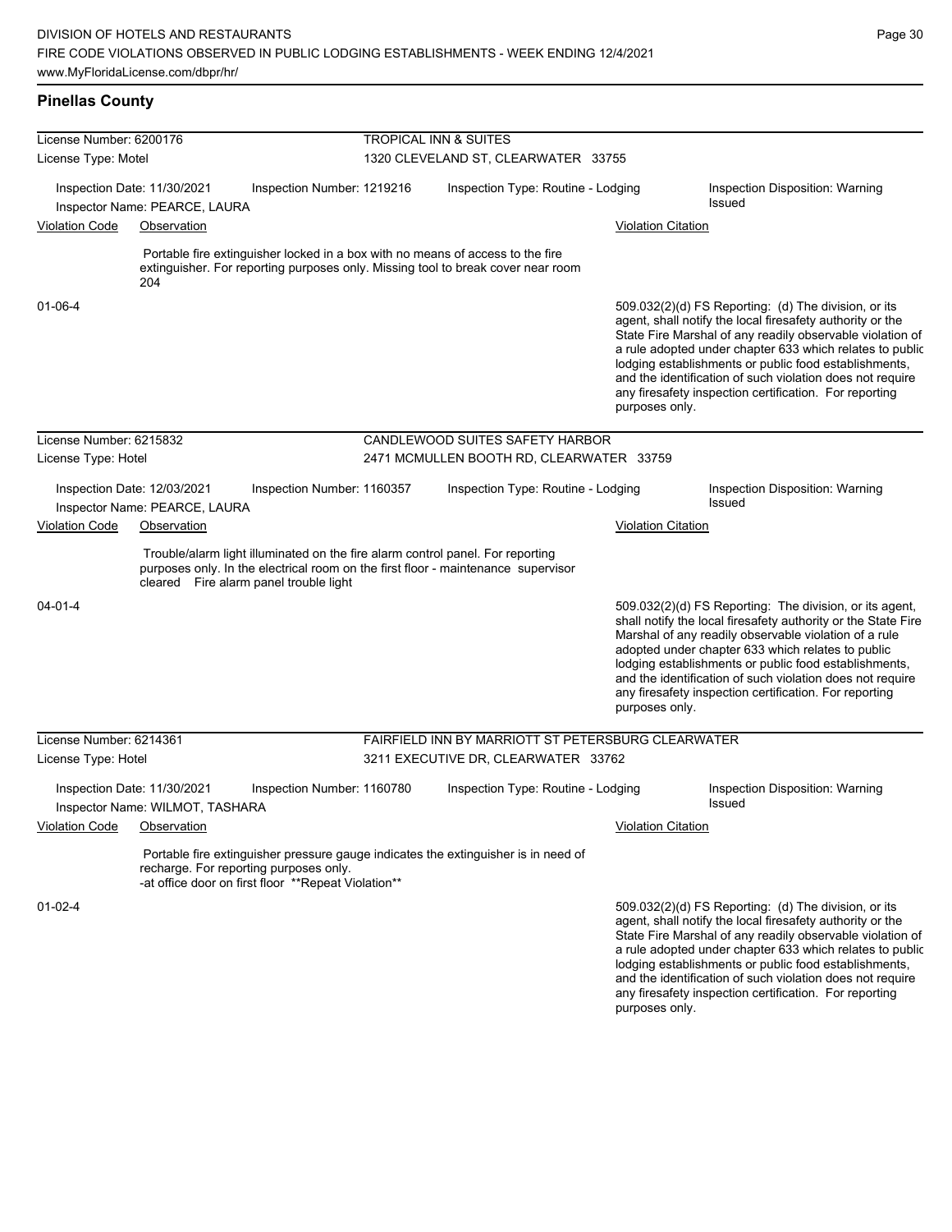

any firesafety inspection certification. For reporting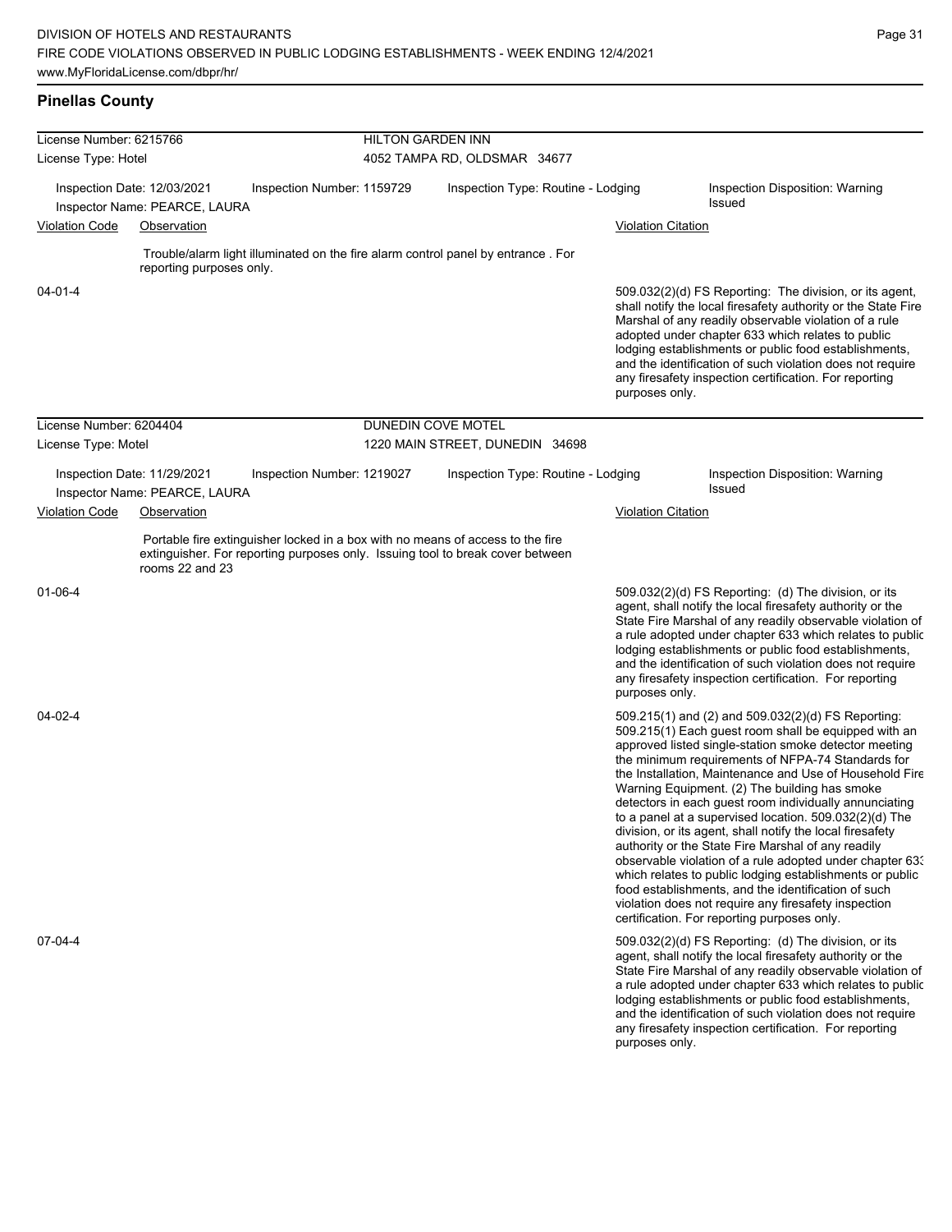# **Pinellas County**

| License Number: 6215766     |                                                                                                                                                                                     | <b>HILTON GARDEN INN</b> |                                    |                           |                                                                                                                                                                                                                                                                                                                                                                                                                                                                                                                                                                                                                                                                                                                                                                                                                                                                   |  |  |
|-----------------------------|-------------------------------------------------------------------------------------------------------------------------------------------------------------------------------------|--------------------------|------------------------------------|---------------------------|-------------------------------------------------------------------------------------------------------------------------------------------------------------------------------------------------------------------------------------------------------------------------------------------------------------------------------------------------------------------------------------------------------------------------------------------------------------------------------------------------------------------------------------------------------------------------------------------------------------------------------------------------------------------------------------------------------------------------------------------------------------------------------------------------------------------------------------------------------------------|--|--|
| License Type: Hotel         |                                                                                                                                                                                     |                          | 4052 TAMPA RD, OLDSMAR 34677       |                           |                                                                                                                                                                                                                                                                                                                                                                                                                                                                                                                                                                                                                                                                                                                                                                                                                                                                   |  |  |
| Inspection Date: 12/03/2021 | Inspection Number: 1159729<br>Inspector Name: PEARCE, LAURA                                                                                                                         |                          | Inspection Type: Routine - Lodging |                           | Inspection Disposition: Warning<br><b>Issued</b>                                                                                                                                                                                                                                                                                                                                                                                                                                                                                                                                                                                                                                                                                                                                                                                                                  |  |  |
| <b>Violation Code</b>       | Observation                                                                                                                                                                         |                          |                                    | <b>Violation Citation</b> |                                                                                                                                                                                                                                                                                                                                                                                                                                                                                                                                                                                                                                                                                                                                                                                                                                                                   |  |  |
|                             | Trouble/alarm light illuminated on the fire alarm control panel by entrance. For<br>reporting purposes only.                                                                        |                          |                                    |                           |                                                                                                                                                                                                                                                                                                                                                                                                                                                                                                                                                                                                                                                                                                                                                                                                                                                                   |  |  |
| 04-01-4                     |                                                                                                                                                                                     |                          |                                    | purposes only.            | 509.032(2)(d) FS Reporting: The division, or its agent,<br>shall notify the local firesafety authority or the State Fire<br>Marshal of any readily observable violation of a rule<br>adopted under chapter 633 which relates to public<br>lodging establishments or public food establishments,<br>and the identification of such violation does not require<br>any firesafety inspection certification. For reporting                                                                                                                                                                                                                                                                                                                                                                                                                                            |  |  |
| License Number: 6204404     |                                                                                                                                                                                     | DUNEDIN COVE MOTEL       |                                    |                           |                                                                                                                                                                                                                                                                                                                                                                                                                                                                                                                                                                                                                                                                                                                                                                                                                                                                   |  |  |
| License Type: Motel         |                                                                                                                                                                                     |                          | 1220 MAIN STREET, DUNEDIN 34698    |                           |                                                                                                                                                                                                                                                                                                                                                                                                                                                                                                                                                                                                                                                                                                                                                                                                                                                                   |  |  |
| Inspection Date: 11/29/2021 | Inspection Number: 1219027<br>Inspector Name: PEARCE, LAURA                                                                                                                         |                          | Inspection Type: Routine - Lodging |                           | Inspection Disposition: Warning<br><b>Issued</b>                                                                                                                                                                                                                                                                                                                                                                                                                                                                                                                                                                                                                                                                                                                                                                                                                  |  |  |
| <b>Violation Code</b>       | Observation                                                                                                                                                                         |                          |                                    | <b>Violation Citation</b> |                                                                                                                                                                                                                                                                                                                                                                                                                                                                                                                                                                                                                                                                                                                                                                                                                                                                   |  |  |
|                             | Portable fire extinguisher locked in a box with no means of access to the fire<br>extinguisher. For reporting purposes only. Issuing tool to break cover between<br>rooms 22 and 23 |                          |                                    |                           |                                                                                                                                                                                                                                                                                                                                                                                                                                                                                                                                                                                                                                                                                                                                                                                                                                                                   |  |  |
| $01 - 06 - 4$               |                                                                                                                                                                                     |                          |                                    | purposes only.            | 509.032(2)(d) FS Reporting: (d) The division, or its<br>agent, shall notify the local firesafety authority or the<br>State Fire Marshal of any readily observable violation of<br>a rule adopted under chapter 633 which relates to public<br>lodging establishments or public food establishments,<br>and the identification of such violation does not require<br>any firesafety inspection certification. For reporting                                                                                                                                                                                                                                                                                                                                                                                                                                        |  |  |
| 04-02-4                     |                                                                                                                                                                                     |                          |                                    |                           | 509.215(1) and (2) and 509.032(2)(d) FS Reporting:<br>509.215(1) Each guest room shall be equipped with an<br>approved listed single-station smoke detector meeting<br>the minimum requirements of NFPA-74 Standards for<br>the Installation, Maintenance and Use of Household Fire<br>Warning Equipment. (2) The building has smoke<br>detectors in each guest room individually annunciating<br>to a panel at a supervised location. 509.032(2)(d) The<br>division, or its agent, shall notify the local firesafety<br>authority or the State Fire Marshal of any readily<br>observable violation of a rule adopted under chapter 633<br>which relates to public lodging establishments or public<br>food establishments, and the identification of such<br>violation does not require any firesafety inspection<br>certification. For reporting purposes only. |  |  |
| 07-04-4                     |                                                                                                                                                                                     |                          |                                    | purposes only.            | 509.032(2)(d) FS Reporting: (d) The division, or its<br>agent, shall notify the local firesafety authority or the<br>State Fire Marshal of any readily observable violation of<br>a rule adopted under chapter 633 which relates to public<br>lodging establishments or public food establishments,<br>and the identification of such violation does not require<br>any firesafety inspection certification. For reporting                                                                                                                                                                                                                                                                                                                                                                                                                                        |  |  |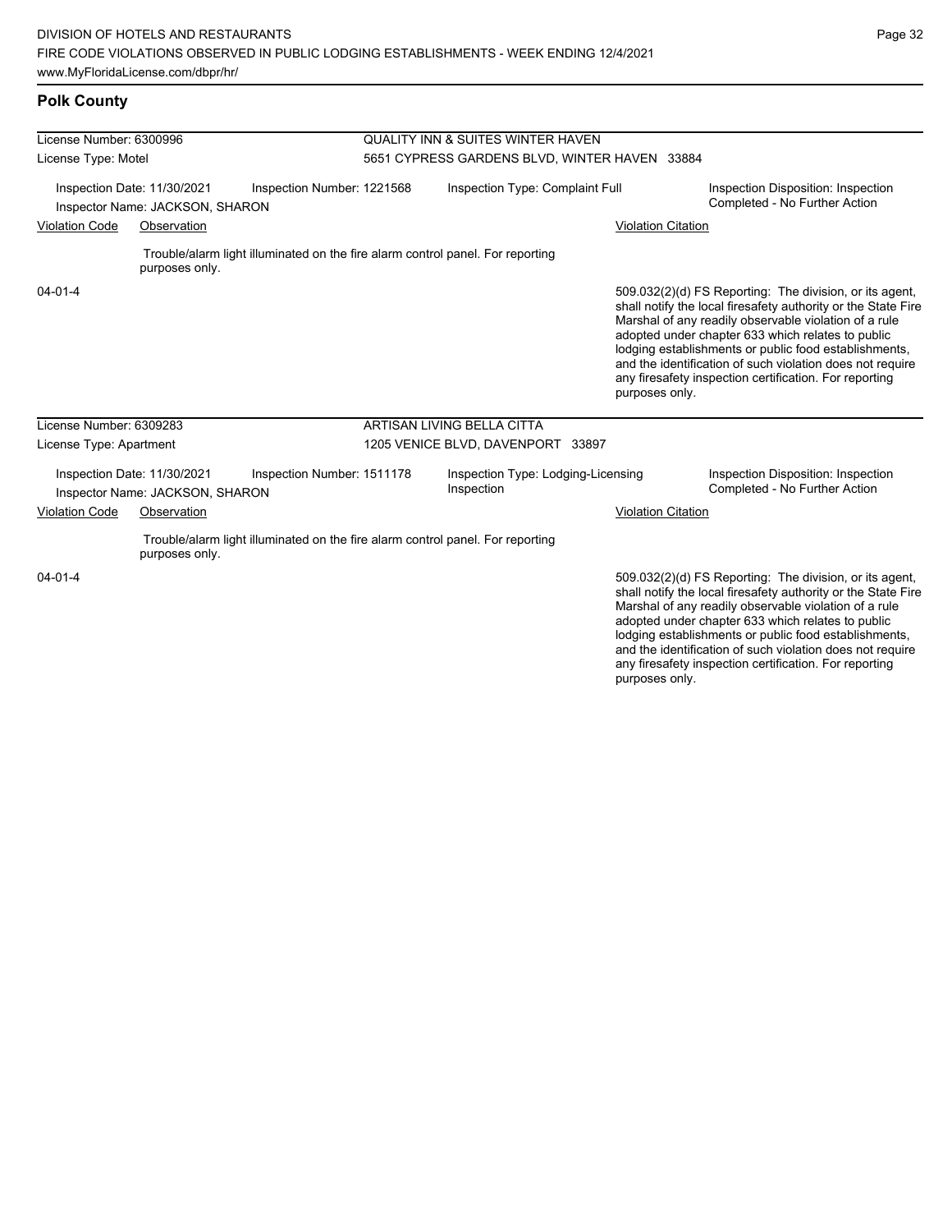# **Polk County**

| License Number: 6300996                                                                      |                                                                |                                                                                | <b>QUALITY INN &amp; SUITES WINTER HAVEN</b> |                                                  |                                                                     |                                                                                                                                                                                                                                                                                                                                                                                                                        |  |  |
|----------------------------------------------------------------------------------------------|----------------------------------------------------------------|--------------------------------------------------------------------------------|----------------------------------------------|--------------------------------------------------|---------------------------------------------------------------------|------------------------------------------------------------------------------------------------------------------------------------------------------------------------------------------------------------------------------------------------------------------------------------------------------------------------------------------------------------------------------------------------------------------------|--|--|
| License Type: Motel                                                                          |                                                                |                                                                                |                                              | 5651 CYPRESS GARDENS BLVD, WINTER HAVEN 33884    |                                                                     |                                                                                                                                                                                                                                                                                                                                                                                                                        |  |  |
| Inspection Date: 11/30/2021<br>Inspection Number: 1221568<br>Inspector Name: JACKSON, SHARON |                                                                |                                                                                | Inspection Type: Complaint Full              |                                                  | Inspection Disposition: Inspection<br>Completed - No Further Action |                                                                                                                                                                                                                                                                                                                                                                                                                        |  |  |
| <b>Violation Code</b><br>Observation                                                         |                                                                |                                                                                |                                              |                                                  | <b>Violation Citation</b>                                           |                                                                                                                                                                                                                                                                                                                                                                                                                        |  |  |
|                                                                                              | purposes only.                                                 | Trouble/alarm light illuminated on the fire alarm control panel. For reporting |                                              |                                                  |                                                                     |                                                                                                                                                                                                                                                                                                                                                                                                                        |  |  |
| $04 - 01 - 4$                                                                                |                                                                |                                                                                |                                              |                                                  | purposes only.                                                      | 509.032(2)(d) FS Reporting: The division, or its agent,<br>shall notify the local firesafety authority or the State Fire<br>Marshal of any readily observable violation of a rule<br>adopted under chapter 633 which relates to public<br>lodging establishments or public food establishments,<br>and the identification of such violation does not require<br>any firesafety inspection certification. For reporting |  |  |
| License Number: 6309283                                                                      |                                                                |                                                                                |                                              | ARTISAN LIVING BELLA CITTA                       |                                                                     |                                                                                                                                                                                                                                                                                                                                                                                                                        |  |  |
| License Type: Apartment                                                                      |                                                                |                                                                                |                                              | 1205 VENICE BLVD, DAVENPORT 33897                |                                                                     |                                                                                                                                                                                                                                                                                                                                                                                                                        |  |  |
|                                                                                              | Inspection Date: 11/30/2021<br>Inspector Name: JACKSON, SHARON | Inspection Number: 1511178                                                     |                                              | Inspection Type: Lodging-Licensing<br>Inspection |                                                                     | Inspection Disposition: Inspection<br>Completed - No Further Action                                                                                                                                                                                                                                                                                                                                                    |  |  |
| <b>Violation Code</b>                                                                        | Observation                                                    |                                                                                |                                              |                                                  | <b>Violation Citation</b>                                           |                                                                                                                                                                                                                                                                                                                                                                                                                        |  |  |
|                                                                                              | purposes only.                                                 | Trouble/alarm light illuminated on the fire alarm control panel. For reporting |                                              |                                                  |                                                                     |                                                                                                                                                                                                                                                                                                                                                                                                                        |  |  |
| $04 - 01 - 4$                                                                                |                                                                |                                                                                |                                              |                                                  |                                                                     | 509.032(2)(d) FS Reporting: The division, or its agent,<br>shall notify the local firesafety authority or the State Fire<br>Marshal of any readily observable violation of a rule<br>adopted under chapter 633 which relates to public<br>lodging establishments or public food establishments,<br>and the identification of such violation does not require                                                           |  |  |

and the identification of such violation does not require any firesafety inspection certification. For reporting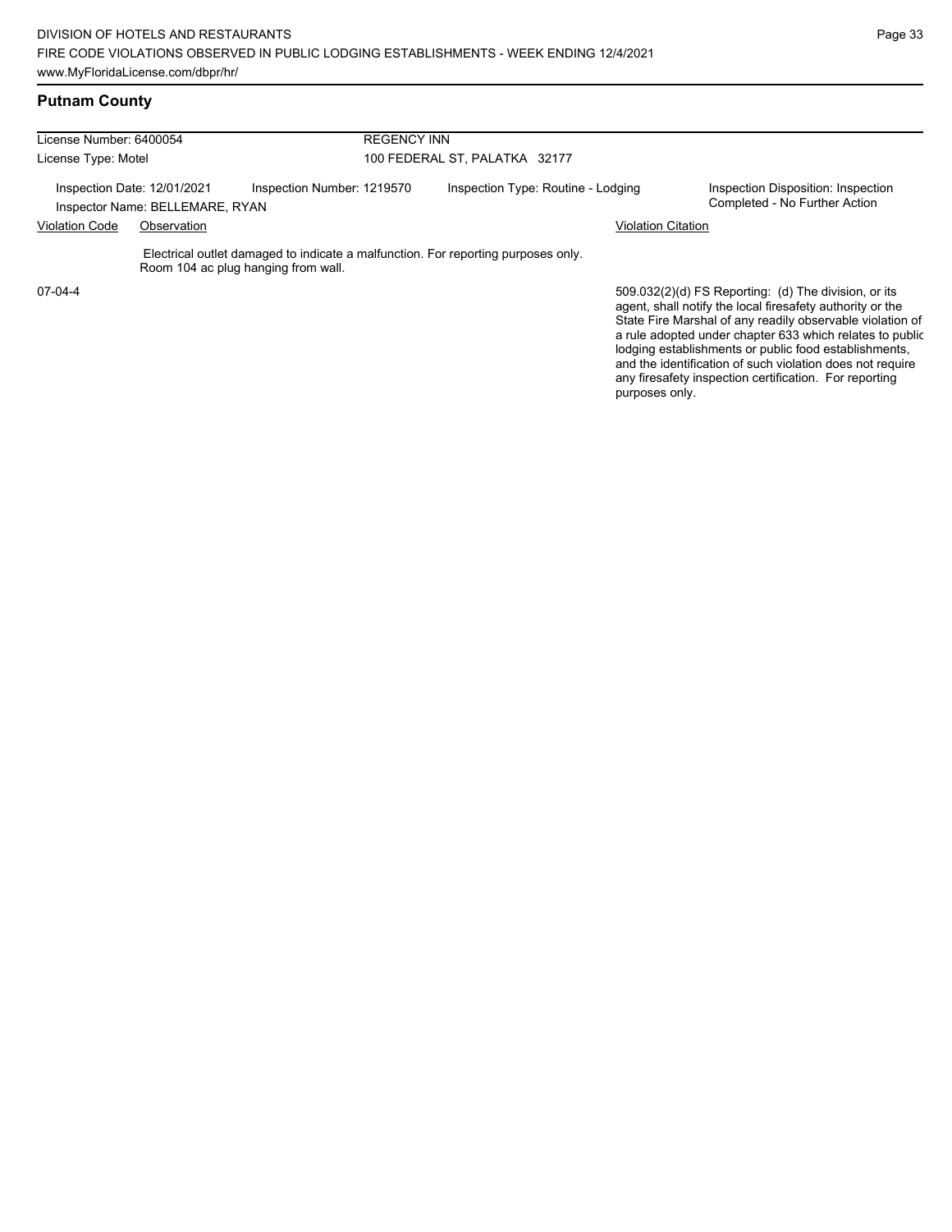#### **Putnam County**

| License Number: 6400054 |                                                                |                                                                                                                          | <b>REGENCY INN</b>                 |                                                                                                                                                                                |  |  |  |
|-------------------------|----------------------------------------------------------------|--------------------------------------------------------------------------------------------------------------------------|------------------------------------|--------------------------------------------------------------------------------------------------------------------------------------------------------------------------------|--|--|--|
| License Type: Motel     |                                                                |                                                                                                                          | 100 FEDERAL ST, PALATKA 32177      |                                                                                                                                                                                |  |  |  |
|                         | Inspection Date: 12/01/2021<br>Inspector Name: BELLEMARE, RYAN | Inspection Number: 1219570                                                                                               | Inspection Type: Routine - Lodging | Inspection Disposition: Inspection<br>Completed - No Further Action                                                                                                            |  |  |  |
| <b>Violation Code</b>   | Observation                                                    |                                                                                                                          | <b>Violation Citation</b>          |                                                                                                                                                                                |  |  |  |
|                         |                                                                | Electrical outlet damaged to indicate a malfunction. For reporting purposes only.<br>Room 104 ac plug hanging from wall. |                                    |                                                                                                                                                                                |  |  |  |
| $07-04-4$               |                                                                |                                                                                                                          |                                    | 509.032(2)(d) FS Reporting: (d) The division, or its<br>agent, shall notify the local firesafety authority or the<br>State Fire Marshal of any readily observable violation of |  |  |  |

State Fire Marshal of any readily observable violation of a rule adopted under chapter 633 which relates to public lodging establishments or public food establishments, and the identification of such violation does not require any firesafety inspection certification. For reporting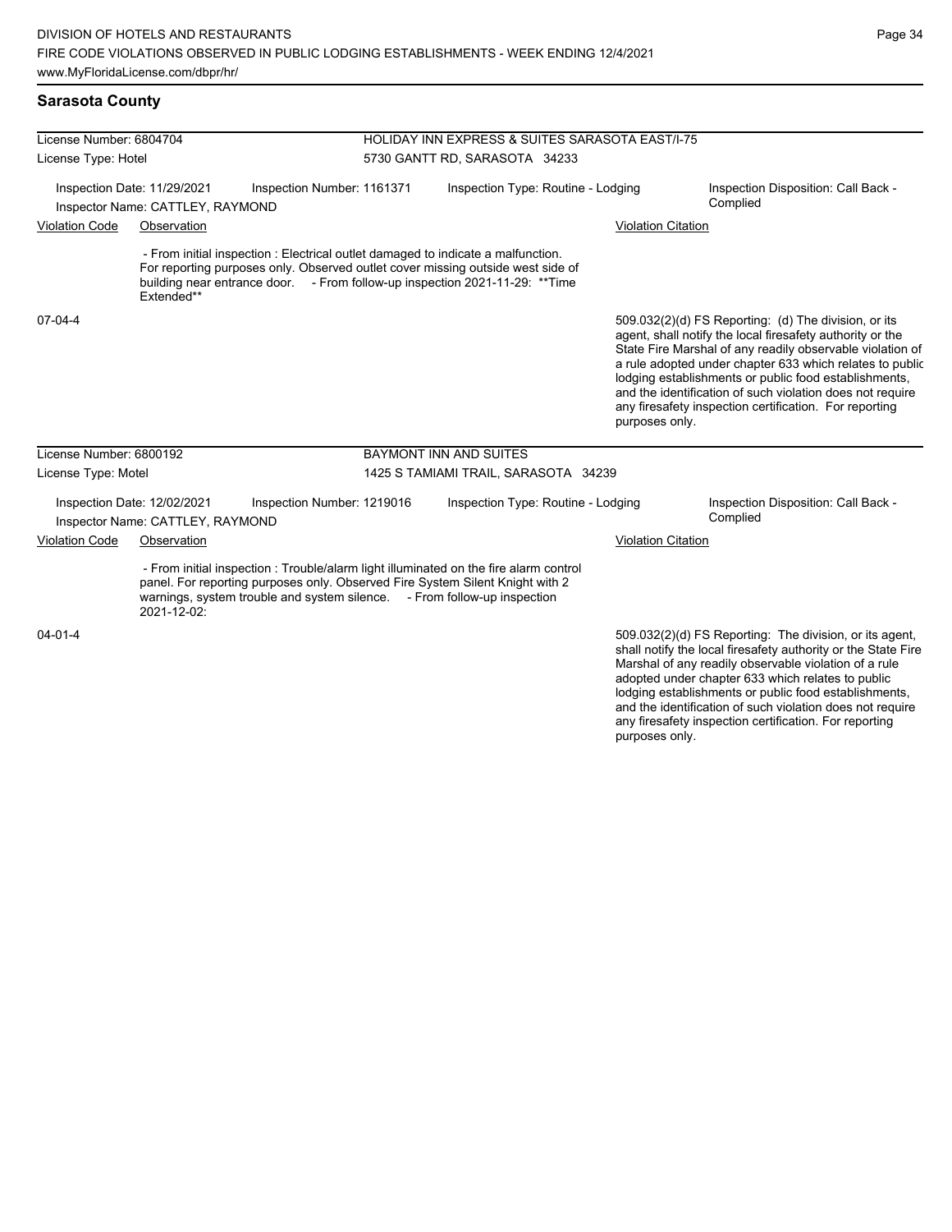### **Sarasota County**

| License Number: 6804704                                         |                                                                 |                                                                                                                                                                                                                                                     | HOLIDAY INN EXPRESS & SUITES SARASOTA EAST/I-75 |                           |                                                                                                                                                                                                                                                                                                                                                                                                                            |  |  |  |
|-----------------------------------------------------------------|-----------------------------------------------------------------|-----------------------------------------------------------------------------------------------------------------------------------------------------------------------------------------------------------------------------------------------------|-------------------------------------------------|---------------------------|----------------------------------------------------------------------------------------------------------------------------------------------------------------------------------------------------------------------------------------------------------------------------------------------------------------------------------------------------------------------------------------------------------------------------|--|--|--|
| License Type: Hotel                                             |                                                                 |                                                                                                                                                                                                                                                     | 5730 GANTT RD, SARASOTA 34233                   |                           |                                                                                                                                                                                                                                                                                                                                                                                                                            |  |  |  |
| Inspection Date: 11/29/2021<br>Inspector Name: CATTLEY, RAYMOND |                                                                 | Inspection Number: 1161371                                                                                                                                                                                                                          | Inspection Type: Routine - Lodging              |                           | Inspection Disposition: Call Back -<br>Complied                                                                                                                                                                                                                                                                                                                                                                            |  |  |  |
| <b>Violation Code</b><br>Observation                            |                                                                 |                                                                                                                                                                                                                                                     |                                                 | <b>Violation Citation</b> |                                                                                                                                                                                                                                                                                                                                                                                                                            |  |  |  |
|                                                                 | Extended**                                                      | - From initial inspection : Electrical outlet damaged to indicate a malfunction.<br>For reporting purposes only. Observed outlet cover missing outside west side of<br>building near entrance door. - From follow-up inspection 2021-11-29: ** Time |                                                 |                           |                                                                                                                                                                                                                                                                                                                                                                                                                            |  |  |  |
| 07-04-4                                                         |                                                                 |                                                                                                                                                                                                                                                     |                                                 | purposes only.            | 509.032(2)(d) FS Reporting: (d) The division, or its<br>agent, shall notify the local firesafety authority or the<br>State Fire Marshal of any readily observable violation of<br>a rule adopted under chapter 633 which relates to public<br>lodging establishments or public food establishments,<br>and the identification of such violation does not require<br>any firesafety inspection certification. For reporting |  |  |  |
| License Number: 6800192                                         |                                                                 |                                                                                                                                                                                                                                                     | <b>BAYMONT INN AND SUITES</b>                   |                           |                                                                                                                                                                                                                                                                                                                                                                                                                            |  |  |  |
| License Type: Motel                                             |                                                                 |                                                                                                                                                                                                                                                     | 1425 S TAMIAMI TRAIL, SARASOTA 34239            |                           |                                                                                                                                                                                                                                                                                                                                                                                                                            |  |  |  |
|                                                                 | Inspection Date: 12/02/2021<br>Inspector Name: CATTLEY, RAYMOND | Inspection Number: 1219016                                                                                                                                                                                                                          | Inspection Type: Routine - Lodging              |                           | Inspection Disposition: Call Back -<br>Complied                                                                                                                                                                                                                                                                                                                                                                            |  |  |  |
| <b>Violation Code</b>                                           | Observation                                                     |                                                                                                                                                                                                                                                     |                                                 |                           | <b>Violation Citation</b>                                                                                                                                                                                                                                                                                                                                                                                                  |  |  |  |
|                                                                 | 2021-12-02:                                                     | - From initial inspection : Trouble/alarm light illuminated on the fire alarm control<br>panel. For reporting purposes only. Observed Fire System Silent Knight with 2<br>warnings, system trouble and system silence. - From follow-up inspection  |                                                 |                           |                                                                                                                                                                                                                                                                                                                                                                                                                            |  |  |  |
| $04 - 01 - 4$                                                   |                                                                 |                                                                                                                                                                                                                                                     |                                                 |                           | 509.032(2)(d) FS Reporting: The division, or its agent,<br>shall notify the local firesafety authority or the State Fire<br>Marshal of any readily observable violation of a rule<br>adopted under chapter 633 which relates to public<br>lodging establishments or public food establishments,                                                                                                                            |  |  |  |

and the identification of such violation does not require any firesafety inspection certification. For reporting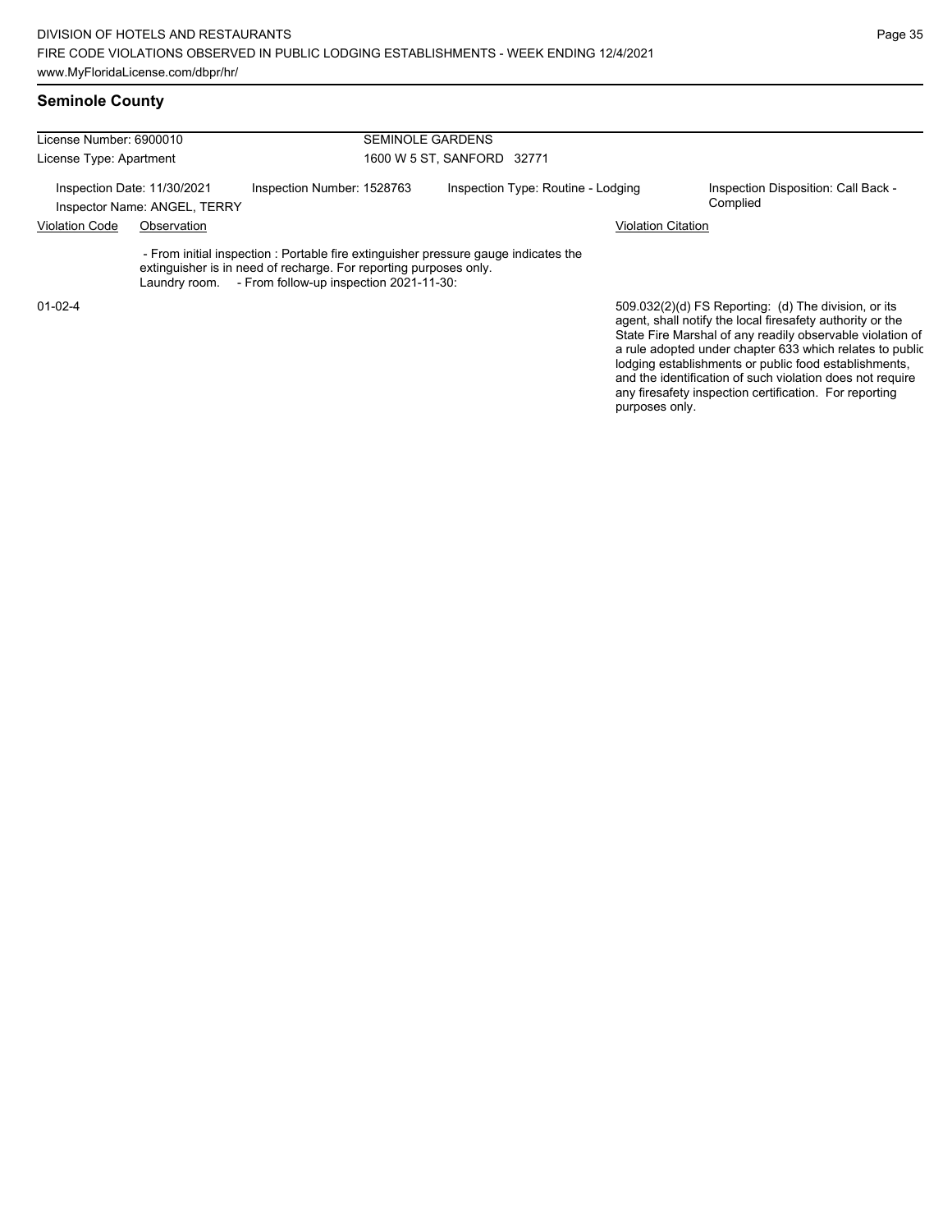| License Number: 6900010 |                                                             | <b>SEMINOLE GARDENS</b>                                                                                                                                                                                           |                                    |                           |                                                                                                                                                                                                                                                                                                                                                                                                                            |  |  |
|-------------------------|-------------------------------------------------------------|-------------------------------------------------------------------------------------------------------------------------------------------------------------------------------------------------------------------|------------------------------------|---------------------------|----------------------------------------------------------------------------------------------------------------------------------------------------------------------------------------------------------------------------------------------------------------------------------------------------------------------------------------------------------------------------------------------------------------------------|--|--|
| License Type: Apartment |                                                             |                                                                                                                                                                                                                   | 1600 W 5 ST, SANFORD 32771         |                           |                                                                                                                                                                                                                                                                                                                                                                                                                            |  |  |
|                         | Inspection Date: 11/30/2021<br>Inspector Name: ANGEL, TERRY | Inspection Number: 1528763                                                                                                                                                                                        | Inspection Type: Routine - Lodging |                           | Inspection Disposition: Call Back -<br>Complied                                                                                                                                                                                                                                                                                                                                                                            |  |  |
| <b>Violation Code</b>   | Observation                                                 |                                                                                                                                                                                                                   |                                    | <b>Violation Citation</b> |                                                                                                                                                                                                                                                                                                                                                                                                                            |  |  |
|                         |                                                             | - From initial inspection : Portable fire extinguisher pressure gauge indicates the<br>extinguisher is in need of recharge. For reporting purposes only.<br>Laundry room. - From follow-up inspection 2021-11-30: |                                    |                           |                                                                                                                                                                                                                                                                                                                                                                                                                            |  |  |
| $01-02-4$               |                                                             |                                                                                                                                                                                                                   |                                    |                           | 509.032(2)(d) FS Reporting: (d) The division, or its<br>agent, shall notify the local firesafety authority or the<br>State Fire Marshal of any readily observable violation of<br>a rule adopted under chapter 633 which relates to public<br>lodging establishments or public food establishments,<br>and the identification of such violation does not require<br>any firesafety inspection certification. For reporting |  |  |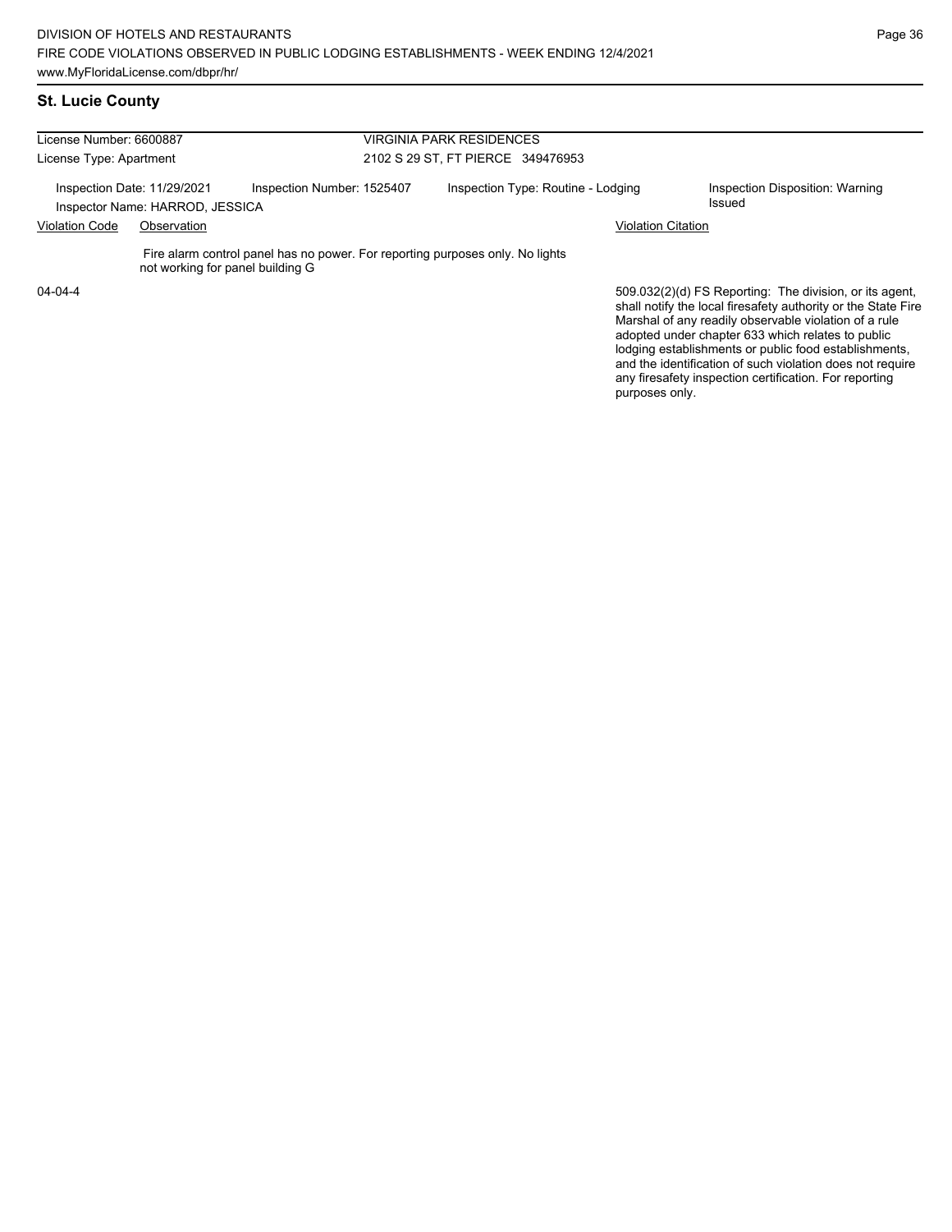### **St. Lucie County**

| License Number: 6600887 |                                                                |                                                                               | <b>VIRGINIA PARK RESIDENCES</b>    |                           |                                                                                                                                                                                                                                                                                                                                                              |  |  |
|-------------------------|----------------------------------------------------------------|-------------------------------------------------------------------------------|------------------------------------|---------------------------|--------------------------------------------------------------------------------------------------------------------------------------------------------------------------------------------------------------------------------------------------------------------------------------------------------------------------------------------------------------|--|--|
| License Type: Apartment |                                                                |                                                                               | 2102 S 29 ST. FT PIERCE 349476953  |                           |                                                                                                                                                                                                                                                                                                                                                              |  |  |
|                         | Inspection Date: 11/29/2021<br>Inspector Name: HARROD, JESSICA | Inspection Number: 1525407                                                    | Inspection Type: Routine - Lodging |                           | Inspection Disposition: Warning<br>Issued                                                                                                                                                                                                                                                                                                                    |  |  |
| <b>Violation Code</b>   | Observation                                                    |                                                                               |                                    | <b>Violation Citation</b> |                                                                                                                                                                                                                                                                                                                                                              |  |  |
|                         | not working for panel building G                               | Fire alarm control panel has no power. For reporting purposes only. No lights |                                    |                           |                                                                                                                                                                                                                                                                                                                                                              |  |  |
| $04 - 04 - 4$           |                                                                |                                                                               |                                    |                           | 509.032(2)(d) FS Reporting: The division, or its agent,<br>shall notify the local firesafety authority or the State Fire<br>Marshal of any readily observable violation of a rule<br>adopted under chapter 633 which relates to public<br>lodging establishments or public food establishments,<br>and the identification of such violation does not require |  |  |

any firesafety inspection certification. For reporting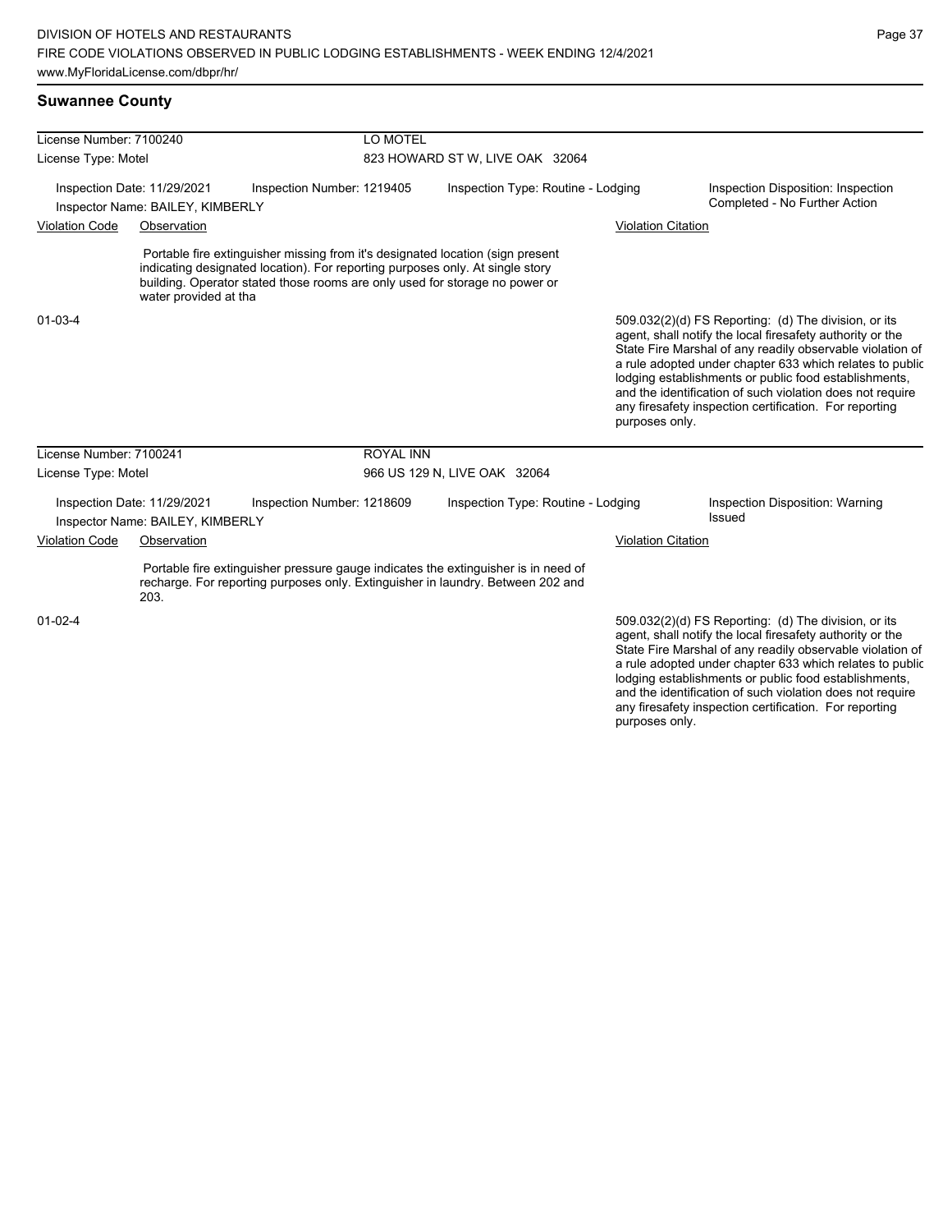| License Number: 7100240                                         |                                                                 | LO MOTEL                                                                                                                                                                                                                                       |                                    |                                    |  |                           |                                                                                                                                                                                                                                                                                                                                                                                                                            |  |
|-----------------------------------------------------------------|-----------------------------------------------------------------|------------------------------------------------------------------------------------------------------------------------------------------------------------------------------------------------------------------------------------------------|------------------------------------|------------------------------------|--|---------------------------|----------------------------------------------------------------------------------------------------------------------------------------------------------------------------------------------------------------------------------------------------------------------------------------------------------------------------------------------------------------------------------------------------------------------------|--|
| License Type: Motel                                             |                                                                 |                                                                                                                                                                                                                                                | 823 HOWARD ST W, LIVE OAK 32064    |                                    |  |                           |                                                                                                                                                                                                                                                                                                                                                                                                                            |  |
| Inspection Date: 11/29/2021<br>Inspector Name: BAILEY, KIMBERLY |                                                                 | Inspection Number: 1219405                                                                                                                                                                                                                     | Inspection Type: Routine - Lodging |                                    |  |                           | Inspection Disposition: Inspection<br>Completed - No Further Action                                                                                                                                                                                                                                                                                                                                                        |  |
| <b>Violation Code</b><br>Observation                            |                                                                 |                                                                                                                                                                                                                                                | <b>Violation Citation</b>          |                                    |  |                           |                                                                                                                                                                                                                                                                                                                                                                                                                            |  |
|                                                                 | water provided at tha                                           | Portable fire extinguisher missing from it's designated location (sign present<br>indicating designated location). For reporting purposes only. At single story<br>building. Operator stated those rooms are only used for storage no power or |                                    |                                    |  |                           |                                                                                                                                                                                                                                                                                                                                                                                                                            |  |
| 01-03-4                                                         |                                                                 |                                                                                                                                                                                                                                                |                                    |                                    |  | purposes only.            | 509.032(2)(d) FS Reporting: (d) The division, or its<br>agent, shall notify the local firesafety authority or the<br>State Fire Marshal of any readily observable violation of<br>a rule adopted under chapter 633 which relates to public<br>lodging establishments or public food establishments,<br>and the identification of such violation does not require<br>any firesafety inspection certification. For reporting |  |
| License Number: 7100241                                         |                                                                 | <b>ROYAL INN</b>                                                                                                                                                                                                                               |                                    |                                    |  |                           |                                                                                                                                                                                                                                                                                                                                                                                                                            |  |
| License Type: Motel                                             |                                                                 |                                                                                                                                                                                                                                                |                                    | 966 US 129 N, LIVE OAK 32064       |  |                           |                                                                                                                                                                                                                                                                                                                                                                                                                            |  |
|                                                                 | Inspection Date: 11/29/2021<br>Inspector Name: BAILEY, KIMBERLY | Inspection Number: 1218609                                                                                                                                                                                                                     |                                    | Inspection Type: Routine - Lodging |  |                           | Inspection Disposition: Warning<br>Issued                                                                                                                                                                                                                                                                                                                                                                                  |  |
| <b>Violation Code</b><br>Observation                            |                                                                 |                                                                                                                                                                                                                                                |                                    |                                    |  | <b>Violation Citation</b> |                                                                                                                                                                                                                                                                                                                                                                                                                            |  |
|                                                                 | 203.                                                            | Portable fire extinguisher pressure gauge indicates the extinguisher is in need of<br>recharge. For reporting purposes only. Extinguisher in laundry. Between 202 and                                                                          |                                    |                                    |  |                           |                                                                                                                                                                                                                                                                                                                                                                                                                            |  |
| $01 - 02 - 4$                                                   |                                                                 |                                                                                                                                                                                                                                                |                                    |                                    |  |                           | 509.032(2)(d) FS Reporting: (d) The division, or its<br>agent, shall notify the local firesafety authority or the<br>State Fire Marshal of any readily observable violation of<br>a rule adopted under chapter 633 which relates to public                                                                                                                                                                                 |  |

a rule adopted under chapter 633 which relates to public lodging establishments or public food establishments, and the identification of such violation does not require any firesafety inspection certification. For reporting purposes only.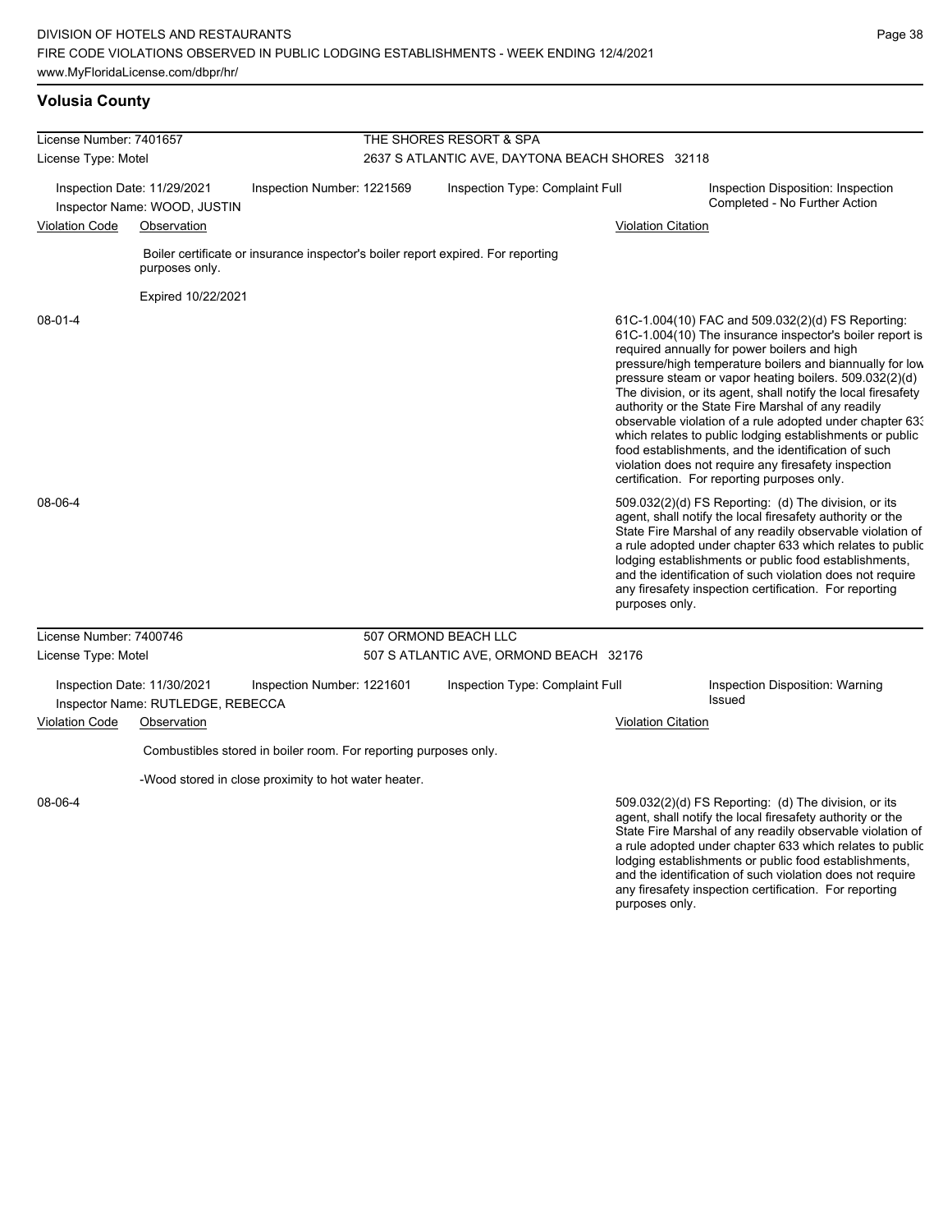| License Number: 7401657 |                                                                                 |                                                                  | THE SHORES RESORT & SPA         |                                                                                  |                           |                                                                                                                                                                                                                                                                                                                                                                                                                                                                                                                                                                                                                                                                                                  |  |  |
|-------------------------|---------------------------------------------------------------------------------|------------------------------------------------------------------|---------------------------------|----------------------------------------------------------------------------------|---------------------------|--------------------------------------------------------------------------------------------------------------------------------------------------------------------------------------------------------------------------------------------------------------------------------------------------------------------------------------------------------------------------------------------------------------------------------------------------------------------------------------------------------------------------------------------------------------------------------------------------------------------------------------------------------------------------------------------------|--|--|
| License Type: Motel     |                                                                                 |                                                                  |                                 | 2637 S ATLANTIC AVE, DAYTONA BEACH SHORES 32118                                  |                           |                                                                                                                                                                                                                                                                                                                                                                                                                                                                                                                                                                                                                                                                                                  |  |  |
|                         | Inspection Date: 11/29/2021<br>Inspector Name: WOOD, JUSTIN                     | Inspection Number: 1221569                                       | Inspection Type: Complaint Full |                                                                                  |                           | Inspection Disposition: Inspection<br>Completed - No Further Action                                                                                                                                                                                                                                                                                                                                                                                                                                                                                                                                                                                                                              |  |  |
| <b>Violation Code</b>   | Observation                                                                     |                                                                  |                                 |                                                                                  | <b>Violation Citation</b> |                                                                                                                                                                                                                                                                                                                                                                                                                                                                                                                                                                                                                                                                                                  |  |  |
|                         | purposes only.                                                                  |                                                                  |                                 | Boiler certificate or insurance inspector's boiler report expired. For reporting |                           |                                                                                                                                                                                                                                                                                                                                                                                                                                                                                                                                                                                                                                                                                                  |  |  |
|                         | Expired 10/22/2021                                                              |                                                                  |                                 |                                                                                  |                           |                                                                                                                                                                                                                                                                                                                                                                                                                                                                                                                                                                                                                                                                                                  |  |  |
| 08-01-4                 |                                                                                 |                                                                  |                                 |                                                                                  |                           | 61C-1.004(10) FAC and 509.032(2)(d) FS Reporting:<br>61C-1.004(10) The insurance inspector's boiler report is<br>required annually for power boilers and high<br>pressure/high temperature boilers and biannually for low<br>pressure steam or vapor heating boilers. 509.032(2)(d)<br>The division, or its agent, shall notify the local firesafety<br>authority or the State Fire Marshal of any readily<br>observable violation of a rule adopted under chapter 63.<br>which relates to public lodging establishments or public<br>food establishments, and the identification of such<br>violation does not require any firesafety inspection<br>certification. For reporting purposes only. |  |  |
| 08-06-4                 |                                                                                 |                                                                  |                                 |                                                                                  | purposes only.            | 509.032(2)(d) FS Reporting: (d) The division, or its<br>agent, shall notify the local firesafety authority or the<br>State Fire Marshal of any readily observable violation of<br>a rule adopted under chapter 633 which relates to public<br>lodging establishments or public food establishments,<br>and the identification of such violation does not require<br>any firesafety inspection certification. For reporting                                                                                                                                                                                                                                                                       |  |  |
| License Number: 7400746 |                                                                                 |                                                                  |                                 | 507 ORMOND BEACH LLC                                                             |                           |                                                                                                                                                                                                                                                                                                                                                                                                                                                                                                                                                                                                                                                                                                  |  |  |
| License Type: Motel     |                                                                                 |                                                                  |                                 | 507 S ATLANTIC AVE, ORMOND BEACH 32176                                           |                           |                                                                                                                                                                                                                                                                                                                                                                                                                                                                                                                                                                                                                                                                                                  |  |  |
| <b>Violation Code</b>   | Inspection Date: 11/30/2021<br>Inspector Name: RUTLEDGE, REBECCA<br>Observation | Inspection Number: 1221601                                       |                                 | Inspection Type: Complaint Full                                                  | <b>Violation Citation</b> | Inspection Disposition: Warning<br><b>Issued</b>                                                                                                                                                                                                                                                                                                                                                                                                                                                                                                                                                                                                                                                 |  |  |
|                         |                                                                                 |                                                                  |                                 |                                                                                  |                           |                                                                                                                                                                                                                                                                                                                                                                                                                                                                                                                                                                                                                                                                                                  |  |  |
|                         |                                                                                 | Combustibles stored in boiler room. For reporting purposes only. |                                 |                                                                                  |                           |                                                                                                                                                                                                                                                                                                                                                                                                                                                                                                                                                                                                                                                                                                  |  |  |
|                         |                                                                                 | -Wood stored in close proximity to hot water heater.             |                                 |                                                                                  |                           |                                                                                                                                                                                                                                                                                                                                                                                                                                                                                                                                                                                                                                                                                                  |  |  |
| 08-06-4                 |                                                                                 |                                                                  |                                 |                                                                                  |                           | 509.032(2)(d) FS Reporting: (d) The division, or its<br>agent, shall notify the local firesafety authority or the<br>State Fire Marshal of any readily observable violation of<br>a rule adopted under chapter 633 which relates to public<br>lodging establishments or public food establishments,<br>and the identification of such violation does not require                                                                                                                                                                                                                                                                                                                                 |  |  |

any firesafety inspection certification. For reporting